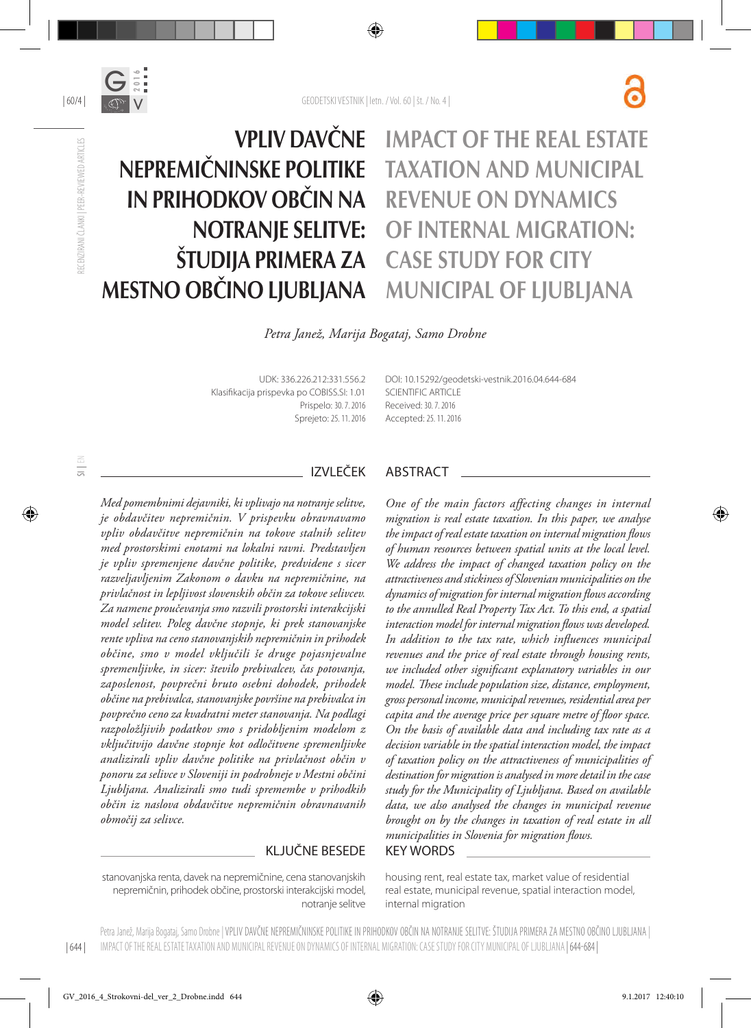



| 60/4 |

# Vpliv davčne nepremičninske politike in prihodkov občin na notranje selitve: študija primera za Mestno občino Ljubljana

# Impact of the real estate taxation and municipal revenue on dynamics of internal migration: Case study for City Municipal of Ljubljana

*Petra Janež, Marija Bogataj, Samo Drobne*

UDK: 336.226.212:331.556.2 Klasifikacija prispevka po COBISS.SI: 1.01 Prispelo: 30. 7. 2016 Sprejeto: 25. 11. 2016 DOI: 10.15292/geodetski-vestnik.2016.04.644-684 SCIENTIFIC ARTICLE Received: 30. 7. 2016 Accepted: 25. 11. 2016

*Med pomembnimi dejavniki, ki vplivajo na notranje selitve, je obdavčitev nepremičnin. V prispevku obravnavamo vpliv obdavčitve nepremičnin na tokove stalnih selitev med prostorskimi enotami na lokalni ravni. Predstavljen je vpliv spremenjene davčne politike, predvidene s sicer razveljavljenim Zakonom o davku na nepremičnine, na privlačnost in lepljivost slovenskih občin za tokove selivcev. Za namene proučevanja smo razvili prostorski interakcijski model selitev. Poleg davčne stopnje, ki prek stanovanjske rente vpliva na ceno stanovanjskih nepremičnin in prihodek občine, smo v model vključili še druge pojasnjevalne spremenljivke, in sicer: število prebivalcev, čas potovanja, zaposlenost, povprečni bruto osebni dohodek, prihodek občine na prebivalca, stanovanjske površine na prebivalca in povprečno ceno za kvadratni meter stanovanja. Na podlagi razpoložljivih podatkov smo s pridobljenim modelom z vključitvijo davčne stopnje kot odločitvene spremenljivke analizirali vpliv davčne politike na privlačnost občin v ponoru za selivce v Sloveniji in podrobneje v Mestni občini Ljubljana. Analizirali smo tudi spremembe v prihodkih občin iz naslova obdavčitve nepremičnin obravnavanih območij za selivce.*

### KLJUČNE BESEDE KEY WORDS

stanovanjska renta, davek na nepremičnine, cena stanovanjskih nepremičnin, prihodek občine, prostorski interakcijski model, notranje selitve

### IZVLEČEK ABSTRACT

*One of the main factors affecting changes in internal migration is real estate taxation. In this paper, we analyse the impact of real estate taxation on internal migration flows of human resources between spatial units at the local level. We address the impact of changed taxation policy on the attractiveness and stickiness of Slovenian municipalities on the dynamics of migration for internal migration flows according to the annulled Real Property Tax Act. To this end, a spatial interaction model for internal migration flows was developed. In addition to the tax rate, which influences municipal revenues and the price of real estate through housing rents, we included other significant explanatory variables in our model. These include population size, distance, employment, gross personal income, municipal revenues, residential area per capita and the average price per square metre of floor space. On the basis of available data and including tax rate as a decision variable in the spatial interaction model, the impact of taxation policy on the attractiveness of municipalities of destination for migration is analysed in more detail in the case study for the Municipality of Ljubljana. Based on available data, we also analysed the changes in municipal revenue brought on by the changes in taxation of real estate in all municipalities in Slovenia for migration flows.*

housing rent, real estate tax, market value of residential real estate, municipal revenue, spatial interaction model, internal migration

| 644 | Petra Janež, Marija Bogataj, Samo Drobne | VPLIV DAVČNE NEPREMIČNINSKE POLITIKE IN PRIHODKOV OBČIN NA NOTRANJE SELITVE: ŠTUDIJA PRIMERA ZA MESTNO OBČINO LJUBLJANA | IMPACT OF THE REAL ESTATE TAXATION AND MUNICIPAL REVENUE ON DYNAMICS OF INTERNAL MIGRATION: CASE STUDY FOR CITY MUNICIPAL OF LJUBLJANA | 644-684 |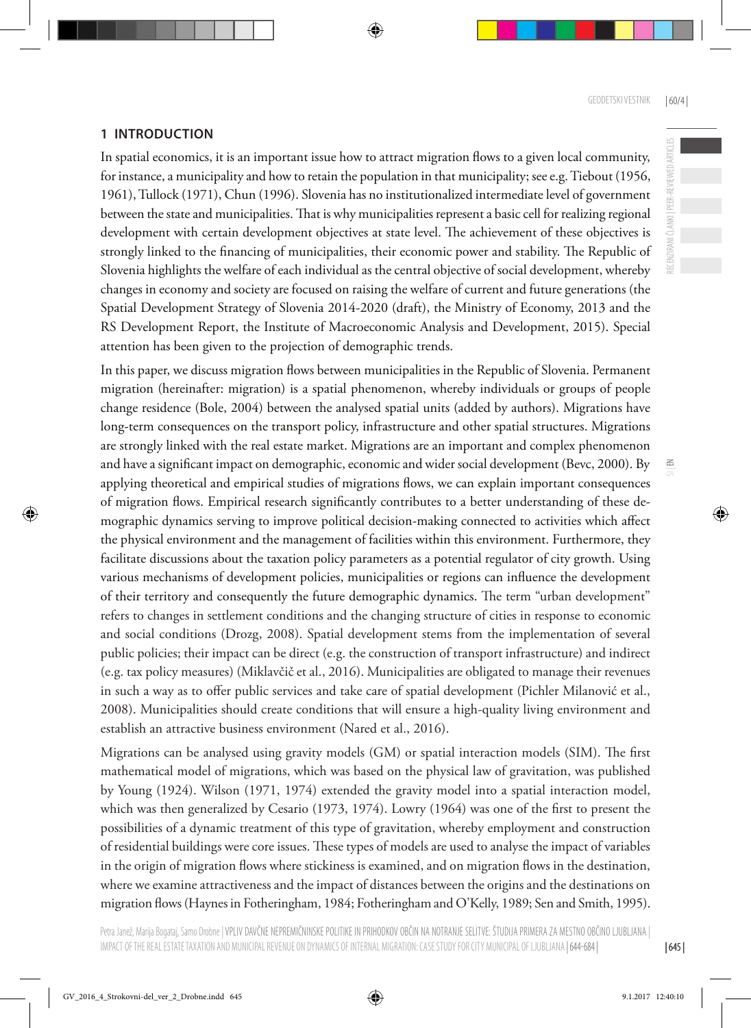RECENZIRANI ČLANKI | PEER-REVIEWED ARTICLES

 $\leq$ 

### **1 INTRODUCTION**

In spatial economics, it is an important issue how to attract migration flows to a given local community, for instance, a municipality and how to retain the population in that municipality; see e.g. Tiebout (1956, 1961), Tullock (1971), Chun (1996). Slovenia has no institutionalized intermediate level of government between the state and municipalities. That is why municipalities represent a basic cell for realizing regional development with certain development objectives at state level. The achievement of these objectives is strongly linked to the financing of municipalities, their economic power and stability. The Republic of Slovenia highlights the welfare of each individual as the central objective of social development, whereby changes in economy and society are focused on raising the welfare of current and future generations (the Spatial Development Strategy of Slovenia 2014-2020 (draft), the Ministry of Economy, 2013 and the RS Development Report, the Institute of Macroeconomic Analysis and Development, 2015). Special attention has been given to the projection of demographic trends.

In this paper, we discuss migration flows between municipalities in the Republic of Slovenia. Permanent migration (hereinafter: migration) is a spatial phenomenon, whereby individuals or groups of people change residence (Bole, 2004) between the analysed spatial units (added by authors). Migrations have long-term consequences on the transport policy, infrastructure and other spatial structures. Migrations are strongly linked with the real estate market. Migrations are an important and complex phenomenon and have a significant impact on demographic, economic and wider social development (Bevc, 2000). By applying theoretical and empirical studies of migrations flows, we can explain important consequences of migration flows. Empirical research significantly contributes to a better understanding of these demographic dynamics serving to improve political decision-making connected to activities which affect the physical environment and the management of facilities within this environment. Furthermore, they facilitate discussions about the taxation policy parameters as a potential regulator of city growth. Using various mechanisms of development policies, municipalities or regions can influence the development of their territory and consequently the future demographic dynamics. The term "urban development" refers to changes in settlement conditions and the changing structure of cities in response to economic and social conditions (Drozg, 2008). Spatial development stems from the implementation of several public policies; their impact can be direct (e.g. the construction of transport infrastructure) and indirect (e.g. tax policy measures) (Miklavčič et al., 2016). Municipalities are obligated to manage their revenues in such a way as to offer public services and take care of spatial development (Pichler Milanović et al., 2008). Municipalities should create conditions that will ensure a high-quality living environment and establish an attractive business environment (Nared et al., 2016).

Migrations can be analysed using gravity models (GM) or spatial interaction models (SIM). The first mathematical model of migrations, which was based on the physical law of gravitation, was published by Young (1924). Wilson (1971, 1974) extended the gravity model into a spatial interaction model, which was then generalized by Cesario (1973, 1974). Lowry (1964) was one of the first to present the possibilities of a dynamic treatment of this type of gravitation, whereby employment and construction of residential buildings were core issues. These types of models are used to analyse the impact of variables in the origin of migration flows where stickiness is examined, and on migration flows in the destination, where we examine attractiveness and the impact of distances between the origins and the destinations on migration flows (Haynes in Fotheringham, 1984; Fotheringham and O'Kelly, 1989; Sen and Smith, 1995).

| 645 |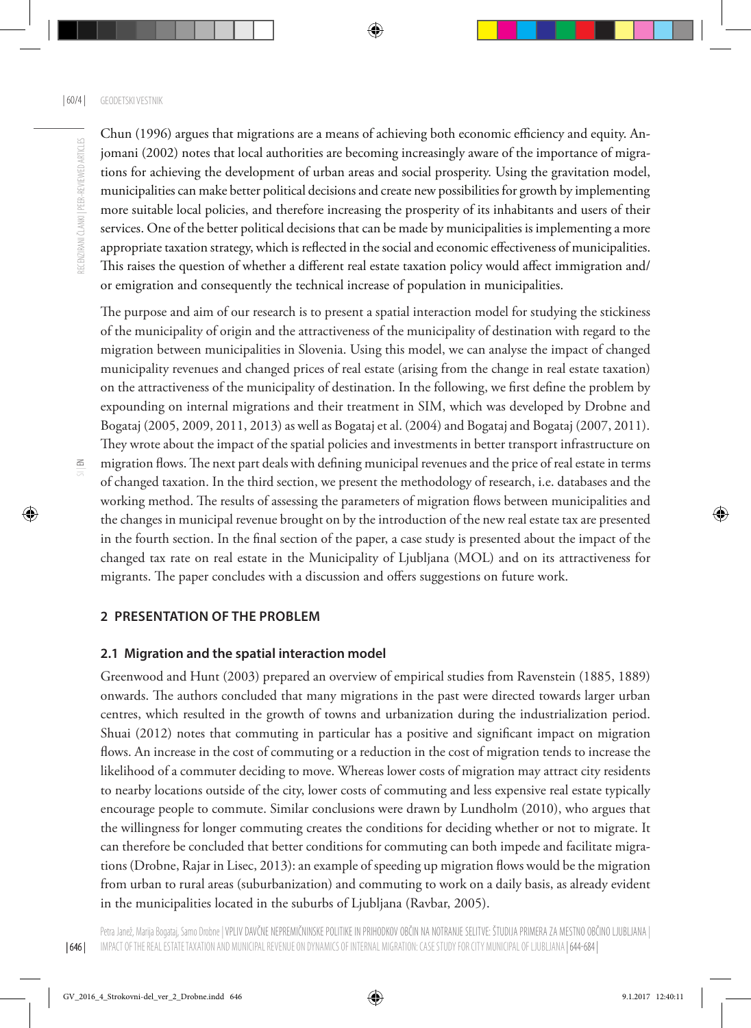Chun (1996) argues that migrations are a means of achieving both economic efficiency and equity. Anjomani (2002) notes that local authorities are becoming increasingly aware of the importance of migrations for achieving the development of urban areas and social prosperity. Using the gravitation model, municipalities can make better political decisions and create new possibilities for growth by implementing more suitable local policies, and therefore increasing the prosperity of its inhabitants and users of their services. One of the better political decisions that can be made by municipalities is implementing a more appropriate taxation strategy, which is reflected in the social and economic effectiveness of municipalities. This raises the question of whether a different real estate taxation policy would affect immigration and/ or emigration and consequently the technical increase of population in municipalities.

The purpose and aim of our research is to present a spatial interaction model for studying the stickiness of the municipality of origin and the attractiveness of the municipality of destination with regard to the migration between municipalities in Slovenia. Using this model, we can analyse the impact of changed municipality revenues and changed prices of real estate (arising from the change in real estate taxation) on the attractiveness of the municipality of destination. In the following, we first define the problem by expounding on internal migrations and their treatment in SIM, which was developed by Drobne and Bogataj (2005, 2009, 2011, 2013) as well as Bogataj et al. (2004) and Bogataj and Bogataj (2007, 2011). They wrote about the impact of the spatial policies and investments in better transport infrastructure on

| 646 |

migration flows. The next part deals with defining municipal revenues and the price of real estate in terms of changed taxation. In the third section, we present the methodology of research, i.e. databases and the working method. The results of assessing the parameters of migration flows between municipalities and the changes in municipal revenue brought on by the introduction of the new real estate tax are presented in the fourth section. In the final section of the paper, a case study is presented about the impact of the changed tax rate on real estate in the Municipality of Ljubljana (MOL) and on its attractiveness for migrants. The paper concludes with a discussion and offers suggestions on future work.

#### **2 PRESENTATION OF THE PROBLEM**

#### **2.1 Migration and the spatial interaction model**

Greenwood and Hunt (2003) prepared an overview of empirical studies from Ravenstein (1885, 1889) onwards. The authors concluded that many migrations in the past were directed towards larger urban centres, which resulted in the growth of towns and urbanization during the industrialization period. Shuai (2012) notes that commuting in particular has a positive and significant impact on migration flows. An increase in the cost of commuting or a reduction in the cost of migration tends to increase the likelihood of a commuter deciding to move. Whereas lower costs of migration may attract city residents to nearby locations outside of the city, lower costs of commuting and less expensive real estate typically encourage people to commute. Similar conclusions were drawn by Lundholm (2010), who argues that the willingness for longer commuting creates the conditions for deciding whether or not to migrate. It can therefore be concluded that better conditions for commuting can both impede and facilitate migrations (Drobne, Rajar in Lisec, 2013): an example of speeding up migration flows would be the migration from urban to rural areas (suburbanization) and commuting to work on a daily basis, as already evident in the municipalities located in the suburbs of Ljubljana (Ravbar, 2005).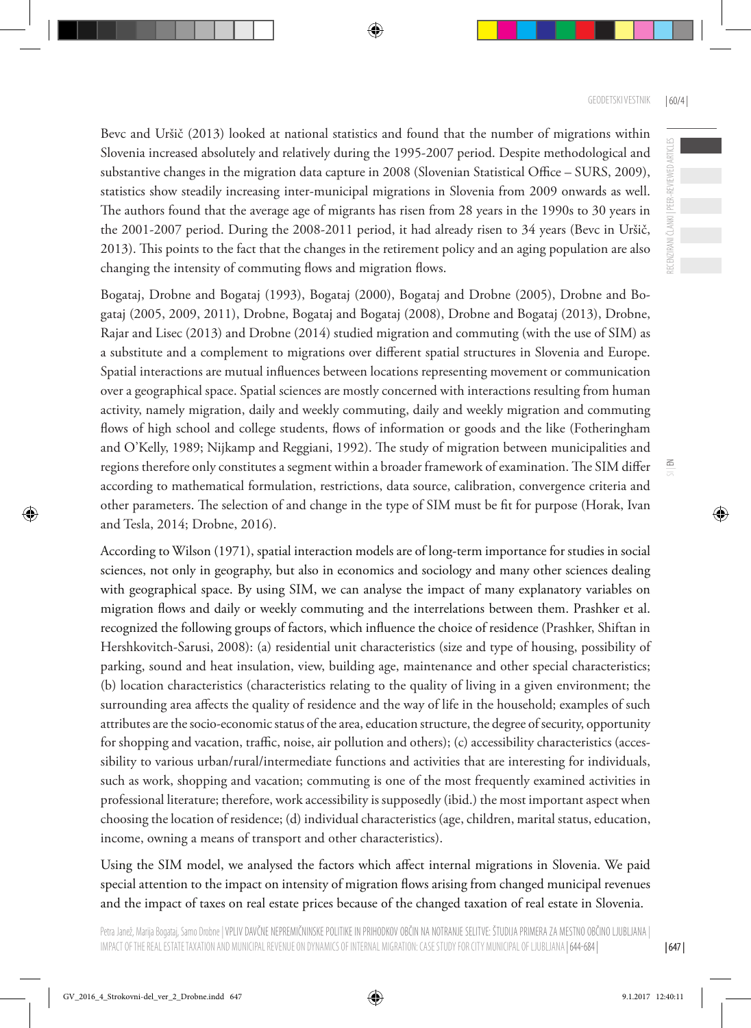ECENZIRANI ČLANKI | PEER-REVIEWED ARTICLES

 $\leq$ 

Bevc and Uršič (2013) looked at national statistics and found that the number of migrations within Slovenia increased absolutely and relatively during the 1995-2007 period. Despite methodological and substantive changes in the migration data capture in 2008 (Slovenian Statistical Office – SURS, 2009), statistics show steadily increasing inter-municipal migrations in Slovenia from 2009 onwards as well. The authors found that the average age of migrants has risen from 28 years in the 1990s to 30 years in the 2001-2007 period. During the 2008-2011 period, it had already risen to 34 years (Bevc in Uršič, 2013). This points to the fact that the changes in the retirement policy and an aging population are also changing the intensity of commuting flows and migration flows.

Bogataj, Drobne and Bogataj (1993), Bogataj (2000), Bogataj and Drobne (2005), Drobne and Bogataj (2005, 2009, 2011), Drobne, Bogataj and Bogataj (2008), Drobne and Bogataj (2013), Drobne, Rajar and Lisec (2013) and Drobne (2014) studied migration and commuting (with the use of SIM) as a substitute and a complement to migrations over different spatial structures in Slovenia and Europe. Spatial interactions are mutual influences between locations representing movement or communication over a geographical space. Spatial sciences are mostly concerned with interactions resulting from human activity, namely migration, daily and weekly commuting, daily and weekly migration and commuting flows of high school and college students, flows of information or goods and the like (Fotheringham and O'Kelly, 1989; Nijkamp and Reggiani, 1992). The study of migration between municipalities and regions therefore only constitutes a segment within a broader framework of examination. The SIM differ according to mathematical formulation, restrictions, data source, calibration, convergence criteria and other parameters. The selection of and change in the type of SIM must be fit for purpose (Horak, Ivan and Tesla, 2014; Drobne, 2016).

According to Wilson (1971), spatial interaction models are of long-term importance for studies in social sciences, not only in geography, but also in economics and sociology and many other sciences dealing with geographical space. By using SIM, we can analyse the impact of many explanatory variables on migration flows and daily or weekly commuting and the interrelations between them. Prashker et al. recognized the following groups of factors, which influence the choice of residence (Prashker, Shiftan in Hershkovitch-Sarusi, 2008): (a) residential unit characteristics (size and type of housing, possibility of parking, sound and heat insulation, view, building age, maintenance and other special characteristics; (b) location characteristics (characteristics relating to the quality of living in a given environment; the surrounding area affects the quality of residence and the way of life in the household; examples of such attributes are the socio-economic status of the area, education structure, the degree of security, opportunity for shopping and vacation, traffic, noise, air pollution and others); (c) accessibility characteristics (accessibility to various urban/rural/intermediate functions and activities that are interesting for individuals, such as work, shopping and vacation; commuting is one of the most frequently examined activities in professional literature; therefore, work accessibility is supposedly (ibid.) the most important aspect when choosing the location of residence; (d) individual characteristics (age, children, marital status, education, income, owning a means of transport and other characteristics).

Using the SIM model, we analysed the factors which affect internal migrations in Slovenia. We paid special attention to the impact on intensity of migration flows arising from changed municipal revenues and the impact of taxes on real estate prices because of the changed taxation of real estate in Slovenia.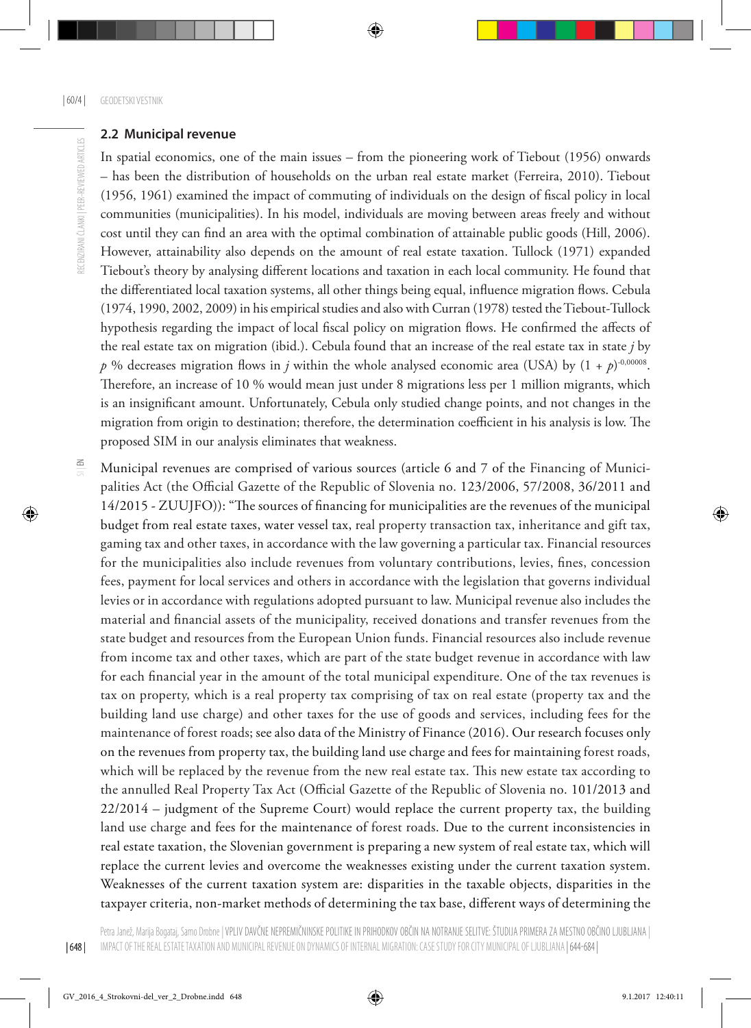#### **2.2 Municipal revenue**

In spatial economics, one of the main issues – from the pioneering work of Tiebout (1956) onwards – has been the distribution of households on the urban real estate market (Ferreira, 2010). Tiebout (1956, 1961) examined the impact of commuting of individuals on the design of fiscal policy in local communities (municipalities). In his model, individuals are moving between areas freely and without cost until they can find an area with the optimal combination of attainable public goods (Hill, 2006). However, attainability also depends on the amount of real estate taxation. Tullock (1971) expanded Tiebout's theory by analysing different locations and taxation in each local community. He found that the differentiated local taxation systems, all other things being equal, influence migration flows. Cebula (1974, 1990, 2002, 2009) in his empirical studies and also with Curran (1978) tested the Tiebout-Tullock hypothesis regarding the impact of local fiscal policy on migration flows. He confirmed the affects of the real estate tax on migration (ibid.). Cebula found that an increase of the real estate tax in state *j* by *p* % decreases migration flows in *j* within the whole analysed economic area (USA) by  $(1 + p)^{0,00008}$ . Therefore, an increase of 10 % would mean just under 8 migrations less per 1 million migrants, which is an insignificant amount. Unfortunately, Cebula only studied change points, and not changes in the migration from origin to destination; therefore, the determination coefficient in his analysis is low. The proposed SIM in our analysis eliminates that weakness.

Municipal revenues are comprised of various sources (article 6 and 7 of the Financing of Municipalities Act (the Official Gazette of the Republic of Slovenia no. 123/2006, 57/2008, 36/2011 and 14/2015 - ZUUJFO)): "The sources of financing for municipalities are the revenues of the municipal budget from real estate taxes, water vessel tax, real property transaction tax, inheritance and gift tax, gaming tax and other taxes, in accordance with the law governing a particular tax. Financial resources for the municipalities also include revenues from voluntary contributions, levies, fines, concession fees, payment for local services and others in accordance with the legislation that governs individual levies or in accordance with regulations adopted pursuant to law. Municipal revenue also includes the material and financial assets of the municipality, received donations and transfer revenues from the state budget and resources from the European Union funds. Financial resources also include revenue from income tax and other taxes, which are part of the state budget revenue in accordance with law for each financial year in the amount of the total municipal expenditure. One of the tax revenues is tax on property, which is a real property tax comprising of tax on real estate (property tax and the building land use charge) and other taxes for the use of goods and services, including fees for the maintenance of forest roads; see also data of the Ministry of Finance (2016). Our research focuses only on the revenues from property tax, the building land use charge and fees for maintaining forest roads, which will be replaced by the revenue from the new real estate tax. This new estate tax according to the annulled Real Property Tax Act (Official Gazette of the Republic of Slovenia no. 101/2013 and 22/2014 – judgment of the Supreme Court) would replace the current property tax, the building land use charge and fees for the maintenance of forest roads. Due to the current inconsistencies in real estate taxation, the Slovenian government is preparing a new system of real estate tax, which will replace the current levies and overcome the weaknesses existing under the current taxation system. Weaknesses of the current taxation system are: disparities in the taxable objects, disparities in the taxpayer criteria, non-market methods of determining the tax base, different ways of determining the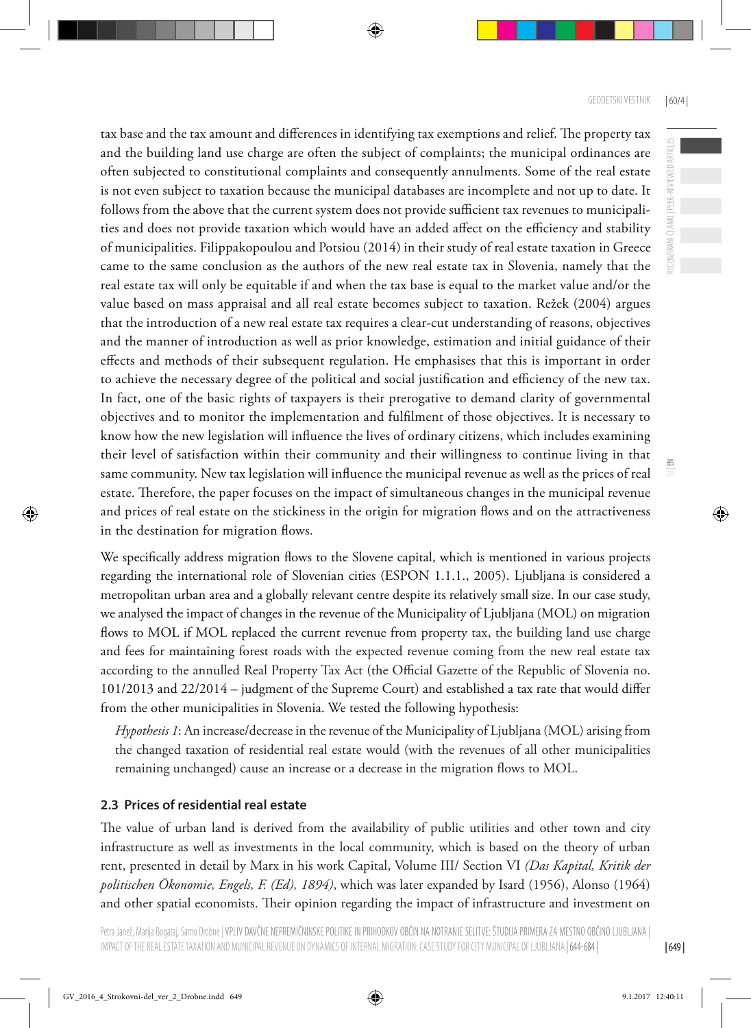ECENZIRANI ČLANKI | PEER-REVIEWED ARTICLES

 $\leq$ 

tax base and the tax amount and differences in identifying tax exemptions and relief. The property tax and the building land use charge are often the subject of complaints; the municipal ordinances are often subjected to constitutional complaints and consequently annulments. Some of the real estate is not even subject to taxation because the municipal databases are incomplete and not up to date. It follows from the above that the current system does not provide sufficient tax revenues to municipalities and does not provide taxation which would have an added affect on the efficiency and stability of municipalities. Filippakopoulou and Potsiou (2014) in their study of real estate taxation in Greece came to the same conclusion as the authors of the new real estate tax in Slovenia, namely that the real estate tax will only be equitable if and when the tax base is equal to the market value and/or the value based on mass appraisal and all real estate becomes subject to taxation. Režek (2004) argues that the introduction of a new real estate tax requires a clear-cut understanding of reasons, objectives and the manner of introduction as well as prior knowledge, estimation and initial guidance of their effects and methods of their subsequent regulation. He emphasises that this is important in order to achieve the necessary degree of the political and social justification and efficiency of the new tax. In fact, one of the basic rights of taxpayers is their prerogative to demand clarity of governmental objectives and to monitor the implementation and fulfilment of those objectives. It is necessary to know how the new legislation will influence the lives of ordinary citizens, which includes examining their level of satisfaction within their community and their willingness to continue living in that same community. New tax legislation will influence the municipal revenue as well as the prices of real estate. Therefore, the paper focuses on the impact of simultaneous changes in the municipal revenue and prices of real estate on the stickiness in the origin for migration flows and on the attractiveness in the destination for migration flows.

We specifically address migration flows to the Slovene capital, which is mentioned in various projects regarding the international role of Slovenian cities (ESPON 1.1.1., 2005). Ljubljana is considered a metropolitan urban area and a globally relevant centre despite its relatively small size. In our case study, we analysed the impact of changes in the revenue of the Municipality of Ljubljana (MOL) on migration flows to MOL if MOL replaced the current revenue from property tax, the building land use charge and fees for maintaining forest roads with the expected revenue coming from the new real estate tax according to the annulled Real Property Tax Act (the Official Gazette of the Republic of Slovenia no. 101/2013 and 22/2014 – judgment of the Supreme Court) and established a tax rate that would differ from the other municipalities in Slovenia. We tested the following hypothesis:

*Hypothesis 1*: An increase/decrease in the revenue of the Municipality of Ljubljana (MOL) arising from the changed taxation of residential real estate would (with the revenues of all other municipalities remaining unchanged) cause an increase or a decrease in the migration flows to MOL.

### **2.3 Prices of residential real estate**

The value of urban land is derived from the availability of public utilities and other town and city infrastructure as well as investments in the local community, which is based on the theory of urban rent, presented in detail by Marx in his work Capital, Volume III/ Section VI *(Das Kapital, Kritik der politischen Ökonomie, Engels, F. (Ed), 1894)*, which was later expanded by Isard (1956), Alonso (1964) and other spatial economists. Their opinion regarding the impact of infrastructure and investment on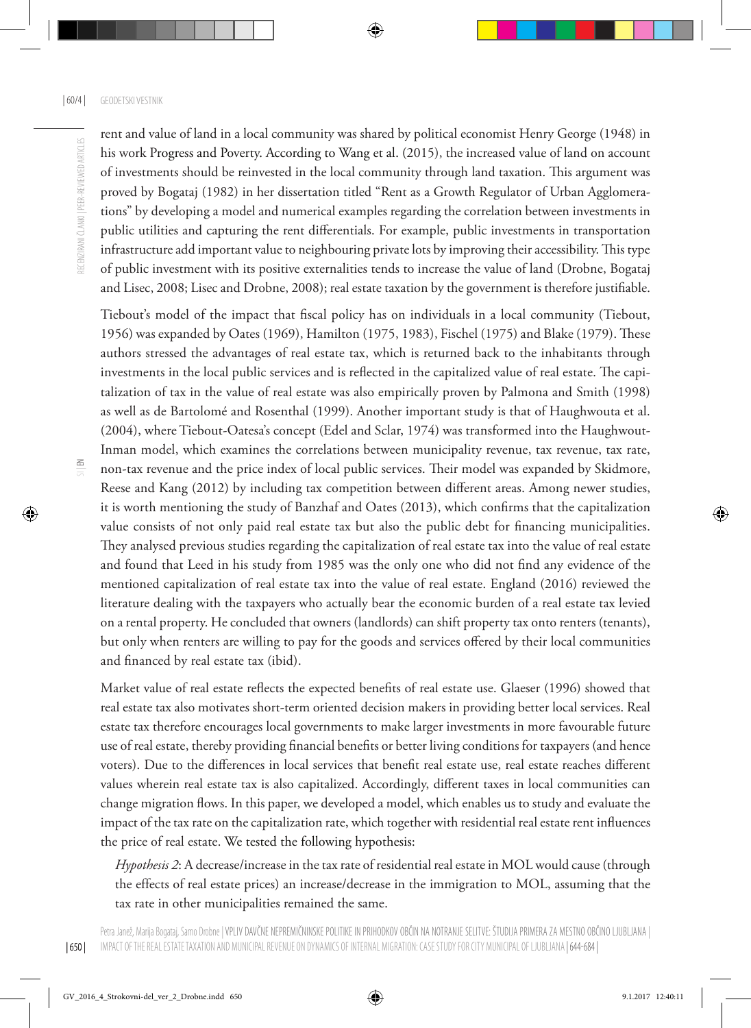rent and value of land in a local community was shared by political economist Henry George (1948) in his work Progress and Poverty. According to Wang et al. (2015), the increased value of land on account of investments should be reinvested in the local community through land taxation. This argument was proved by Bogataj (1982) in her dissertation titled "Rent as a Growth Regulator of Urban Agglomerations" by developing a model and numerical examples regarding the correlation between investments in public utilities and capturing the rent differentials. For example, public investments in transportation infrastructure add important value to neighbouring private lots by improving their accessibility. This type of public investment with its positive externalities tends to increase the value of land (Drobne, Bogataj and Lisec, 2008; Lisec and Drobne, 2008); real estate taxation by the government is therefore justifiable.

Tiebout's model of the impact that fiscal policy has on individuals in a local community (Tiebout, 1956) was expanded by Oates (1969), Hamilton (1975, 1983), Fischel (1975) and Blake (1979). These authors stressed the advantages of real estate tax, which is returned back to the inhabitants through investments in the local public services and is reflected in the capitalized value of real estate. The capitalization of tax in the value of real estate was also empirically proven by Palmona and Smith (1998) as well as de Bartolomé and Rosenthal (1999). Another important study is that of Haughwouta et al. (2004), where Tiebout-Oatesa's concept (Edel and Sclar, 1974) was transformed into the Haughwout-Inman model, which examines the correlations between municipality revenue, tax revenue, tax rate, non-tax revenue and the price index of local public services. Their model was expanded by Skidmore, Reese and Kang (2012) by including tax competition between different areas. Among newer studies, it is worth mentioning the study of Banzhaf and Oates (2013), which confirms that the capitalization value consists of not only paid real estate tax but also the public debt for financing municipalities. They analysed previous studies regarding the capitalization of real estate tax into the value of real estate and found that Leed in his study from 1985 was the only one who did not find any evidence of the mentioned capitalization of real estate tax into the value of real estate. England (2016) reviewed the literature dealing with the taxpayers who actually bear the economic burden of a real estate tax levied on a rental property. He concluded that owners (landlords) can shift property tax onto renters (tenants), but only when renters are willing to pay for the goods and services offered by their local communities and financed by real estate tax (ibid).

Market value of real estate reflects the expected benefits of real estate use. Glaeser (1996) showed that real estate tax also motivates short-term oriented decision makers in providing better local services. Real estate tax therefore encourages local governments to make larger investments in more favourable future use of real estate, thereby providing financial benefits or better living conditions for taxpayers (and hence voters). Due to the differences in local services that benefit real estate use, real estate reaches different values wherein real estate tax is also capitalized. Accordingly, different taxes in local communities can change migration flows. In this paper, we developed a model, which enables us to study and evaluate the impact of the tax rate on the capitalization rate, which together with residential real estate rent influences the price of real estate. We tested the following hypothesis:

*Hypothesis 2*: A decrease/increase in the tax rate of residential real estate in MOL would cause (through the effects of real estate prices) an increase/decrease in the immigration to MOL, assuming that the tax rate in other municipalities remained the same.

 $\Xi$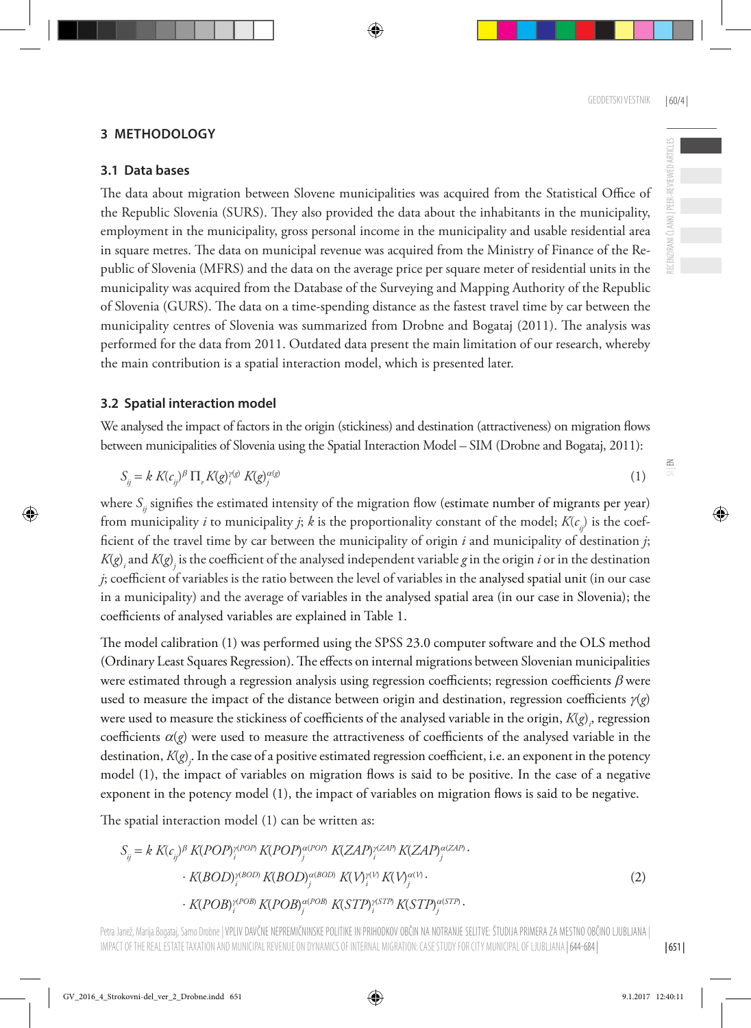$\leq$ 

### **3 METHODOLOGY**

#### **3.1 Data bases**

The data about migration between Slovene municipalities was acquired from the Statistical Office of the Republic Slovenia (SURS). They also provided the data about the inhabitants in the municipality, employment in the municipality, gross personal income in the municipality and usable residential area in square metres. The data on municipal revenue was acquired from the Ministry of Finance of the Republic of Slovenia (MFRS) and the data on the average price per square meter of residential units in the municipality was acquired from the Database of the Surveying and Mapping Authority of the Republic of Slovenia (GURS). The data on a time-spending distance as the fastest travel time by car between the municipality centres of Slovenia was summarized from Drobne and Bogataj (2011). The analysis was performed for the data from 2011. Outdated data present the main limitation of our research, whereby the main contribution is a spatial interaction model, which is presented later.

#### **3.2 Spatial interaction model**

We analysed the impact of factors in the origin (stickiness) and destination (attractiveness) on migration flows between municipalities of Slovenia using the Spatial Interaction Model – SIM (Drobne and Bogataj, 2011):

$$
S_{ij} = k K(c_{ij})^{\beta} \prod_{r} K(g)_{i}^{\gamma(g)} K(g_{j}^{\alpha(g)} \tag{1}
$$

where *S<sub>ij</sub>* signifies the estimated intensity of the migration flow (estimate number of migrants per year) from municipality *i* to municipality *j*; *k* is the proportionality constant of the model;  $K(c_i)$  is the coefficient of the travel time by car between the municipality of origin *i* and municipality of destination *j*;  $K(g)$  and  $K(g)$  is the coefficient of the analysed independent variable  $g$  in the origin  $i$  or in the destination *j*; coefficient of variables is the ratio between the level of variables in the analysed spatial unit (in our case in a municipality) and the average of variables in the analysed spatial area (in our case in Slovenia); the coefficients of analysed variables are explained in Table 1.

The model calibration (1) was performed using the SPSS 23.0 computer software and the OLS method (Ordinary Least Squares Regression). The effects on internal migrations between Slovenian municipalities were estimated through a regression analysis using regression coefficients; regression coefficients  $\beta$  were used to measure the impact of the distance between origin and destination, regression coefficients  $\gamma(g)$ were used to measure the stickiness of coefficients of the analysed variable in the origin,  $K(g)_{\rho}$  regression coefficients  $\alpha$ (*g*) were used to measure the attractiveness of coefficients of the analysed variable in the destination, *K*(*g*) *j* . In the case of a positive estimated regression coefficient, i.e. an exponent in the potency model (1), the impact of variables on migration flows is said to be positive. In the case of a negative exponent in the potency model (1), the impact of variables on migration flows is said to be negative.

The spatial interaction model (1) can be written as:

$$
S_{ij} = k K(c_{ij})^{\beta} K(POP)^{\gamma(POP)}_{i} K(POP)^{\alpha(POP)}_{j} K(ZAP)^{\gamma(ZAP)}_{i} K(ZAP)^{\alpha(ZAP)}_{j}.
$$

$$
\cdot K(BOD)^{\gamma(BOD)}_{i} K(BOD)^{\alpha(BOD)}_{j} K(V)^{\gamma(V)}_{i} K(V)^{\alpha(V)}_{j}.
$$

$$
\cdot K(POB)^{\gamma(POB)}_{i} K(POB)^{\alpha(POB)}_{j} K(STP)^{\gamma(STP)}_{i} K(STP)^{\alpha(STP}.
$$

$$
(2)
$$

Petra Janež, Marija Bogataj, Samo Drobne | VPLIV DAVCNE NEPREMICNINSKE POLITIKE IN PRIHODKOV OBČIN NA NOTRANJE SELITVE: ŠTUDIJA PRIMERA ZA MESTNO OBČINO LJUBLJANA IMPACT OF THE REAL ESTATE TAXATION AND MUNICIPAL REVENUE ON DYNAMICS OF INTERNAL MIGRATION: CASE STUDY FOR CITY MUNICIPAL OF LJUBLJANA | 644-684 |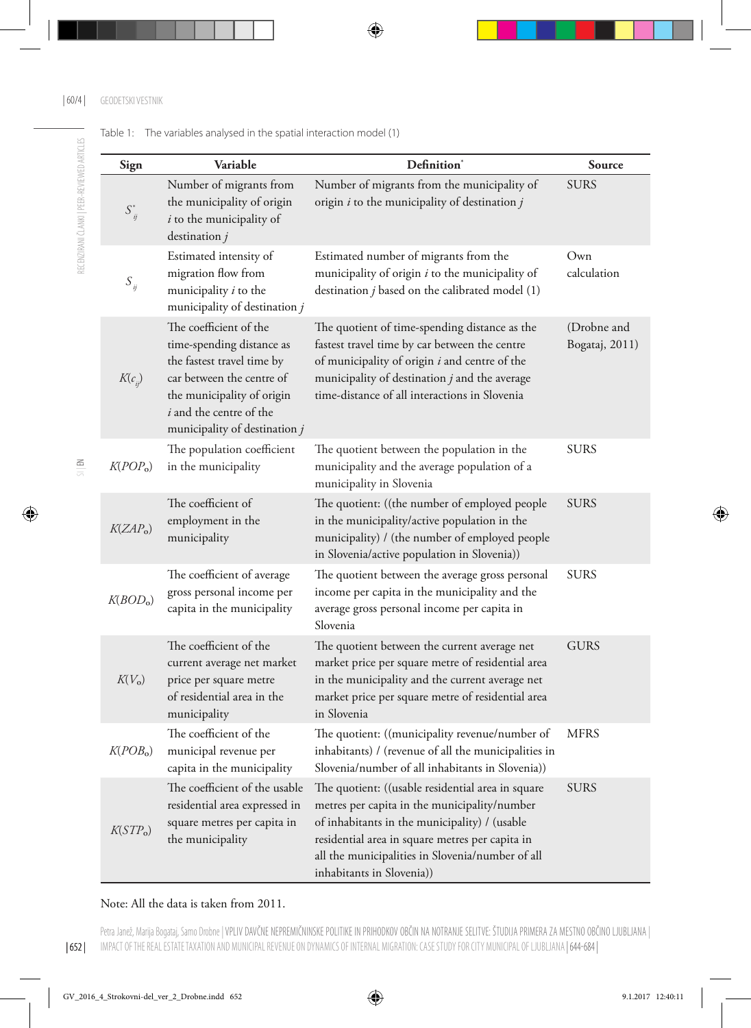| Sign                  | Variable                                                                                                                                                                                                 | Definition <sup>*</sup>                                                                                                                                                                                                                                                                | Source                        |
|-----------------------|----------------------------------------------------------------------------------------------------------------------------------------------------------------------------------------------------------|----------------------------------------------------------------------------------------------------------------------------------------------------------------------------------------------------------------------------------------------------------------------------------------|-------------------------------|
| $S_{ij}^*$            | Number of migrants from<br>the municipality of origin<br>$i$ to the municipality of<br>destination $j$                                                                                                   | Number of migrants from the municipality of<br>origin $i$ to the municipality of destination $j$                                                                                                                                                                                       | <b>SURS</b>                   |
| $S_{ij}$              | Estimated intensity of<br>migration flow from<br>municipality i to the<br>municipality of destination j                                                                                                  | Estimated number of migrants from the<br>municipality of origin $i$ to the municipality of<br>destination $j$ based on the calibrated model $(1)$                                                                                                                                      | Own<br>calculation            |
| $K(c_{ii})$           | The coefficient of the<br>time-spending distance as<br>the fastest travel time by<br>car between the centre of<br>the municipality of origin<br>i and the centre of the<br>municipality of destination j | The quotient of time-spending distance as the<br>fastest travel time by car between the centre<br>of municipality of origin i and centre of the<br>municipality of destination $j$ and the average<br>time-distance of all interactions in Slovenia                                    | (Drobne and<br>Bogataj, 2011) |
| K(POP <sub>o</sub> )  | The population coefficient<br>in the municipality                                                                                                                                                        | The quotient between the population in the<br>municipality and the average population of a<br>municipality in Slovenia                                                                                                                                                                 | <b>SURS</b>                   |
| K(ZAP <sub>o</sub> )  | The coefficient of<br>employment in the<br>municipality                                                                                                                                                  | The quotient: ((the number of employed people<br>in the municipality/active population in the<br>municipality) / (the number of employed people<br>in Slovenia/active population in Slovenia))                                                                                         | <b>SURS</b>                   |
| K( BOD <sub>o</sub> ) | The coefficient of average<br>gross personal income per<br>capita in the municipality                                                                                                                    | The quotient between the average gross personal<br>income per capita in the municipality and the<br>average gross personal income per capita in<br>Slovenia                                                                                                                            | <b>SURS</b>                   |
| $K(V_0)$              | The coefficient of the<br>current average net market<br>price per square metre<br>of residential area in the<br>municipality                                                                             | The quotient between the current average net<br>market price per square metre of residential area<br>in the municipality and the current average net<br>market price per square metre of residential area<br>in Slovenia                                                               | <b>GURS</b>                   |
| K(POB <sub>o</sub> )  | The coefficient of the<br>municipal revenue per<br>capita in the municipality                                                                                                                            | The quotient: ((municipality revenue/number of<br>inhabitants) / (revenue of all the municipalities in<br>Slovenia/number of all inhabitants in Slovenia))                                                                                                                             | <b>MFRS</b>                   |
| K(STP <sub>o</sub> )  | The coefficient of the usable<br>residential area expressed in<br>square metres per capita in<br>the municipality                                                                                        | The quotient: ((usable residential area in square<br>metres per capita in the municipality/number<br>of inhabitants in the municipality) / (usable<br>residential area in square metres per capita in<br>all the municipalities in Slovenia/number of all<br>inhabitants in Slovenia)) | <b>SURS</b>                   |

Note: All the data is taken from 2011.

Petra Janež, Marija Bogataj, Samo Drobne | VPLIV DAVČNE NEPREMIČNINSKE POLITIKE IN PRIHODKOV OBČIN NA NOTRANJE SELITVE: STUDIJA PRIMERA ZA MESTNO OBČINO LJUBLJANA | IMPACT OF THE REAL ESTATE TAXATION AND MUNICIPAL REVENUE ON DYNAMICS OF INTERNAL MIGRATION: CASE STUDY FOR CITY MUNICIPAL OF LJUBLJANA | 644-684 |

| 652 |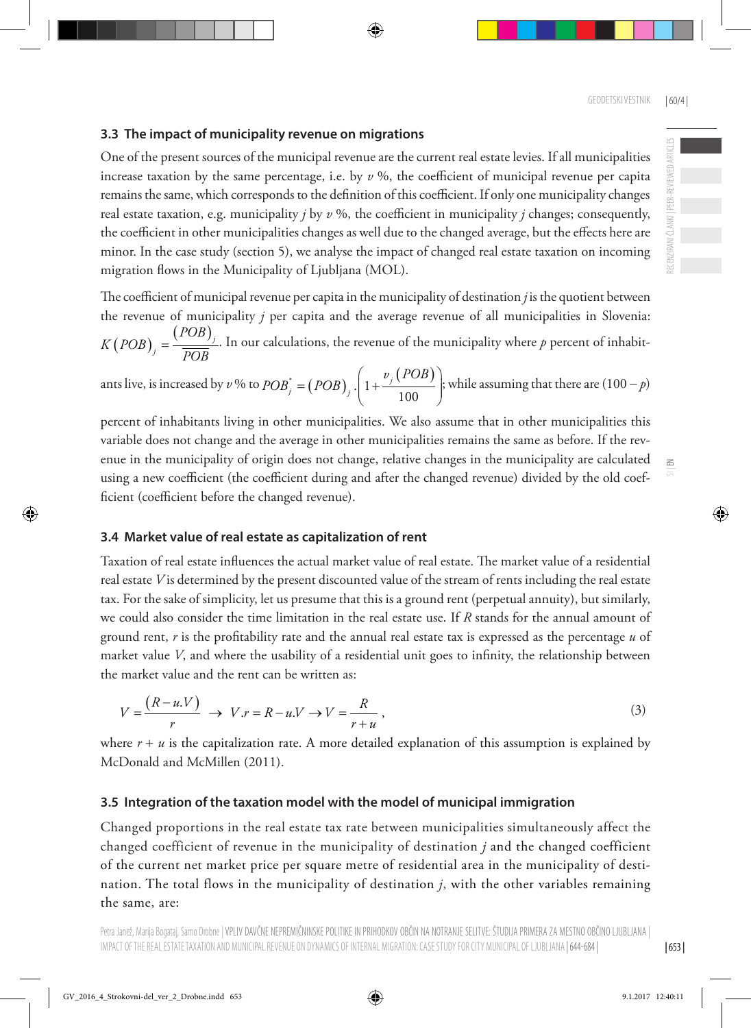### **3.3 The impact of municipality revenue on migrations**

One of the present sources of the municipal revenue are the current real estate levies. If all municipalities increase taxation by the same percentage, i.e. by *v* %, the coefficient of municipal revenue per capita remains the same, which corresponds to the definition of this coefficient. If only one municipality changes real estate taxation, e.g. municipality  $j$  by  $\nu$  %, the coefficient in municipality  $j$  changes; consequently, the coefficient in other municipalities changes as well due to the changed average, but the effects here are minor. In the case study (section 5), we analyse the impact of changed real estate taxation on incoming migration flows in the Municipality of Ljubljana (MOL).

The coefficient of municipal revenue per capita in the municipality of destination *j* is the quotient between the revenue of municipality *j* per capita and the average revenue of all municipalities in Slovenia:  $(POB)_{j} = \frac{(POB)_{j}}{POB}$ *POB*  $K(POB)$ <sub>*j*</sub> =  $\frac{Vf}{POB}$ . In our calculations, the revenue of the municipality where *p* percent of inhabit-

ants live, is increased by *v* % to  $POB_j^* = (POB)_j \cdot \left( 1 + \frac{v_j (POB)}{100} \right)$  $j_j^* = (POB)_j \cdot 1 + \frac{\nu_j}{2}$  $POB_j^* = (POB)_j \cdot \left(1 + \frac{v_j (POB)_j}{100}\right)$  $=(POB)$ ,  $\left(1+\frac{v_j(POB)}{100}\right)$  $(100)$ ; while assuming that there are (100 − *p*)

percent of inhabitants living in other municipalities. We also assume that in other municipalities this variable does not change and the average in other municipalities remains the same as before. If the revenue in the municipality of origin does not change, relative changes in the municipality are calculated using a new coefficient (the coefficient during and after the changed revenue) divided by the old coefficient (coefficient before the changed revenue).

### **3.4 Market value of real estate as capitalization of rent**

Taxation of real estate influences the actual market value of real estate. The market value of a residential real estate *V* is determined by the present discounted value of the stream of rents including the real estate tax. For the sake of simplicity, let us presume that this is a ground rent (perpetual annuity), but similarly, we could also consider the time limitation in the real estate use. If *R* stands for the annual amount of ground rent, *r* is the profitability rate and the annual real estate tax is expressed as the percentage *u* of market value *V*, and where the usability of a residential unit goes to infinity, the relationship between the market value and the rent can be written as:

$$
V = \frac{(R - u.V)}{r} \rightarrow V.r = R - u.V \rightarrow V = \frac{R}{r + u},
$$
\n(3)

where  $r + u$  is the capitalization rate. A more detailed explanation of this assumption is explained by McDonald and McMillen (2011).

### **3.5 Integration of the taxation model with the model of municipal immigration**

Changed proportions in the real estate tax rate between municipalities simultaneously affect the changed coefficient of revenue in the municipality of destination *j* and the changed coefficient of the current net market price per square metre of residential area in the municipality of destination. The total flows in the municipality of destination *j*, with the other variables remaining the same, are:

 $\geq$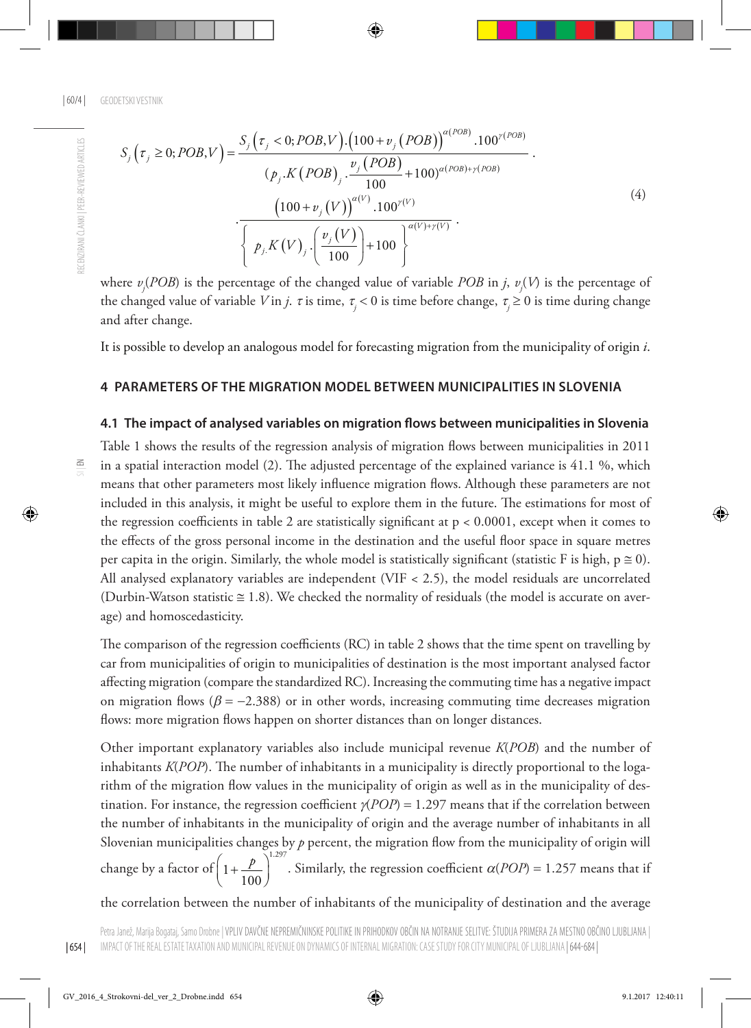$$
S_{j}\left(\tau_{j} \ge 0; POB, V\right) = \frac{S_{j}\left(\tau_{j} < 0; POB, V\right) \cdot \left(100 + v_{j} \left(POB\right)\right)^{\alpha(POB)} \cdot 100^{\gamma(POB)}}{\left(p_{j}.K\left(POB\right), \frac{v_{j}\left(POB\right)}{100} + 100\right)^{\alpha(POB) + \gamma(POB)}} \cdot \frac{\left(100 + v_{j}\left(V\right)\right)^{\alpha(V)} \cdot 100^{\gamma(V)}}{\left\{p_{j}.K\left(V\right), \left(\frac{v_{j}\left(V\right)}{100}\right) + 100\right\}^{\alpha(V) + \gamma(V)}} \cdot (4)
$$

where *vj* (*POB*) is the percentage of the changed value of variable *POB* in *j*, *vj* (*V*) is the percentage of the changed value of variable *V* in *j*. τ is time, <sup>τ</sup>*<sup>j</sup>* < 0 is time before change, <sup>τ</sup>*<sup>j</sup>* ≥ 0 is time during change and after change.

It is possible to develop an analogous model for forecasting migration from the municipality of origin *i*.

#### **4 Parameters of the migration model between municipalities in Slovenia**

#### **4.1 The impact of analysed variables on migration flows between municipalities in Slovenia**

Table 1 shows the results of the regression analysis of migration flows between municipalities in 2011 in a spatial interaction model (2). The adjusted percentage of the explained variance is 41.1 %, which means that other parameters most likely influence migration flows. Although these parameters are not included in this analysis, it might be useful to explore them in the future. The estimations for most of the regression coefficients in table 2 are statistically significant at  $p < 0.0001$ , except when it comes to the effects of the gross personal income in the destination and the useful floor space in square metres per capita in the origin. Similarly, the whole model is statistically significant (statistic F is high,  $p \ge 0$ ). All analysed explanatory variables are independent (VIF < 2.5), the model residuals are uncorrelated (Durbin-Watson statistic  $\approx$  1.8). We checked the normality of residuals (the model is accurate on average) and homoscedasticity.

The comparison of the regression coefficients (RC) in table 2 shows that the time spent on travelling by car from municipalities of origin to municipalities of destination is the most important analysed factor affecting migration (compare the standardized RC). Increasing the commuting time has a negative impact on migration flows ( $\beta = -2.388$ ) or in other words, increasing commuting time decreases migration flows: more migration flows happen on shorter distances than on longer distances.

Other important explanatory variables also include municipal revenue *K*(*POB*) and the number of inhabitants *K*(*POP*). The number of inhabitants in a municipality is directly proportional to the logarithm of the migration flow values in the municipality of origin as well as in the municipality of destination. For instance, the regression coefficient  $\gamma(POP) = 1.297$  means that if the correlation between the number of inhabitants in the municipality of origin and the average number of inhabitants in all Slovenian municipalities changes by  $p$  percent, the migration flow from the municipality of origin will change by a factor of  $\left(1+\frac{p}{p}\right)^{1.297}$  $\left(1+\frac{p}{100}\right)^{120}$ . Similarly, the regression coefficient  $\alpha(POP) = 1.257$  means that if

the correlation between the number of inhabitants of the municipality of destination and the average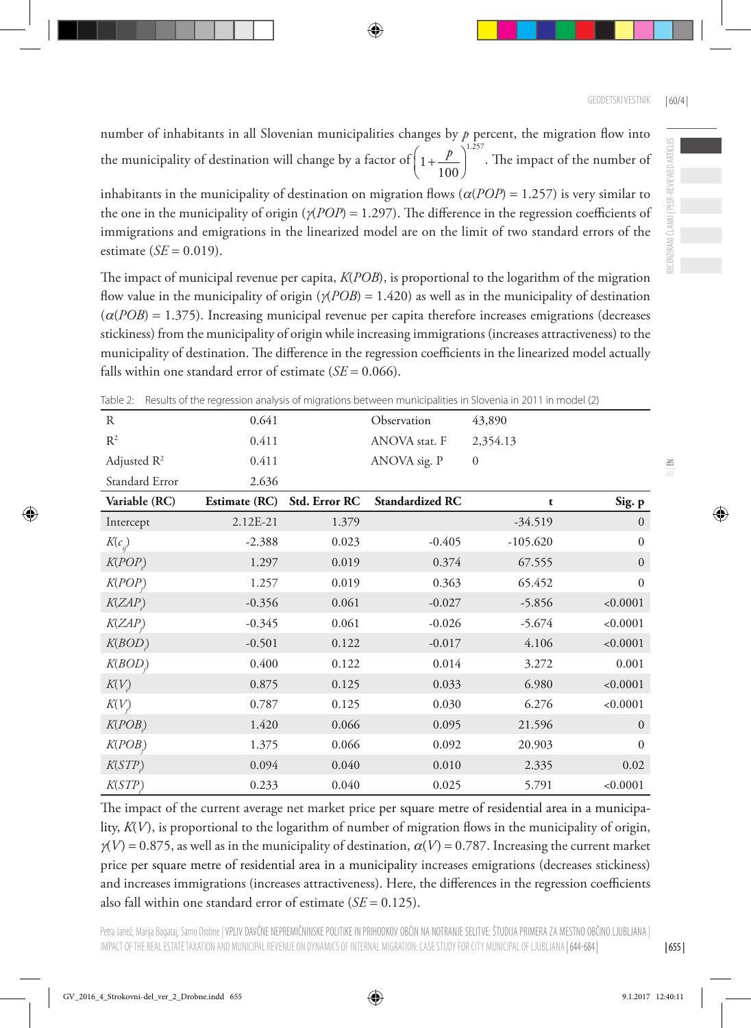RECENZIRANI ČLANKI | PEER-REVIEWED ARTICLES

 $\leq$ 

number of inhabitants in all Slovenian municipalities changes by  $p$  percent, the migration flow into the municipality of destination will change by a factor of  $\left(1+\frac{p}{\cdot\cdot\cdot}\right)^{1.257}$  $\left(1+\frac{p}{100}\right)^{120}$ . The impact of the number of

inhabitants in the municipality of destination on migration flows ( $\alpha(POP) = 1.257$ ) is very similar to the one in the municipality of origin (γ(*POP*) = 1.297). The difference in the regression coefficients of immigrations and emigrations in the linearized model are on the limit of two standard errors of the estimate  $(SE = 0.019)$ .

The impact of municipal revenue per capita, *K*(*POB*), is proportional to the logarithm of the migration flow value in the municipality of origin (γ(*POB*) = 1.420) as well as in the municipality of destination  $(\alpha(POB) = 1.375)$ . Increasing municipal revenue per capita therefore increases emigrations (decreases) stickiness) from the municipality of origin while increasing immigrations (increases attractiveness) to the municipality of destination. The difference in the regression coefficients in the linearized model actually falls within one standard error of estimate  $(SE = 0.066)$ .

| R              | 0.641         |               | Observation            | 43,890           |                  |
|----------------|---------------|---------------|------------------------|------------------|------------------|
| $R^2$          | 0.411         |               | ANOVA stat. F          | 2,354.13         |                  |
| Adjusted $R^2$ | 0.411         |               | ANOVA sig. P           | $\boldsymbol{0}$ |                  |
| Standard Error | 2.636         |               |                        |                  |                  |
| Variable (RC)  | Estimate (RC) | Std. Error RC | <b>Standardized RC</b> | t                | Sig. p           |
| Intercept      | 2.12E-21      | 1.379         |                        | $-34.519$        | $\mathbf{0}$     |
| $K(c_{ii})$    | $-2.388$      | 0.023         | $-0.405$               | $-105.620$       | $\mathbf{0}$     |
| K(POP)         | 1.297         | 0.019         | 0.374                  | 67.555           | $\boldsymbol{0}$ |
| K(POP)         | 1.257         | 0.019         | 0.363                  | 65.452           | $\mathbf{0}$     |
| K(ZAP)         | $-0.356$      | 0.061         | $-0.027$               | $-5.856$         | < 0.0001         |
| K(ZAP)         | $-0.345$      | 0.061         | $-0.026$               | $-5.674$         | < 0.0001         |
| K(BOD)         | $-0.501$      | 0.122         | $-0.017$               | 4.106            | < 0.0001         |
| K(BOD)         | 0.400         | 0.122         | 0.014                  | 3.272            | 0.001            |
| K(V)           | 0.875         | 0.125         | 0.033                  | 6.980            | < 0.0001         |
| K(V)           | 0.787         | 0.125         | 0.030                  | 6.276            | < 0.0001         |
| K(POB)         | 1.420         | 0.066         | 0.095                  | 21.596           | $\boldsymbol{0}$ |
| K(POB)         | 1.375         | 0.066         | 0.092                  | 20.903           | $\mathbf{0}$     |
| K(STP)         | 0.094         | 0.040         | 0.010                  | 2.335            | 0.02             |
| K(STP)         | 0.233         | 0.040         | 0.025                  | 5.791            | < 0.0001         |

Table 2: Results of the regression analysis of migrations between municipalities in Slovenia in 2011 in model (2)

The impact of the current average net market price per square metre of residential area in a municipality, *K*(*V*), is proportional to the logarithm of number of migration flows in the municipality of origin,  $\gamma(V) = 0.875$ , as well as in the municipality of destination,  $\alpha(V) = 0.787$ . Increasing the current market price per square metre of residential area in a municipality increases emigrations (decreases stickiness) and increases immigrations (increases attractiveness). Here, the differences in the regression coefficients also fall within one standard error of estimate  $(SE = 0.125)$ .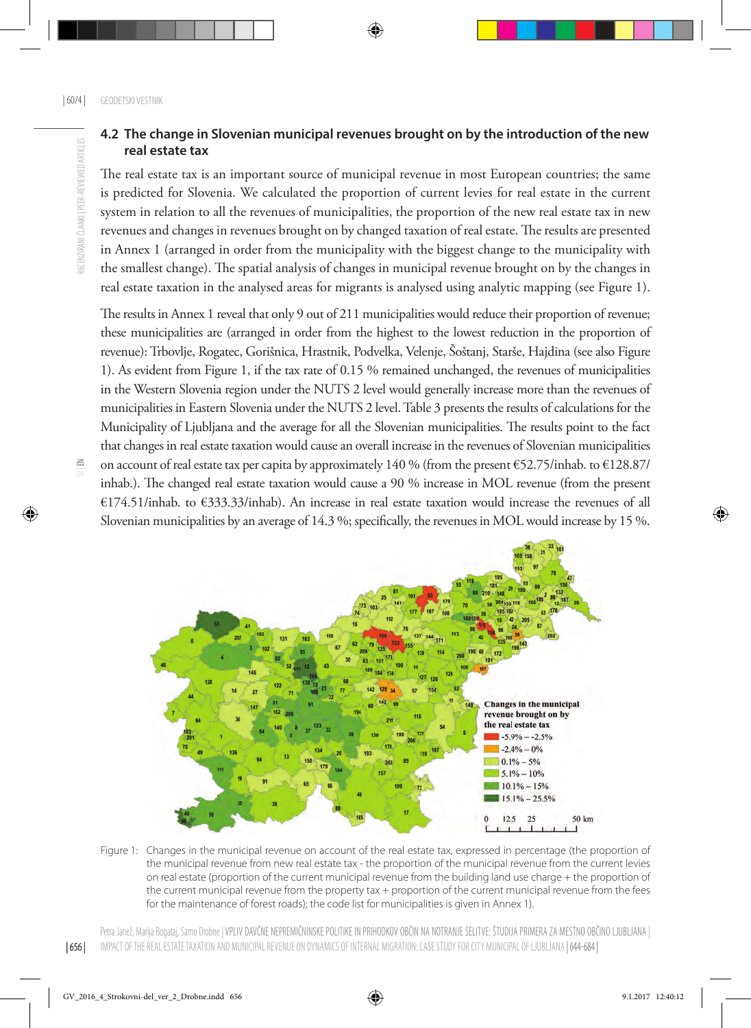### **4.2 The change in Slovenian municipal revenues brought on by the introduction of the new real estate tax**

The real estate tax is an important source of municipal revenue in most European countries; the same is predicted for Slovenia. We calculated the proportion of current levies for real estate in the current system in relation to all the revenues of municipalities, the proportion of the new real estate tax in new revenues and changes in revenues brought on by changed taxation of real estate. The results are presented in Annex 1 (arranged in order from the municipality with the biggest change to the municipality with the smallest change). The spatial analysis of changes in municipal revenue brought on by the changes in real estate taxation in the analysed areas for migrants is analysed using analytic mapping (see Figure 1).

The results in Annex 1 reveal that only 9 out of 211 municipalities would reduce their proportion of revenue; these municipalities are (arranged in order from the highest to the lowest reduction in the proportion of revenue): Trbovlje, Rogatec, Gorišnica, Hrastnik, Podvelka, Velenje, Šoštanj, Starše, Hajdina (see also Figure 1). As evident from Figure 1, if the tax rate of 0.15 % remained unchanged, the revenues of municipalities in the Western Slovenia region under the NUTS 2 level would generally increase more than the revenues of municipalities in Eastern Slovenia under the NUTS 2 level. Table 3 presents the results of calculations for the Municipality of Ljubljana and the average for all the Slovenian municipalities. The results point to the fact that changes in real estate taxation would cause an overall increase in the revenues of Slovenian municipalities on account of real estate tax per capita by approximately 140 % (from the present €52.75/inhab. to €128.87/ inhab.). The changed real estate taxation would cause a 90 % increase in MOL revenue (from the present €174.51/inhab. to €333.33/inhab). An increase in real estate taxation would increase the revenues of all Slovenian municipalities by an average of 14.3 %; specifically, the revenues in MOL would increase by 15 %.



Figure 1: Changes in the municipal revenue on account of the real estate tax, expressed in percentage (the proportion of the municipal revenue from new real estate tax - the proportion of the municipal revenue from the current levies on real estate (proportion of the current municipal revenue from the building land use charge + the proportion of the current municipal revenue from the property tax + proportion of the current municipal revenue from the fees for the maintenance of forest roads); the code list for municipalities is given in Annex 1).

 $\frac{6}{5}$ 

Petra Janež, Marija Bogataj, Samo Drobne | VPLIV DAVČNE NEPREMIČNINSKE POLITIKE IN PRIHODKOV OBČIN NA NOTRANJE SELITVE: ŠTUDIJA PRIMERA ZA MESTNO OBČINO LJUBLJANA | IMPACT OF THE REAL ESTATE TAXATION AND MUNICIPAL REVENUE ON DYNAMICS OF INTERNAL MIGRATION: CASE STUDY FOR CITY MUNICIPAL OF LJUBLJANA | 644-684 |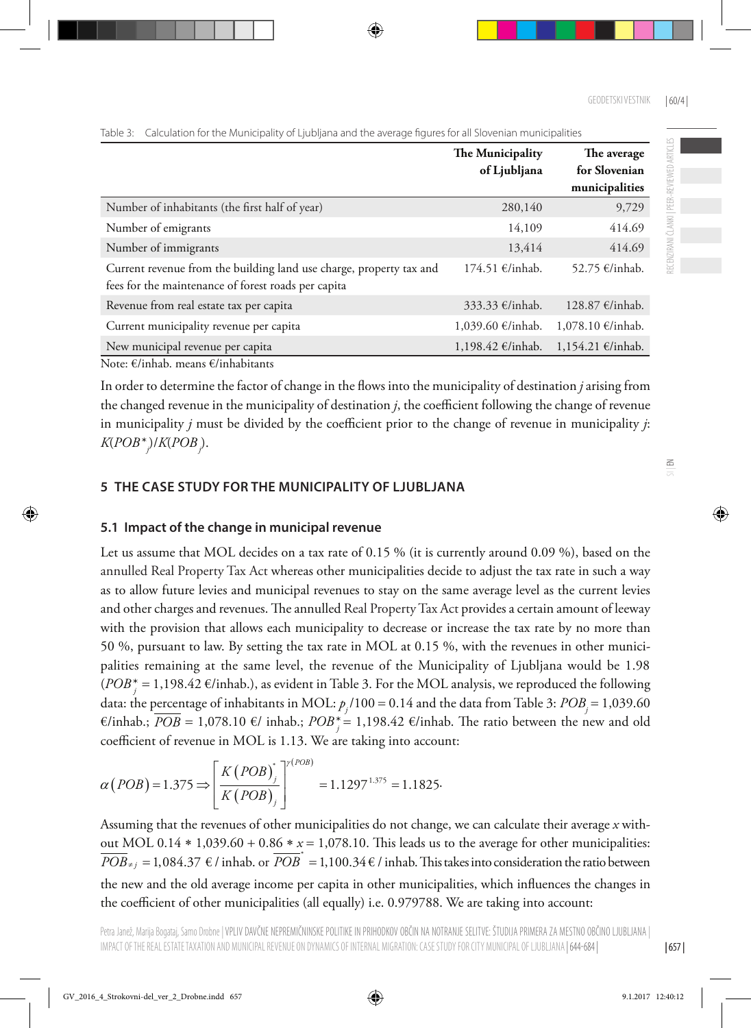|                                                                                                                            | The Municipality  | The average                     |
|----------------------------------------------------------------------------------------------------------------------------|-------------------|---------------------------------|
|                                                                                                                            | of Ljubljana      | for Slovenian<br>municipalities |
| Number of inhabitants (the first half of year)                                                                             | 280,140           | 9,729                           |
| Number of emigrants                                                                                                        | 14,109            | 414.69                          |
| Number of immigrants                                                                                                       | 13,414            | 414.69                          |
| Current revenue from the building land use charge, property tax and<br>fees for the maintenance of forest roads per capita | 174.51 €/inhab.   | 52.75 €/inhab.                  |
| Revenue from real estate tax per capita                                                                                    | 333.33 €/inhab.   | 128.87 €/inhab.                 |
| Current municipality revenue per capita                                                                                    | 1,039.60 €/inhab. | 1,078.10 €/inhab.               |
| New municipal revenue per capita                                                                                           | 1,198.42 €/inhab. | 1,154.21 €/inhab.               |

Table 3: Calculation for the Municipality of Ljubljana and the average figures for all Slovenian municipalities

Note: €/inhab. means €/inhabitants

In order to determine the factor of change in the flows into the municipality of destination *j* arising from the changed revenue in the municipality of destination *j*, the coefficient following the change of revenue in municipality *j* must be divided by the coefficient prior to the change of revenue in municipality *j*: *K*(*POB*\**<sup>j</sup>* )/*K*(*POBj* ).

### **5 The case study for the Municipality of Ljubljana**

### **5.1 Impact of the change in municipal revenue**

Let us assume that MOL decides on a tax rate of 0.15 % (it is currently around 0.09 %), based on the annulled Real Property Tax Act whereas other municipalities decide to adjust the tax rate in such a way as to allow future levies and municipal revenues to stay on the same average level as the current levies and other charges and revenues. The annulled Real Property Tax Act provides a certain amount of leeway with the provision that allows each municipality to decrease or increase the tax rate by no more than 50 %, pursuant to law. By setting the tax rate in MOL at 0.15 %, with the revenues in other municipalities remaining at the same level, the revenue of the Municipality of Ljubljana would be 1.98 (*POB*<sup>\*</sup><sub>*j*</sub> = 1,198.42 €/inhab.), as evident in Table 3. For the MOL analysis, we reproduced the following data: the percentage of inhabitants in MOL:  $p_j / 100 = 0.14$  and the data from Table 3:  $POB_j = 1,039.60$  $€/inhab$ :; *POB* = 1,078.10 €/ inhab.; *POB*<sup>\*</sup><sub>j</sub> = 1,198.42 €/inhab. The ratio between the new and old coefficient of revenue in MOL is 1.13. We are taking into account:

$$
\alpha (POB) = 1.375 \Longrightarrow \left[\frac{K (POB)^{*}}{K (POB)}\right]^{r (POB)} = 1.1297^{1.375} = 1.1825.
$$

Assuming that the revenues of other municipalities do not change, we can calculate their average *x* without MOL 0.14 ∗ 1,039.60 + 0.86 ∗ *x* = 1,078.10. This leads us to the average for other municipalities:  $\overline{POB}_{\neq j} = 1,084.37 \in \ell \text{ inhab. or } \overline{POB}^* = 1,100.34 \in \ell \text{ inhab.}$  This takes into consideration the ratio between the new and the old average income per capita in other municipalities, which influences the changes in the coefficient of other municipalities (all equally) i.e. 0.979788. We are taking into account:

| 657 |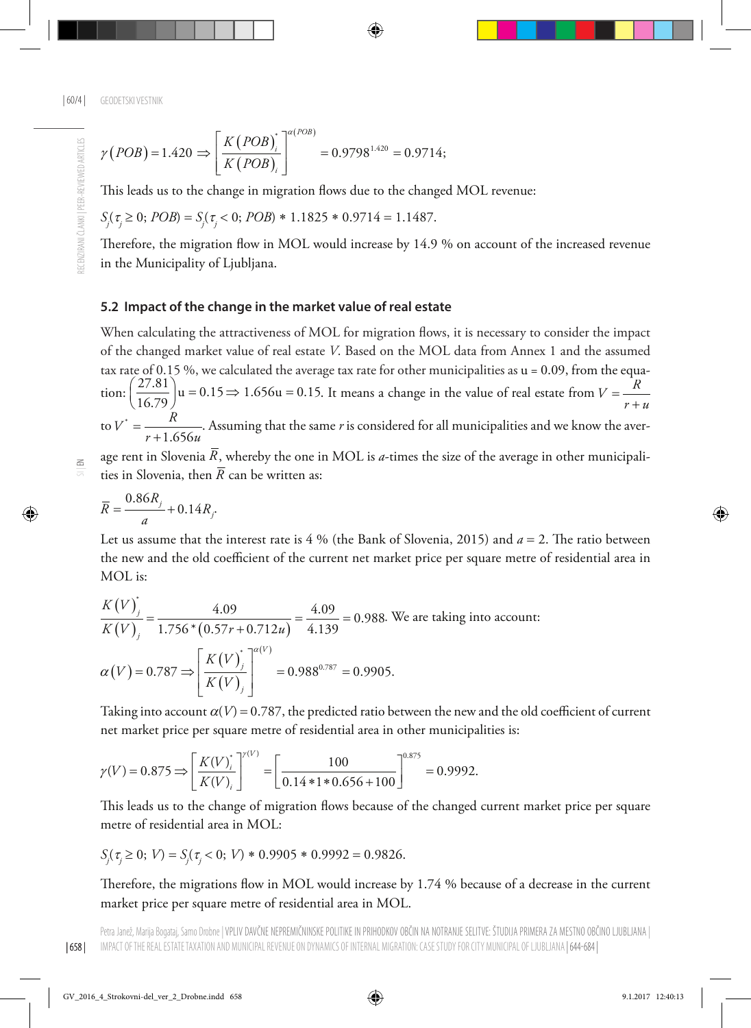$$
\gamma (POB) = 1.420 \implies \left[ \frac{K (POB)_i}{K (POB)_i} \right]^{\alpha (POB)} = 0.9798^{1.420} = 0.9714;
$$

This leads us to the change in migration flows due to the changed MOL revenue:

$$
S_j(\tau_j \ge 0; POB) = S_j(\tau_j < 0; POB) * 1.1825 * 0.9714 = 1.1487.
$$

Therefore, the migration flow in MOL would increase by 14.9 % on account of the increased revenue in the Municipality of Ljubljana.

#### **5.2 Impact of the change in the market value of real estate**

When calculating the attractiveness of MOL for migration flows, it is necessary to consider the impact of the changed market value of real estate *V*. Based on the MOL data from Annex 1 and the assumed tax rate of  $0.15$  %, we calculated the average tax rate for other municipalities as  $u = 0.09$ , from the equation:  $\left(\frac{27.81}{16.79}\right)$ u = 0.15  $\Rightarrow$  1.656u = 0.15. It means a change in the value of real estate from  $V = \frac{R}{r + u}$ to  $V^*$  $V^* = \frac{R}{r+1.656u}$ . Assuming that the same *r* is considered for all municipalities and we know the aver-

age rent in Slovenia  $\overline{R}$ , whereby the one in MOL is *a*-times the size of the average in other municipalities in Slovenia, then  $\overline{R}$  can be written as:

$$
\overline{R} = \frac{0.86R_j}{a} + 0.14R_j.
$$

Let us assume that the interest rate is 4 % (the Bank of Slovenia, 2015) and  $a = 2$ . The ratio between the new and the old coefficient of the current net market price per square metre of residential area in MOL is:

$$
\frac{K(V)}{K(V)}_{j} = \frac{4.09}{1.756*(0.57r + 0.712u)} = \frac{4.09}{4.139} = 0.988.
$$
 We are taking into account:  

$$
\alpha(V) = 0.787 \Rightarrow \left[ \frac{K(V)}{K(V)}_{j} \right]^{\alpha(V)} = 0.988^{0.787} = 0.9905.
$$

Taking into account  $\alpha(V) = 0.787$ , the predicted ratio between the new and the old coefficient of current net market price per square metre of residential area in other municipalities is:

$$
\gamma(V) = 0.875 \Longrightarrow \left[\frac{K(V)^{*}_{i}}{K(V)^{}}\right]^{V(V)} = \left[\frac{100}{0.14*1*0.656+100}\right]^{0.875} = 0.9992.
$$

This leads us to the change of migration flows because of the changed current market price per square metre of residential area in MOL:

$$
S_j(\tau_j \ge 0; V) = S_j(\tau_j < 0; V) \cdot 0.9905 \cdot 0.9992 = 0.9826.
$$

Therefore, the migrations flow in MOL would increase by 1.74 % because of a decrease in the current market price per square metre of residential area in MOL.

 $\leq$ 

| 658 |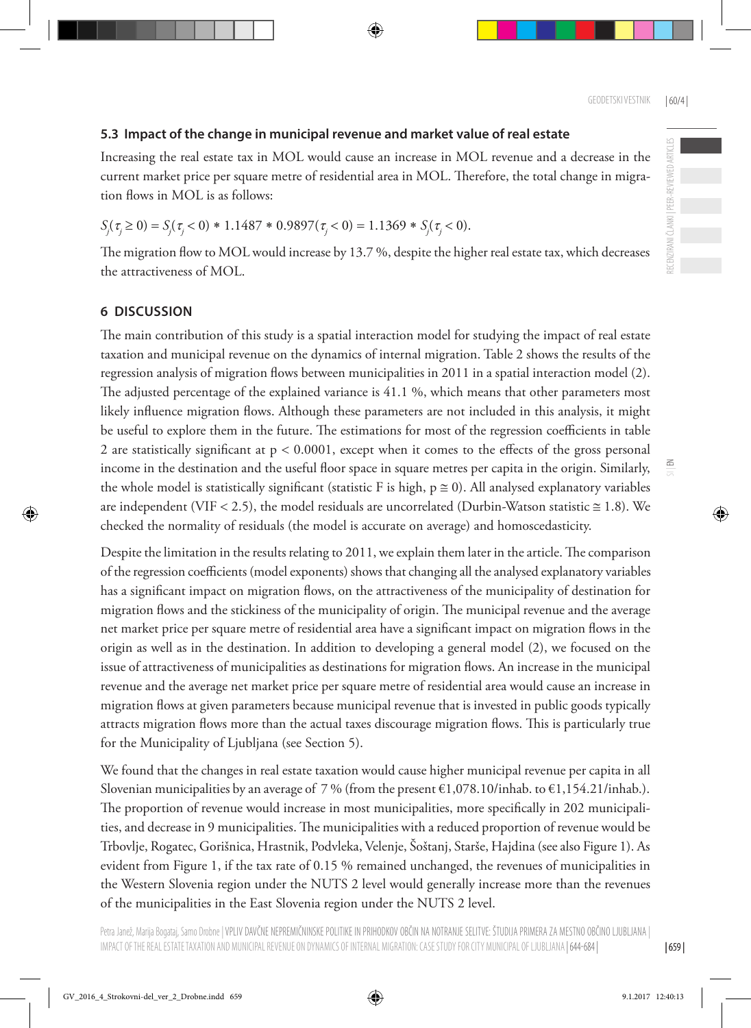#### **5.3 Impact of the change in municipal revenue and market value of real estate**

Increasing the real estate tax in MOL would cause an increase in MOL revenue and a decrease in the current market price per square metre of residential area in MOL. Therefore, the total change in migration flows in MOL is as follows:

## $S_j(\tau_j \ge 0) = S_j(\tau_j < 0) * 1.1487 * 0.9897(\tau_j < 0) = 1.1369 * S_j(\tau_j < 0).$

The migration flow to MOL would increase by 13.7 %, despite the higher real estate tax, which decreases the attractiveness of MOL.

#### **6 DISCUSSION**

The main contribution of this study is a spatial interaction model for studying the impact of real estate taxation and municipal revenue on the dynamics of internal migration. Table 2 shows the results of the regression analysis of migration flows between municipalities in 2011 in a spatial interaction model (2). The adjusted percentage of the explained variance is 41.1 %, which means that other parameters most likely influence migration flows. Although these parameters are not included in this analysis, it might be useful to explore them in the future. The estimations for most of the regression coefficients in table 2 are statistically significant at p < 0.0001, except when it comes to the effects of the gross personal income in the destination and the useful floor space in square metres per capita in the origin. Similarly, the whole model is statistically significant (statistic F is high,  $p \ge 0$ ). All analysed explanatory variables are independent (VIF < 2.5), the model residuals are uncorrelated (Durbin-Watson statistic  $\approx$  1.8). We checked the normality of residuals (the model is accurate on average) and homoscedasticity.

Despite the limitation in the results relating to 2011, we explain them later in the article. The comparison of the regression coefficients (model exponents) shows that changing all the analysed explanatory variables has a significant impact on migration flows, on the attractiveness of the municipality of destination for migration flows and the stickiness of the municipality of origin. The municipal revenue and the average net market price per square metre of residential area have a significant impact on migration flows in the origin as well as in the destination. In addition to developing a general model (2), we focused on the issue of attractiveness of municipalities as destinations for migration flows. An increase in the municipal revenue and the average net market price per square metre of residential area would cause an increase in migration flows at given parameters because municipal revenue that is invested in public goods typically attracts migration flows more than the actual taxes discourage migration flows. This is particularly true for the Municipality of Ljubljana (see Section 5).

We found that the changes in real estate taxation would cause higher municipal revenue per capita in all Slovenian municipalities by an average of 7 % (from the present  $\epsilon$ 1,078.10/inhab. to  $\epsilon$ 1,154.21/inhab.). The proportion of revenue would increase in most municipalities, more specifically in 202 municipalities, and decrease in 9 municipalities. The municipalities with a reduced proportion of revenue would be Trbovlje, Rogatec, Gorišnica, Hrastnik, Podvleka, Velenje, Šoštanj, Starše, Hajdina (see also Figure 1). As evident from Figure 1, if the tax rate of 0.15 % remained unchanged, the revenues of municipalities in the Western Slovenia region under the NUTS 2 level would generally increase more than the revenues of the municipalities in the East Slovenia region under the NUTS 2 level.

| 659 |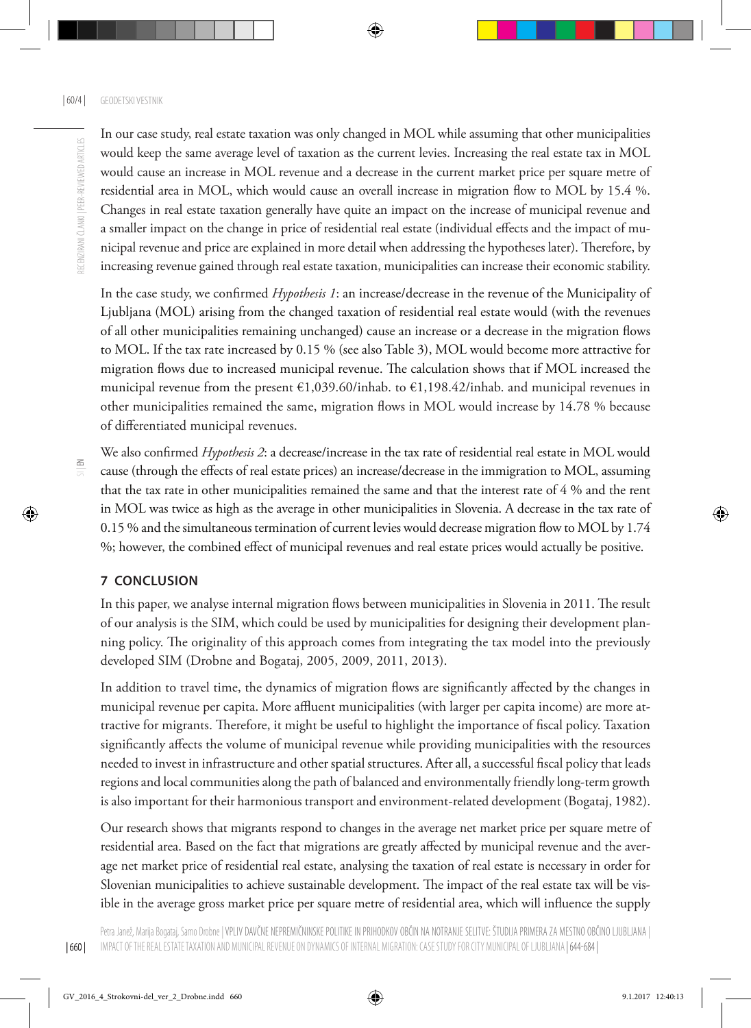In our case study, real estate taxation was only changed in MOL while assuming that other municipalities would keep the same average level of taxation as the current levies. Increasing the real estate tax in MOL would cause an increase in MOL revenue and a decrease in the current market price per square metre of residential area in MOL, which would cause an overall increase in migration flow to MOL by 15.4 %. Changes in real estate taxation generally have quite an impact on the increase of municipal revenue and a smaller impact on the change in price of residential real estate (individual effects and the impact of municipal revenue and price are explained in more detail when addressing the hypotheses later). Therefore, by increasing revenue gained through real estate taxation, municipalities can increase their economic stability.

In the case study, we confirmed *Hypothesis 1*: an increase/decrease in the revenue of the Municipality of Ljubljana (MOL) arising from the changed taxation of residential real estate would (with the revenues of all other municipalities remaining unchanged) cause an increase or a decrease in the migration flows to MOL. If the tax rate increased by 0.15 % (see also Table 3), MOL would become more attractive for migration flows due to increased municipal revenue. The calculation shows that if MOL increased the municipal revenue from the present €1,039.60/inhab. to €1,198.42/inhab. and municipal revenues in other municipalities remained the same, migration flows in MOL would increase by 14.78 % because of differentiated municipal revenues.

We also confirmed *Hypothesis 2*: a decrease/increase in the tax rate of residential real estate in MOL would cause (through the effects of real estate prices) an increase/decrease in the immigration to MOL, assuming that the tax rate in other municipalities remained the same and that the interest rate of 4 % and the rent in MOL was twice as high as the average in other municipalities in Slovenia. A decrease in the tax rate of 0.15 % and the simultaneous termination of current levies would decrease migration flow to MOL by 1.74 %; however, the combined effect of municipal revenues and real estate prices would actually be positive.

### **7 CONCLUSION**

In this paper, we analyse internal migration flows between municipalities in Slovenia in 2011. The result of our analysis is the SIM, which could be used by municipalities for designing their development planning policy. The originality of this approach comes from integrating the tax model into the previously developed SIM (Drobne and Bogataj, 2005, 2009, 2011, 2013).

In addition to travel time, the dynamics of migration flows are significantly affected by the changes in municipal revenue per capita. More affluent municipalities (with larger per capita income) are more attractive for migrants. Therefore, it might be useful to highlight the importance of fiscal policy. Taxation significantly affects the volume of municipal revenue while providing municipalities with the resources needed to invest in infrastructure and other spatial structures. After all, a successful fiscal policy that leads regions and local communities along the path of balanced and environmentally friendly long-term growth is also important for their harmonious transport and environment-related development (Bogataj, 1982).

Our research shows that migrants respond to changes in the average net market price per square metre of residential area. Based on the fact that migrations are greatly affected by municipal revenue and the average net market price of residential real estate, analysing the taxation of real estate is necessary in order for Slovenian municipalities to achieve sustainable development. The impact of the real estate tax will be visible in the average gross market price per square metre of residential area, which will influence the supply

| 660 |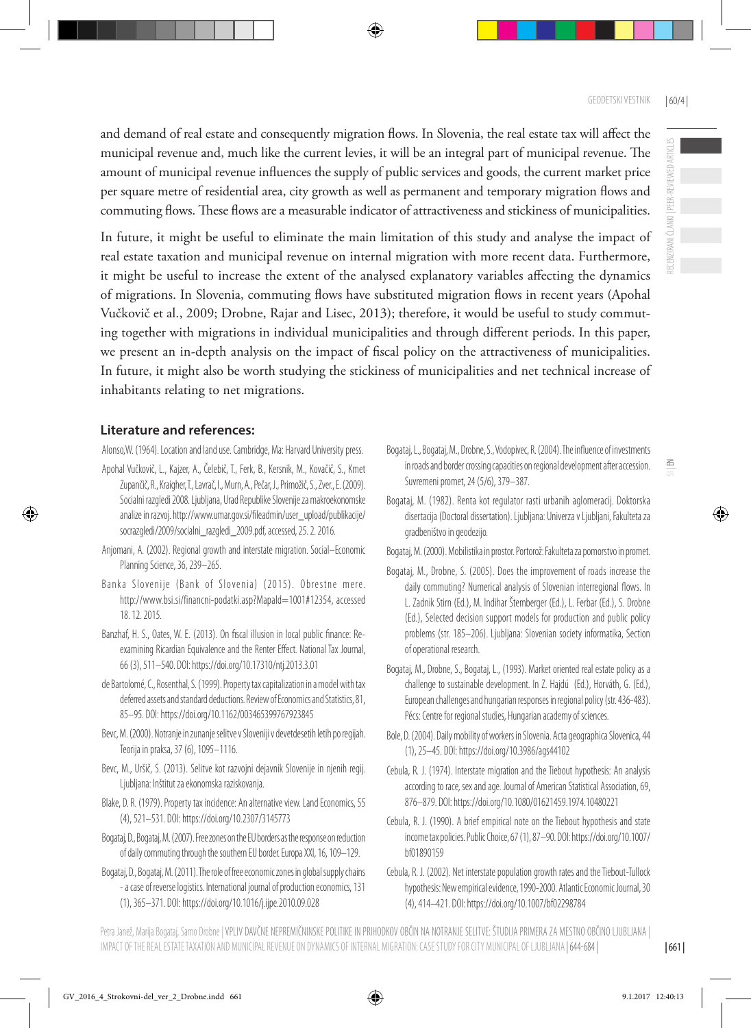RECENZIRANI ČLANKI | PEER-REVIEWED ARTICLES

 $\leq$ 

and demand of real estate and consequently migration flows. In Slovenia, the real estate tax will affect the municipal revenue and, much like the current levies, it will be an integral part of municipal revenue. The amount of municipal revenue influences the supply of public services and goods, the current market price per square metre of residential area, city growth as well as permanent and temporary migration flows and commuting flows. These flows are a measurable indicator of attractiveness and stickiness of municipalities.

In future, it might be useful to eliminate the main limitation of this study and analyse the impact of real estate taxation and municipal revenue on internal migration with more recent data. Furthermore, it might be useful to increase the extent of the analysed explanatory variables affecting the dynamics of migrations. In Slovenia, commuting flows have substituted migration flows in recent years (Apohal Vučkovič et al., 2009; Drobne, Rajar and Lisec, 2013); therefore, it would be useful to study commuting together with migrations in individual municipalities and through different periods. In this paper, we present an in-depth analysis on the impact of fiscal policy on the attractiveness of municipalities. In future, it might also be worth studying the stickiness of municipalities and net technical increase of inhabitants relating to net migrations.

#### **Literature and references:**

Alonso,W. (1964). Location and land use. Cambridge, Ma: Harvard University press.

- Apohal Vučkovič, L., Kajzer, A., Čelebič, T., Ferk, B., Kersnik, M., Kovačič, S., Kmet Zupančič, R., Kraigher, T., Lavrač, I., Murn, A., Pečar, J., Primožič, S., Zver., E. (2009). Socialni razgledi 2008. Ljubljana, Urad Republike Slovenije za makroekonomske analize in razvoj. http://www.umar.gov.si/fileadmin/user\_upload/publikacije/ socrazgledi/2009/socialni\_razgledi\_2009.pdf, accessed, 25. 2. 2016.
- Anjomani, A. (2002). Regional growth and interstate migration. Social–Economic Planning Science, 36, 239–265.
- Banka Slovenije (Bank of Slovenia) (2015). Obrestne mere. http://www.bsi.si/financni-podatki.asp?MapaId=1001#12354, accessed 18. 12. 2015.
- Banzhaf, H. S., Oates, W. E. (2013). On fiscal illusion in local public finance: Reexamining Ricardian Equivalence and the Renter Effect. National Tax Journal, 66 (3), 511–540. DOI: https://doi.org/10.17310/ntj.2013.3.01
- de Bartolomé, C., Rosenthal, S. (1999). Property tax capitalization in a model with tax deferred assets and standard deductions. Review of Economics and Statistics, 81, 85–95. DOI: https://doi.org/10.1162/003465399767923845
- Bevc, M. (2000). Notranje in zunanje selitve v Sloveniji v devetdesetih letih po regijah. Teorija in praksa, 37 (6), 1095–1116.
- Bevc, M., Uršič, S. (2013). Selitve kot razvojni dejavnik Slovenije in njenih regij. Ljubljana: Inštitut za ekonomska raziskovanja.
- Blake, D. R. (1979). Property tax incidence: An alternative view. Land Economics, 55 (4), 521–531. DOI: https://doi.org/10.2307/3145773
- Bogataj, D., Bogataj, M. (2007). Free zones on the EU borders as the response on reduction of daily commuting through the southern EU border. Europa XXI, 16, 109–129.
- Bogataj, D., Bogataj, M. (2011). The role of free economic zones in global supply chains - a case of reverse logistics. International journal of production economics, 131 (1), 365–371. DOI: https://doi.org/10.1016/j.ijpe.2010.09.028
- Bogataj, L., Bogataj, M., Drobne, S., Vodopivec, R. (2004). The influence of investments in roads and border crossing capacities on regional development after accession. Suvremeni promet, 24 (5/6), 379–387.
- Bogataj, M. (1982). Renta kot regulator rasti urbanih aglomeracij. Doktorska disertacija (Doctoral dissertation). Ljubljana: Univerza v Ljubljani, Fakulteta za gradbeništvo in geodezijo.

Bogataj, M. (2000). Mobilistika in prostor. Portorož: Fakulteta za pomorstvo in promet.

- Bogataj, M., Drobne, S. (2005). Does the improvement of roads increase the daily commuting? Numerical analysis of Slovenian interregional flows. In L. Zadnik Stirn (Ed.), M. Indihar Štemberger (Ed.), L. Ferbar (Ed.), S. Drobne (Ed.), Selected decision support models for production and public policy problems (str. 185–206). Ljubljana: Slovenian society informatika, Section of operational research.
- Bogataj, M., Drobne, S., Bogataj, L., (1993). Market oriented real estate policy as a challenge to sustainable development. In Z. Hajdú (Ed.), Horváth, G. (Ed.), European challenges and hungarian responses in regional policy (str. 436-483). Pécs: Centre for regional studies, Hungarian academy of sciences.
- Bole, D. (2004). Daily mobility of workers in Slovenia. Acta geographica Slovenica, 44 (1), 25–45. DOI: https://doi.org/10.3986/ags44102
- Cebula, R. J. (1974). Interstate migration and the Tiebout hypothesis: An analysis according to race, sex and age. Journal of American Statistical Association, 69, 876–879. DOI: https://doi.org/10.1080/01621459.1974.10480221
- Cebula, R. J. (1990). A brief empirical note on the Tiebout hypothesis and state income tax policies. Public Choice, 67 (1), 87–90. DOI: https://doi.org/10.1007/ bf01890159
- Cebula, R. J. (2002). Net interstate population growth rates and the Tiebout-Tullock hypothesis: New empirical evidence, 1990-2000. Atlantic Economic Journal, 30 (4), 414–421. DOI: https://doi.org/10.1007/bf02298784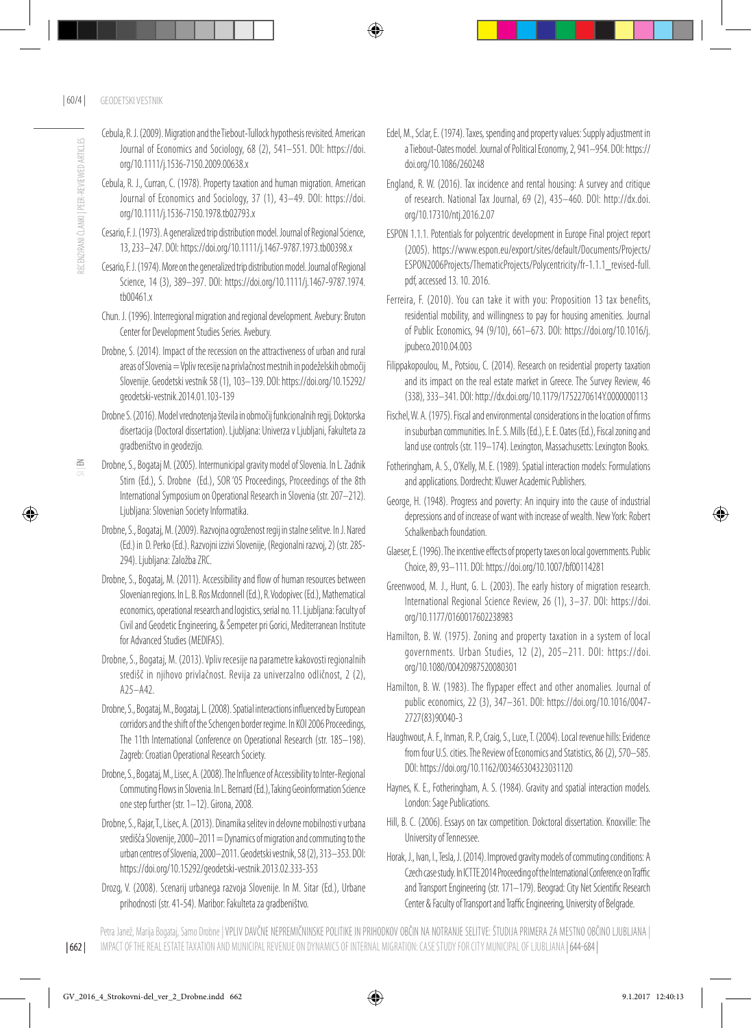- Cebula, R. J. (2009). Migration and the Tiebout-Tullock hypothesis revisited. American Journal of Economics and Sociology, 68 (2), 541–551. DOI: https://doi. org/10.1111/j.1536-7150.2009.00638.x
- Cebula, R. J., Curran, C. (1978). Property taxation and human migration. American Journal of Economics and Sociology, 37 (1), 43–49. DOI: https://doi. org/10.1111/j.1536-7150.1978.tb02793.x
- Cesario, F. J. (1973). A generalized trip distribution model. Journal of Regional Science, 13, 233–247. DOI: https://doi.org/10.1111/j.1467-9787.1973.tb00398.x
- Cesario, F. J. (1974). More on the generalized trip distribution model. Journal of Regional Science, 14 (3), 389–397. DOI: https://doi.org/10.1111/j.1467-9787.1974. tb00461 x
- Chun. J. (1996). Interregional migration and regional development. Avebury: Bruton Center for Development Studies Series. Avebury.
- Drobne, S. (2014). Impact of the recession on the attractiveness of urban and rural areas of Slovenia = Vpliv recesije na privlačnost mestnih in podeželskih območij Slovenije. Geodetski vestnik 58 (1), 103–139. DOI: https://doi.org/10.15292/ geodetski-vestnik.2014.01.103-139
- Drobne S. (2016). Model vrednotenja števila in območij funkcionalnih regij. Doktorska disertacija (Doctoral dissertation). Ljubljana: Univerza v Ljubljani, Fakulteta za gradbeništvo in geodezijo.
- Drobne, S., Bogataj M. (2005). Intermunicipal gravity model of Slovenia. In L. Zadnik Stirn (Ed.), S. Drobne (Ed.), SOR '05 Proceedings, Proceedings of the 8th International Symposium on Operational Research in Slovenia (str. 207–212). Ljubljana: Slovenian Society Informatika.
- Drobne, S., Bogataj, M. (2009). Razvojna ogroženost regij in stalne selitve. In J. Nared (Ed.) in D. Perko (Ed.). Razvojni izzivi Slovenije, (Regionalni razvoj, 2) (str. 285- 294). Ljubljana: Založba ZRC.
- Drobne, S., Bogataj, M. (2011). Accessibility and flow of human resources between Slovenian regions. In L. B. Ros Mcdonnell (Ed.), R. Vodopivec (Ed.), Mathematical economics, operational research and logistics, serial no. 11. Ljubljana: Faculty of Civil and Geodetic Engineering, & Šempeter pri Gorici, Mediterranean Institute for Advanced Studies (MEDIFAS).
- Drobne, S., Bogataj, M. (2013). Vpliv recesije na parametre kakovosti regionalnih središč in njihovo privlačnost. Revija za univerzalno odličnost, 2 (2), A25–A42.
- Drobne, S., Bogataj, M., Bogataj, L. (2008). Spatial interactions influenced by European corridors and the shift of the Schengen border regime. In KOI 2006 Proceedings, The 11th International Conference on Operational Research (str. 185–198). Zagreb: Croatian Operational Research Society.
- Drobne, S., Bogataj, M., Lisec, A. (2008). The Influence of Accessibility to Inter-Regional Commuting Flows in Slovenia. In L. Bernard (Ed.), Taking Geoinformation Science one step further (str. 1–12). Girona, 2008.
- Drobne, S., Rajar, T., Lisec, A. (2013). Dinamika selitev in delovne mobilnosti v urbana središča Slovenije, 2000–2011 = Dynamics of migration and commuting to the urban centres of Slovenia, 2000–2011. Geodetski vestnik, 58 (2), 313–353. DOI: https://doi.org/10.15292/geodetski-vestnik.2013.02.333-353
- Drozg, V. (2008). Scenarij urbanega razvoja Slovenije. In M. Sitar (Ed.), Urbane prihodnosti (str. 41-54). Maribor: Fakulteta za gradbeništvo.
- Edel, M., Sclar, E. (1974). Taxes, spending and property values: Supply adjustment in a Tiebout-Oates model. Journal of Political Economy, 2, 941–954. DOI: https:// doi.org/10.1086/260248
- England, R. W. (2016). Tax incidence and rental housing: A survey and critique of research. National Tax Journal, 69 (2), 435–460. DOI: http://dx.doi. org/10.17310/ntj.2016.2.07
- ESPON 1.1.1. Potentials for polycentric development in Europe Final project report (2005). https://www.espon.eu/export/sites/default/Documents/Projects/ ESPON2006Projects/ThematicProjects/Polycentricity/fr-1.1.1\_revised-full. pdf, accessed 13. 10. 2016.
- Ferreira, F. (2010). You can take it with you: Proposition 13 tax benefits, residential mobility, and willingness to pay for housing amenities. Journal of Public Economics, 94 (9/10), 661–673. DOI: https://doi.org/10.1016/j. jpubeco.2010.04.003
- Filippakopoulou, M., Potsiou, C. (2014). Research on residential property taxation and its impact on the real estate market in Greece. The Survey Review, 46 (338), 333–341. DOI: http://dx.doi.org/10.1179/1752270614Y.0000000113
- Fischel, W. A. (1975). Fiscal and environmental considerations in the location of firms in suburban communities. In E. S. Mills (Ed.), E. E. Oates (Ed.), Fiscal zoning and land use controls (str. 119-174). Lexington, Massachusetts: Lexington Books.
- Fotheringham, A. S., O'Kelly, M. E. (1989). Spatial interaction models: Formulations and applications. Dordrecht: Kluwer Academic Publishers.
- George, H. (1948). Progress and poverty: An inquiry into the cause of industrial depressions and of increase of want with increase of wealth. New York: Robert Schalkenbach foundation.
- Glaeser, E. (1996). The incentive effects of property taxes on local governments. Public Choice, 89, 93–111. DOI: https://doi.org/10.1007/bf00114281
- Greenwood, M. J., Hunt, G. L. (2003). The early history of migration research. International Regional Science Review, 26 (1), 3–37. DOI: https://doi. org/10.1177/0160017602238983
- Hamilton, B. W. (1975). Zoning and property taxation in a system of local governments. Urban Studies, 12 (2), 205–211. DOI: https://doi. org/10.1080/00420987520080301
- Hamilton, B. W. (1983). The flypaper effect and other anomalies. Journal of public economics, 22 (3), 347–361. DOI: https://doi.org/10.1016/0047- 2727(83)90040-3
- Haughwout, A. F., Inman, R. P., Craig, S., Luce, T. (2004). Local revenue hills: Evidence from four U.S. cities. The Review of Economics and Statistics, 86 (2), 570–585. DOI: https://doi.org/10.1162/003465304323031120
- Haynes, K. E., Fotheringham, A. S. (1984). Gravity and spatial interaction models. London: Sage Publications.
- Hill, B. C. (2006). Essays on tax competition. Dokctoral dissertation. Knoxville: The University of Tennessee.
- Horak, J., Ivan, I., Tesla, J. (2014). Improved gravity models of commuting conditions: A Czech case study. In ICTTE 2014 Proceeding of the International Conference on Traffic and Transport Engineering (str. 171–179). Beograd: City Net Scientific Research Center & Faculty of Transport and Traffic Engineering, University of Belgrade.

 $\leq$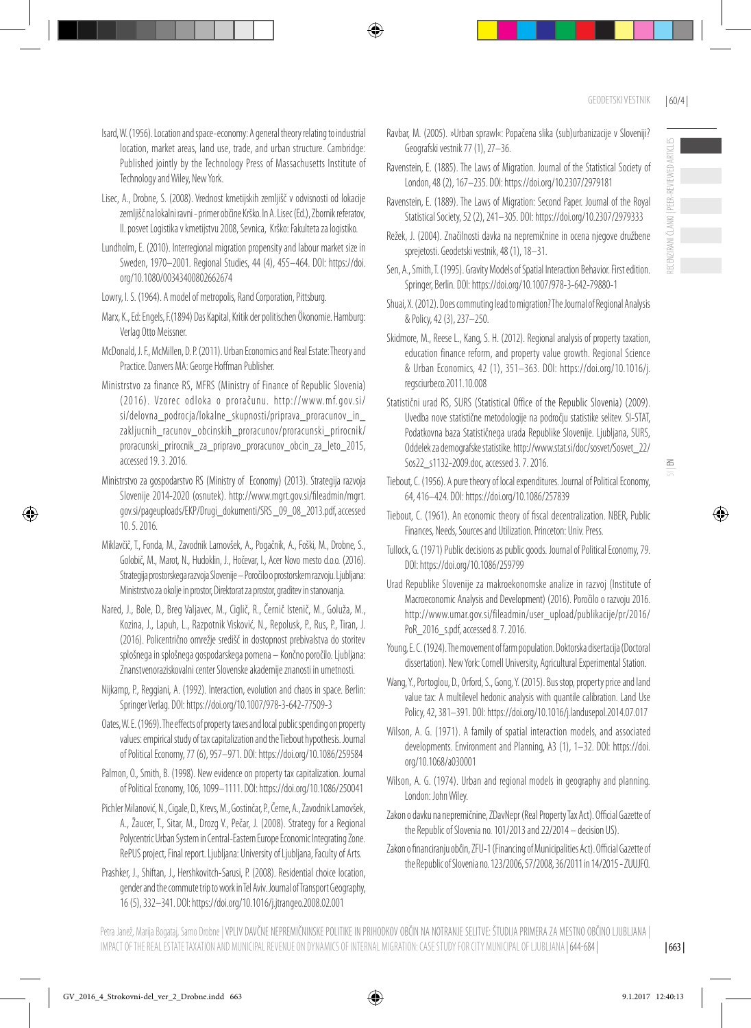$\leq$ 

- Isard, W. (1956). Location and space-economy: A general theory relating to industrial location, market areas, land use, trade, and urban structure. Cambridge: Published jointly by the Technology Press of Massachusetts Institute of Technology and Wiley, New York.
- Lisec, A., Drobne, S. (2008). Vrednost kmetijskih zemljišč v odvisnosti od lokacije zemljišč na lokalni ravni - primer občine Krško. In A. Lisec (Ed.), Zbornik referatov, II. posvet Logistika v kmetijstvu 2008, Sevnica, Krško: Fakulteta za logistiko.
- Lundholm, E. (2010). Interregional migration propensity and labour market size in Sweden, 1970–2001. Regional Studies, 44 (4), 455–464. DOI: https://doi. org/10.1080/00343400802662674
- Lowry, I. S. (1964). A model of metropolis, Rand Corporation, Pittsburg.
- Marx, K., Ed: Engels, F.(1894) Das Kapital, Kritik der politischen Ökonomie. Hamburg: Verlag Otto Meissner.
- McDonald, J. F., McMillen, D. P. (2011). Urban Economics and Real Estate: Theory and Practice. Danvers MA: George Hoffman Publisher.
- Ministrstvo za finance RS, MFRS (Ministry of Finance of Republic Slovenia) (2016). Vzorec odloka o proračunu. http://www.mf.gov.si/ si/delovna\_podrocja/lokalne\_skupnosti/priprava\_proracunov\_in\_ zakljucnih\_racunov\_obcinskih\_proracunov/proracunski\_prirocnik/ proracunski\_prirocnik\_za\_pripravo\_proracunov\_obcin\_za\_leto\_2015, accessed 19. 3. 2016.
- Ministrstvo za gospodarstvo RS (Ministry of Economy) (2013). Strategija razvoja Slovenije 2014-2020 (osnutek). http://www.mgrt.gov.si/fileadmin/mgrt. gov.si/pageuploads/EKP/Drugi\_dokumenti/SRS \_09\_08\_2013.pdf,accessed 10. 5. 2016.
- Miklavčič, T., Fonda, M., Zavodnik Lamovšek, A., Pogačnik, A., Foški, M., Drobne, S., Golobič, M., Marot, N., Hudoklin, J., Hočevar, I., Acer Novo mesto d.o.o. (2016). Strategija prostorskega razvoja Slovenije – Poročilo o prostorskem razvoju. Ljubljana: Ministrstvo za okolje in prostor, Direktorat za prostor, graditev in stanovanja.
- Nared, J., Bole, D., Breg Valjavec, M., Ciglič, R., Černič Istenič, M., Goluža, M., Kozina, J., Lapuh, L., Razpotnik Visković, N., Repolusk, P., Rus, P., Tiran, J. (2016). Policentrično omrežje središč in dostopnost prebivalstva do storitev splošnega in splošnega gospodarskega pomena – Končno poročilo. Ljubljana: Znanstvenoraziskovalni center Slovenske akademije znanosti in umetnosti.
- Nijkamp, P., Reggiani, A. (1992). Interaction, evolution and chaos in space. Berlin: Springer Verlag. DOI: https://doi.org/10.1007/978-3-642-77509-3
- Oates, W. E. (1969). The effects of property taxes and local public spending on property values: empirical study of tax capitalization and the Tiebout hypothesis. Journal of Political Economy, 77 (6), 957–971. DOI: https://doi.org/10.1086/259584
- Palmon, O., Smith, B. (1998). New evidence on property tax capitalization. Journal of Political Economy, 106, 1099–1111. DOI: https://doi.org/10.1086/250041
- Pichler Milanović, N., Cigale, D., Krevs, M., Gostinčar, P., Černe, A., Zavodnik Lamovšek, A., Žaucer, T., Sitar, M., Drozg V., Pečar, J. (2008). Strategy for a Regional Polycentric Urban System in Central-Eastern Europe Economic Integrating Zone. RePUS project, Final report. Ljubljana: University of Ljubljana, Faculty of Arts.
- Prashker, J., Shiftan, J., Hershkovitch-Sarusi, P. (2008). Residential choice location, gender and the commute trip to work in Tel Aviv. Journal of Transport Geography, 16 (5), 332–341. DOI: https://doi.org/10.1016/j.jtrangeo.2008.02.001
- Ravbar, M. (2005). »Urban sprawl«: Popačena slika (sub)urbanizacije v Sloveniji? Geografski vestnik 77 (1), 27–36.
- Ravenstein, E. (1885). The Laws of Migration. Journal of the Statistical Society of London, 48 (2), 167–235. DOI: https://doi.org/10.2307/2979181
- Ravenstein, E. (1889). The Laws of Migration: Second Paper. Journal of the Royal Statistical Society, 52 (2), 241–305. DOI: https://doi.org/10.2307/2979333
- Režek, J. (2004). Značilnosti davka na nepremičnine in ocena njegove družbene sprejetosti. Geodetski vestnik, 48 (1), 18–31.
- Sen, A., Smith, T. (1995). Gravity Models of Spatial Interaction Behavior. First edition. Springer, Berlin. DOI: https://doi.org/10.1007/978-3-642-79880-1
- Shuai, X. (2012). Does commuting lead to migration? The Journal of Regional Analysis & Policy, 42 (3), 237–250.
- Skidmore, M., Reese L., Kang, S. H. (2012). Regional analysis of property taxation, education finance reform, and property value growth. Regional Science & Urban Economics, 42 (1), 351–363. DOI: https://doi.org/10.1016/j. regsciurbeco.2011.10.008
- Statistični urad RS, SURS (Statistical Office of the Republic Slovenia) (2009). Uvedba nove statistične metodologije na področju statistike selitev. SI-STAT, Podatkovna baza Statističnega urada Republike Slovenije. Ljubljana, SURS, Oddelek za demografske statistike. http://www.stat.si/doc/sosvet/Sosvet\_22/ Sos22\_s1132-2009.doc, accessed 3. 7. 2016.
- Tiebout, C. (1956). A pure theory of local expenditures. Journal of Political Economy, 64, 416–424. DOI: https://doi.org/10.1086/257839
- Tiebout, C. (1961). An economic theory of fiscal decentralization. NBER, Public Finances, Needs, Sources and Utilization. Princeton: Univ. Press.
- Tullock, G. (1971) Public decisions as public goods. Journal of Political Economy, 79. DOI: https://doi.org/10.1086/259799
- Urad Republike Slovenije za makroekonomske analize in razvoj (Institute of Macroeconomic Analysis and Development) (2016). Poročilo o razvoju 2016. http://www.umar.gov.si/fileadmin/user\_upload/publikacije/pr/2016/ PoR\_2016\_s.pdf, accessed 8. 7. 2016.
- Young, E. C. (1924). The movement of farm population. Doktorska disertacija (Doctoral dissertation). New York: Cornell University, Agricultural Experimental Station.
- Wang, Y., Portoglou, D., Orford, S., Gong, Y. (2015). Bus stop, property price and land value tax: A multilevel hedonic analysis with quantile calibration. Land Use Policy, 42, 381–391. DOI: https://doi.org/10.1016/j.landusepol.2014.07.017
- Wilson, A. G. (1971). A family of spatial interaction models, and associated developments. Environment and Planning, A3 (1), 1–32. DOI: https://doi. org/10.1068/a030001
- Wilson, A. G. (1974). Urban and regional models in geography and planning. London: John Wiley.
- Zakon o davku na nepremičnine, ZDavNepr (Real Property Tax Act). Official Gazette of the Republic of Slovenia no. 101/2013 and 22/2014 – decision US).
- Zakon o financiranju občin, ZFU-1 (Financing of Municipalities Act). Official Gazette of the Republic of Slovenia no. 123/2006, 57/2008, 36/2011 in 14/2015 - ZUUJFO.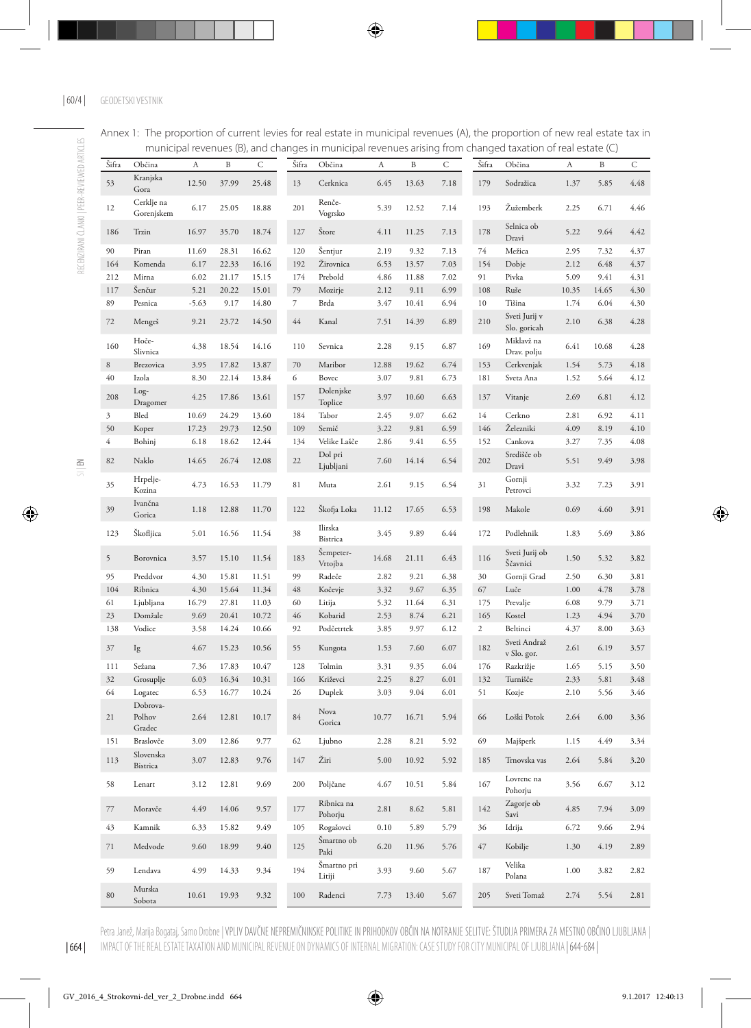#### Annex 1: The proportion of current levies for real estate in municipal revenues (A), the proportion of new real estate tax in municipal revenues (B), and changes in municipal revenues arising from changed taxation of real estate (C)

|                | i i ui ii cipui              | $\sim$ $\sim$ |       | ucu (1977 uniu c | ىەر   | in manieipan evenue   |       | , un, ny | .    | mangcu         | canacioni or                  | ------ | ここ (一) |      |
|----------------|------------------------------|---------------|-------|------------------|-------|-----------------------|-------|----------|------|----------------|-------------------------------|--------|--------|------|
| Šifra          | Občina                       | A             | B     | С                | Šifra | Občina                | A     | B        | С    | Šifra          | Občina                        | A      | B      | С    |
| 53             | Kranjska<br>Gora             | 12.50         | 37.99 | 25.48            | 13    | Cerknica              | 6.45  | 13.63    | 7.18 | 179            | Sodražica                     | 1.37   | 5.85   | 4.48 |
| 12             | Cerklje na<br>Gorenjskem     | 6.17          | 25.05 | 18.88            | 201   | Renče-<br>Vogrsko     | 5.39  | 12.52    | 7.14 | 193            | Žužemberk                     | 2.25   | 6.71   | 4.46 |
| 186            | Trzin                        | 16.97         | 35.70 | 18.74            | 127   | Štore                 | 4.11  | 11.25    | 7.13 | 178            | Selnica ob<br>Dravi           | 5.22   | 9.64   | 4.42 |
| 90             | Piran                        | 11.69         | 28.31 | 16.62            | 120   | Šentjur               | 2.19  | 9.32     | 7.13 | 74             | Mežica                        | 2.95   | 7.32   | 4.37 |
| 164            | Komenda                      | 6.17          | 22.33 | 16.16            | 192   | Žirovnica             | 6.53  | 13.57    | 7.03 | 154            | Dobje                         | 2.12   | 6.48   | 4.37 |
| 212            | Mirna                        | 6.02          | 21.17 | 15.15            | 174   | Prebold               | 4.86  | 11.88    | 7.02 | 91             | Pivka                         | 5.09   | 9.41   | 4.31 |
| 117            | Šenčur                       | 5.21          | 20.22 | 15.01            | 79    | Mozirje               | 2.12  | 9.11     | 6.99 | 108            | Ruše                          | 10.35  | 14.65  | 4.30 |
| 89             | Pesnica                      | $-5.63$       | 9.17  | 14.80            | 7     | Brda                  | 3.47  | 10.41    | 6.94 | $10\,$         | Tišina                        | 1.74   | 6.04   | 4.30 |
| 72             | Mengeš                       | 9.21          | 23.72 | 14.50            | 44    | Kanal                 | 7.51  | 14.39    | 6.89 | 210            | Sveti Jurij v<br>Slo. goricah | 2.10   | 6.38   | 4.28 |
| 160            | Hoče-<br>Slivnica            | 4.38          | 18.54 | 14.16            | 110   | Sevnica               | 2.28  | 9.15     | 6.87 | 169            | Miklavž na<br>Drav. polju     | 6.41   | 10.68  | 4.28 |
| $\,$ 8 $\,$    | Brezovica                    | 3.95          | 17.82 | 13.87            | 70    | Maribor               | 12.88 | 19.62    | 6.74 | 153            | Cerkvenjak                    | 1.54   | 5.73   | 4.18 |
| $40\,$         | Izola                        | 8.30          | 22.14 | 13.84            | 6     | Bovec                 | 3.07  | 9.81     | 6.73 | 181            | Sveta Ana                     | 1.52   | 5.64   | 4.12 |
| 208            | Log-<br>Dragomer             | 4.25          | 17.86 | 13.61            | 157   | Dolenjske<br>Toplice  | 3.97  | 10.60    | 6.63 | 137            | Vitanje                       | 2.69   | 6.81   | 4.12 |
| $\mathfrak{Z}$ | Bled                         | 10.69         | 24.29 | 13.60            | 184   | Tabor                 | 2.45  | 9.07     | 6.62 | 14             | Cerkno                        | 2.81   | 6.92   | 4.11 |
| 50             | Koper                        | 17.23         | 29.73 | 12.50            | 109   | Semič                 | 3.22  | 9.81     | 6.59 | 146            | Železniki                     | 4.09   | 8.19   | 4.10 |
| $\sqrt{4}$     | Bohinj                       | 6.18          | 18.62 | 12.44            | 134   | Velike Lašče          | 2.86  | 9.41     | 6.55 | 152            | Cankova                       | 3.27   | 7.35   | 4.08 |
| 82             | Naklo                        | 14.65         | 26.74 | 12.08            | 22    | Dol pri<br>Ljubljani  | 7.60  | 14.14    | 6.54 | 202            | Središče ob<br>Dravi          | 5.51   | 9.49   | 3.98 |
| 35             | Hrpelje-<br>Kozina           | 4.73          | 16.53 | 11.79            | 81    | Muta                  | 2.61  | 9.15     | 6.54 | 31             | Gornji<br>Petrovci            | 3.32   | 7.23   | 3.91 |
| 39             | Ivančna<br>Gorica            | 1.18          | 12.88 | 11.70            | 122   | Škofja Loka           | 11.12 | 17.65    | 6.53 | 198            | Makole                        | 0.69   | 4.60   | 3.91 |
| 123            | Škofljica                    | 5.01          | 16.56 | 11.54            | 38    | Ilirska<br>Bistrica   | 3.45  | 9.89     | 6.44 | 172            | Podlehnik                     | 1.83   | 5.69   | 3.86 |
| 5              | Borovnica                    | 3.57          | 15.10 | 11.54            | 183   | Šempeter-<br>Vrtojba  | 14.68 | 21.11    | 6.43 | 116            | Sveti Jurij ob<br>Ščavnici    | 1.50   | 5.32   | 3.82 |
| 95             | Preddvor                     | 4.30          | 15.81 | 11.51            | 99    | Radeče                | 2.82  | 9.21     | 6.38 | 30             | Gornji Grad                   | 2.50   | 6.30   | 3.81 |
| 104            | Ribnica                      | 4.30          | 15.64 | 11.34            | 48    | Kočevje               | 3.32  | 9.67     | 6.35 | 67             | Luče                          | 1.00   | 4.78   | 3.78 |
| 61             | Ljubljana                    | 16.79         | 27.81 | 11.03            | 60    | Litija                | 5.32  | 11.64    | 6.31 | 175            | Prevalje                      | 6.08   | 9.79   | 3.71 |
| 23             | Domžale                      | 9.69          | 20.41 | 10.72            | 46    | Kobarid               | 2.53  | 8.74     | 6.21 | 165            | Kostel                        | 1.23   | 4.94   | 3.70 |
| 138            | Vodice                       | 3.58          | 14.24 | 10.66            | 92    | Podčetrtek            | 3.85  | 9.97     | 6.12 | $\overline{c}$ | Beltinci                      | 4.37   | 8.00   | 3.63 |
| $37\,$         | Ig                           | 4.67          | 15.23 | 10.56            | 55    | Kungota               | 1.53  | 7.60     | 6.07 | 182            | Sveti Andraž<br>v Slo. gor.   | 2.61   | 6.19   | 3.57 |
| 111            | Sežana                       | 7.36          | 17.83 | 10.47            | 128   | Tolmin                | 3.31  | 9.35     | 6.04 | 176            | Razkrižje                     | 1.65   | 5.15   | 3.50 |
| 32             | Grosuplje                    | 6.03          | 16.34 | 10.31            | 166   | Križevci              | 2.25  | 8.27     | 6.01 | 132            | Turnišče                      | 2.33   | 5.81   | 3.48 |
| 64             | Logatec                      | 6.53          | 16.77 | 10.24            | 26    | Duplek                | 3.03  | 9.04     | 6.01 | 51             | Kozje                         | 2.10   | 5.56   | 3.46 |
| 21             | Dobrova-<br>Polhov<br>Gradec | 2.64          | 12.81 | 10.17            | 84    | Nova<br>Gorica        | 10.77 | 16.71    | 5.94 | 66             | Loški Potok                   | 2.64   | 6.00   | 3.36 |
| 151            | Braslovče                    | 3.09          | 12.86 | 9.77             | 62    | Ljubno                | 2.28  | 8.21     | 5.92 | 69             | Majšperk                      | 1.15   | 4.49   | 3.34 |
| 113            | Slovenska<br><b>Bistrica</b> | 3.07          | 12.83 | 9.76             | 147   | Žiri                  | 5.00  | 10.92    | 5.92 | 185            | Trnovska vas                  | 2.64   | 5.84   | 3.20 |
| 58             | Lenart                       | 3.12          | 12.81 | 9.69             | 200   | Poljčane              | 4.67  | 10.51    | 5.84 | 167            | Lovrenc na<br>Pohorju         | 3.56   | 6.67   | 3.12 |
| 77             | Moravče                      | 4.49          | 14.06 | 9.57             | 177   | Ribnica na<br>Pohorju | 2.81  | 8.62     | 5.81 | 142            | Zagorje ob<br>Savi            | 4.85   | 7.94   | 3.09 |
| 43             | Kamnik                       | 6.33          | 15.82 | 9.49             | 105   | Rogašovci             | 0.10  | 5.89     | 5.79 | 36             | Idrija                        | 6.72   | 9.66   | 2.94 |
| 71             | Medvode                      | 9.60          | 18.99 | 9.40             | 125   | Šmartno ob<br>Paki    | 6.20  | 11.96    | 5.76 | 47             | Kobilje                       | 1.30   | 4.19   | 2.89 |
| 59             | Lendava                      | 4.99          | 14.33 | 9.34             | 194   | Šmartno pri<br>Litiji | 3.93  | 9.60     | 5.67 | 187            | Velika<br>Polana              | 1.00   | 3.82   | 2.82 |
| $80\,$         | Murska<br>Sobota             | 10.61         | 19.93 | 9.32             | 100   | Radenci               | 7.73  | 13.40    | 5.67 | 205            | Sveti Tomaž                   | 2.74   | 5.54   | 2.81 |

RECENZIRANI ČLANKI | PEER-REVIEWED ARTICLES

RECENZIRANI ČLANKI I PEER-REVIEWED ARTICLES

Petra Janež, Marija Bogataj, Samo Drobne | VPLIV DAVČNE NEPREMIČNINSKE POLITIKE IN PRIHODKOV OBČIN NA NOTRANJE SELITVE: ŠTUDIJA PRIMERA ZA MESTNO OBČINO LJUBLJANA | IMPACT OF THE REAL ESTATE TAXATION AND MUNICIPAL REVENUE ON DYNAMICS OF INTERNAL MIGRATION: CASE STUDY FOR CITY MUNICIPAL OF LJUBLJANA | 644-684 |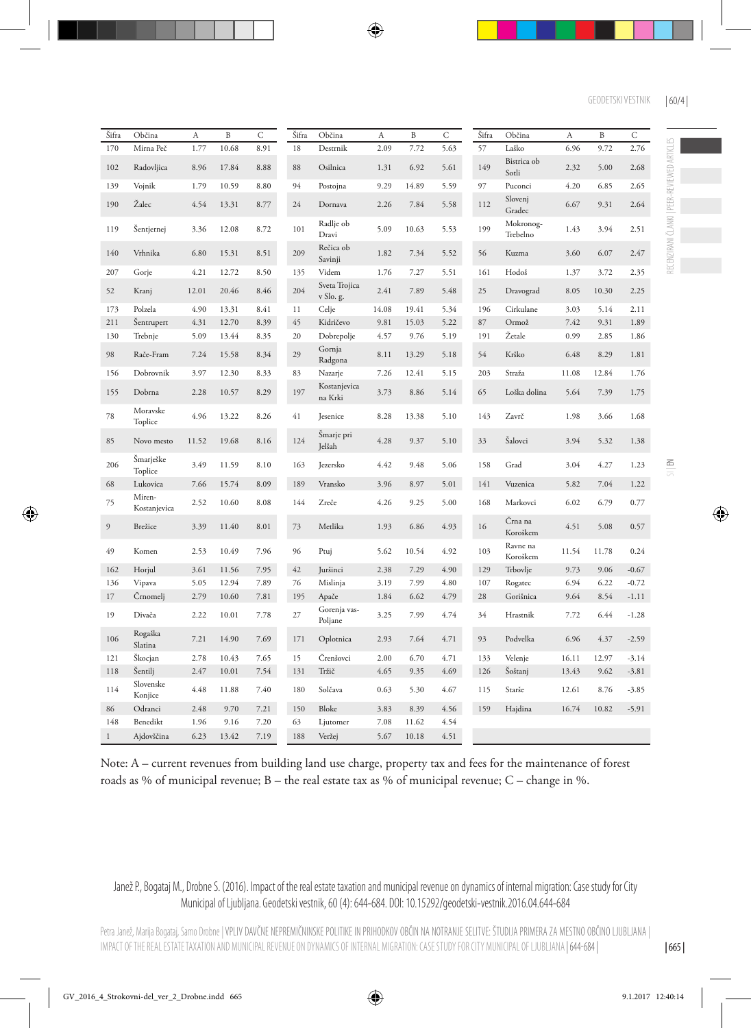| Šifra    | Občina                 | A     | B     | C    | Šifra | Občina                     | A     | B     | $\mathsf C$ | Šifra | Občina                | A     | $\, {\bf B}$ | $\mathsf C$ |
|----------|------------------------|-------|-------|------|-------|----------------------------|-------|-------|-------------|-------|-----------------------|-------|--------------|-------------|
| 170      | Mirna Peč              | 1.77  | 10.68 | 8.91 | 18    | Destrnik                   | 2.09  | 7.72  | 5.63        | 57    | Laško                 | 6.96  | 9.72         | 2.76        |
| 102      | Radovljica             | 8.96  | 17.84 | 8.88 | 88    | Osilnica                   | 1.31  | 6.92  | 5.61        | 149   | Bistrica ob<br>Sotli  | 2.32  | 5.00         | 2.68        |
| 139      | Vojnik                 | 1.79  | 10.59 | 8.80 | 94    | Postojna                   | 9.29  | 14.89 | 5.59        | 97    | Puconci               | 4.20  | 6.85         | 2.65        |
| 190      | Žalec                  | 4.54  | 13.31 | 8.77 | 24    | Dornava                    | 2.26  | 7.84  | 5.58        | 112   | Slovenj<br>Gradec     | 6.67  | 9.31         | 2.64        |
| 119      | Šentjernej             | 3.36  | 12.08 | 8.72 | 101   | Radlje ob<br>Dravi         | 5.09  | 10.63 | 5.53        | 199   | Mokronog-<br>Trebelno | 1.43  | 3.94         | 2.51        |
| 140      | Vrhnika                | 6.80  | 15.31 | 8.51 | 209   | Rečica ob<br>Savinji       | 1.82  | 7.34  | 5.52        | 56    | Kuzma                 | 3.60  | 6.07         | 2.47        |
| 207      | Gorje                  | 4.21  | 12.72 | 8.50 | 135   | Videm                      | 1.76  | 7.27  | 5.51        | 161   | Hodoš                 | 1.37  | 3.72         | 2.35        |
| 52       | Kranj                  | 12.01 | 20.46 | 8.46 | 204   | Sveta Trojica<br>v Slo. g. | 2.41  | 7.89  | 5.48        | 25    | Dravograd             | 8.05  | 10.30        | 2.25        |
| 173      | Polzela                | 4.90  | 13.31 | 8.41 | 11    | Celje                      | 14.08 | 19.41 | 5.34        | 196   | Cirkulane             | 3.03  | 5.14         | 2.11        |
| 211      | Sentrupert             | 4.31  | 12.70 | 8.39 | 45    | Kidričevo                  | 9.81  | 15.03 | 5.22        | 87    | Ormož                 | 7.42  | 9.31         | 1.89        |
| 130      | Trebnje                | 5.09  | 13.44 | 8.35 | 20    | Dobrepolje                 | 4.57  | 9.76  | 5.19        | 191   | Žetale                | 0.99  | 2.85         | 1.86        |
| 98       | Rače-Fram              | 7.24  | 15.58 | 8.34 | 29    | Gornja<br>Radgona          | 8.11  | 13.29 | 5.18        | 54    | Krško                 | 6.48  | 8.29         | 1.81        |
| 156      | Dobrovnik              | 3.97  | 12.30 | 8.33 | 83    | Nazarje                    | 7.26  | 12.41 | 5.15        | 203   | Straža                | 11.08 | 12.84        | 1.76        |
| 155      | Dobrna                 | 2.28  | 10.57 | 8.29 | 197   | Kostanjevica<br>na Krki    | 3.73  | 8.86  | 5.14        | 65    | Loška dolina          | 5.64  | 7.39         | 1.75        |
| 78       | Moravske<br>Toplice    | 4.96  | 13.22 | 8.26 | 41    | Jesenice                   | 8.28  | 13.38 | 5.10        | 143   | Zavrč                 | 1.98  | 3.66         | 1.68        |
| 85       | Novo mesto             | 11.52 | 19.68 | 8.16 | 124   | Smarje pri<br>Jelšah       | 4.28  | 9.37  | 5.10        | 33    | Šalovci               | 3.94  | 5.32         | 1.38        |
| 206      | Šmarješke<br>Toplice   | 3.49  | 11.59 | 8.10 | 163   | Jezersko                   | 4.42  | 9.48  | 5.06        | 158   | Grad                  | 3.04  | 4.27         | 1.23        |
| 68       | Lukovica               | 7.66  | 15.74 | 8.09 | 189   | Vransko                    | 3.96  | 8.97  | 5.01        | 141   | Vuzenica              | 5.82  | 7.04         | 1.22        |
| 75       | Miren-<br>Kostanjevica | 2.52  | 10.60 | 8.08 | 144   | Zreče                      | 4.26  | 9.25  | 5.00        | 168   | Markovci              | 6.02  | 6.79         | 0.77        |
| 9        | Brežice                | 3.39  | 11.40 | 8.01 | 73    | Metlika                    | 1.93  | 6.86  | 4.93        | 16    | Črna na<br>Koroškem   | 4.51  | 5.08         | 0.57        |
| 49       | Komen                  | 2.53  | 10.49 | 7.96 | 96    | Ptuj                       | 5.62  | 10.54 | 4.92        | 103   | Ravne na<br>Koroškem  | 11.54 | 11.78        | 0.24        |
| 162      | Horjul                 | 3.61  | 11.56 | 7.95 | 42    | Juršinci                   | 2.38  | 7.29  | 4.90        | 129   | Trbovlje              | 9.73  | 9.06         | $-0.67$     |
| 136      | Vipava                 | 5.05  | 12.94 | 7.89 | 76    | Mislinja                   | 3.19  | 7.99  | 4.80        | 107   | Rogatec               | 6.94  | 6.22         | $-0.72$     |
| 17       | Črnomelj               | 2.79  | 10.60 | 7.81 | 195   | Apače                      | 1.84  | 6.62  | 4.79        | 28    | Gorišnica             | 9.64  | 8.54         | $-1.11$     |
| 19       | Divača                 | 2.22  | 10.01 | 7.78 | 27    | Gorenja vas-<br>Poljane    | 3.25  | 7.99  | 4.74        | 34    | Hrastnik              | 7.72  | 6.44         | $-1.28$     |
| 106      | Rogaška<br>Slatina     | 7.21  | 14.90 | 7.69 | 171   | Oplotnica                  | 2.93  | 7.64  | 4.71        | 93    | Podvelka              | 6.96  | 4.37         | $-2.59$     |
| 121      | Škocjan                | 2.78  | 10.43 | 7.65 | 15    | Črenšovci                  | 2.00  | 6.70  | 4.71        | 133   | Velenje               | 16.11 | 12.97        | $-3.14$     |
| 118      | Šentilj                | 2.47  | 10.01 | 7.54 | 131   | Tržič                      | 4.65  | 9.35  | 4.69        | 126   | Šoštanj               | 13.43 | 9.62         | $-3.81$     |
| 114      | Slovenske<br>Konjice   | 4.48  | 11.88 | 7.40 | 180   | Solčava                    | 0.63  | 5.30  | 4.67        | 115   | Starše                | 12.61 | 8.76         | $-3.85$     |
| 86       | Odranci                | 2.48  | 9.70  | 7.21 | 150   | Bloke                      | 3.83  | 8.39  | 4.56        | 159   | Hajdina               | 16.74 | 10.82        | $-5.91$     |
| 148      | Benedikt               | 1.96  | 9.16  | 7.20 | 63    | Ljutomer                   | 7.08  | 11.62 | 4.54        |       |                       |       |              |             |
| $\bf{l}$ | Ajdovščina             | 6.23  | 13.42 | 7.19 | 188   | Veržej                     | 5.67  | 10.18 | 4.51        |       |                       |       |              |             |

Note: A – current revenues from building land use charge, property tax and fees for the maintenance of forest roads as % of municipal revenue; B – the real estate tax as % of municipal revenue; C – change in %.

#### Janež P., Bogataj M., Drobne S. (2016). Impact of the real estate taxation and municipal revenue on dynamics of internal migration: Case study for City Municipal of Ljubljana. Geodetski vestnik, 60 (4): 644-684. DOI: 10.15292/geodetski-vestnik.2016.04.644-684

RECENZIRANI ČLANKI | PEER-REVIEWED ARTICLES

RECENZIRANI ČLANKI | PEER-REVIEWED ARTICLES

| 665 |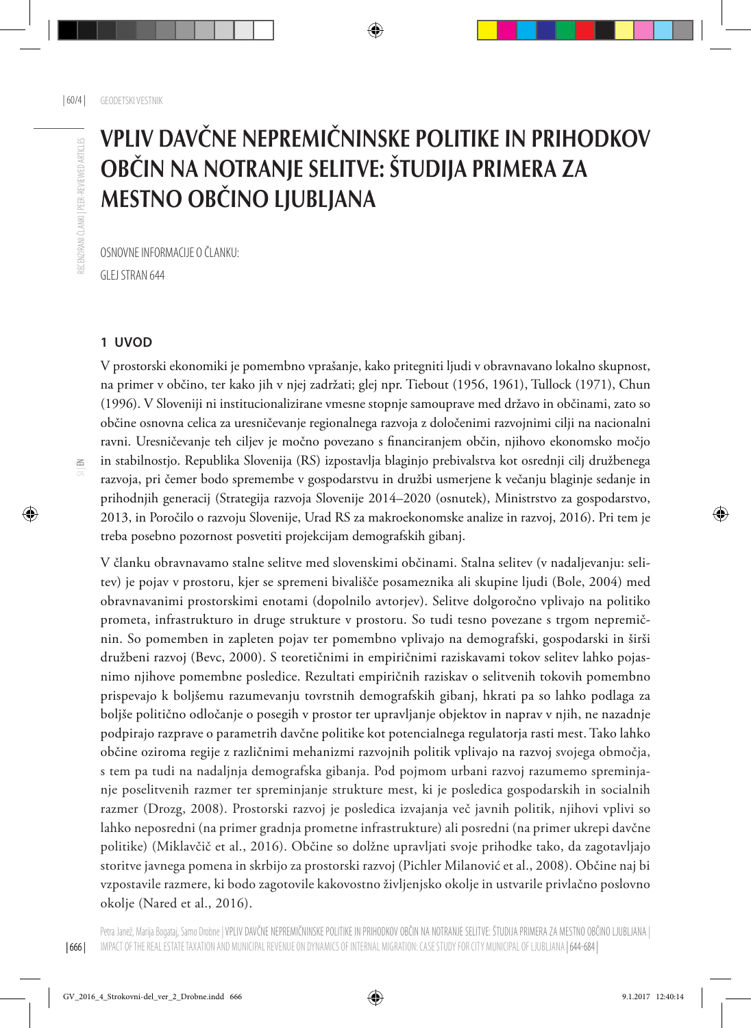# Vpliv davčne nepremičninske politike in prihodkov občin na notranje selitve: študija primera za Mestno občino Ljubljana

OSNOVNE INFORMACIJE O ČLANKU: GLEJ STRAN 644

#### **1 UVOD**

V prostorski ekonomiki je pomembno vprašanje, kako pritegniti ljudi v obravnavano lokalno skupnost, na primer v občino, ter kako jih v njej zadržati; glej npr. Tiebout (1956, 1961), Tullock (1971), Chun (1996). V Sloveniji ni institucionalizirane vmesne stopnje samouprave med državo in občinami, zato so občine osnovna celica za uresničevanje regionalnega razvoja z določenimi razvojnimi cilji na nacionalni ravni. Uresničevanje teh ciljev je močno povezano s financiranjem občin, njihovo ekonomsko močjo in stabilnostjo. Republika Slovenija (RS) izpostavlja blaginjo prebivalstva kot osrednji cilj družbenega razvoja, pri čemer bodo spremembe v gospodarstvu in družbi usmerjene k večanju blaginje sedanje in prihodnjih generacij (Strategija razvoja Slovenije 2014–2020 (osnutek), Ministrstvo za gospodarstvo, 2013, in Poročilo o razvoju Slovenije, Urad RS za makroekonomske analize in razvoj, 2016). Pri tem je treba posebno pozornost posvetiti projekcijam demografskih gibanj.

V članku obravnavamo stalne selitve med slovenskimi občinami. Stalna selitev (v nadaljevanju: selitev) je pojav v prostoru, kjer se spremeni bivališče posameznika ali skupine ljudi (Bole, 2004) med obravnavanimi prostorskimi enotami (dopolnilo avtorjev). Selitve dolgoročno vplivajo na politiko prometa, infrastrukturo in druge strukture v prostoru. So tudi tesno povezane s trgom nepremičnin. So pomemben in zapleten pojav ter pomembno vplivajo na demografski, gospodarski in širši družbeni razvoj (Bevc, 2000). S teoretičnimi in empiričnimi raziskavami tokov selitev lahko pojasnimo njihove pomembne posledice. Rezultati empiričnih raziskav o selitvenih tokovih pomembno prispevajo k boljšemu razumevanju tovrstnih demografskih gibanj, hkrati pa so lahko podlaga za boljše politično odločanje o posegih v prostor ter upravljanje objektov in naprav v njih, ne nazadnje podpirajo razprave o parametrih davčne politike kot potencialnega regulatorja rasti mest. Tako lahko občine oziroma regije z različnimi mehanizmi razvojnih politik vplivajo na razvoj svojega območja, s tem pa tudi na nadaljnja demografska gibanja. Pod pojmom urbani razvoj razumemo spreminjanje poselitvenih razmer ter spreminjanje strukture mest, ki je posledica gospodarskih in socialnih razmer (Drozg, 2008). Prostorski razvoj je posledica izvajanja več javnih politik, njihovi vplivi so lahko neposredni (na primer gradnja prometne infrastrukture) ali posredni (na primer ukrepi davčne politike) (Miklavčič et al., 2016). Občine so dolžne upravljati svoje prihodke tako, da zagotavljajo storitve javnega pomena in skrbijo za prostorski razvoj (Pichler Milanović et al., 2008). Občine naj bi vzpostavile razmere, ki bodo zagotovile kakovostno življenjsko okolje in ustvarile privlačno poslovno okolje (Nared et al., 2016).

| 666 |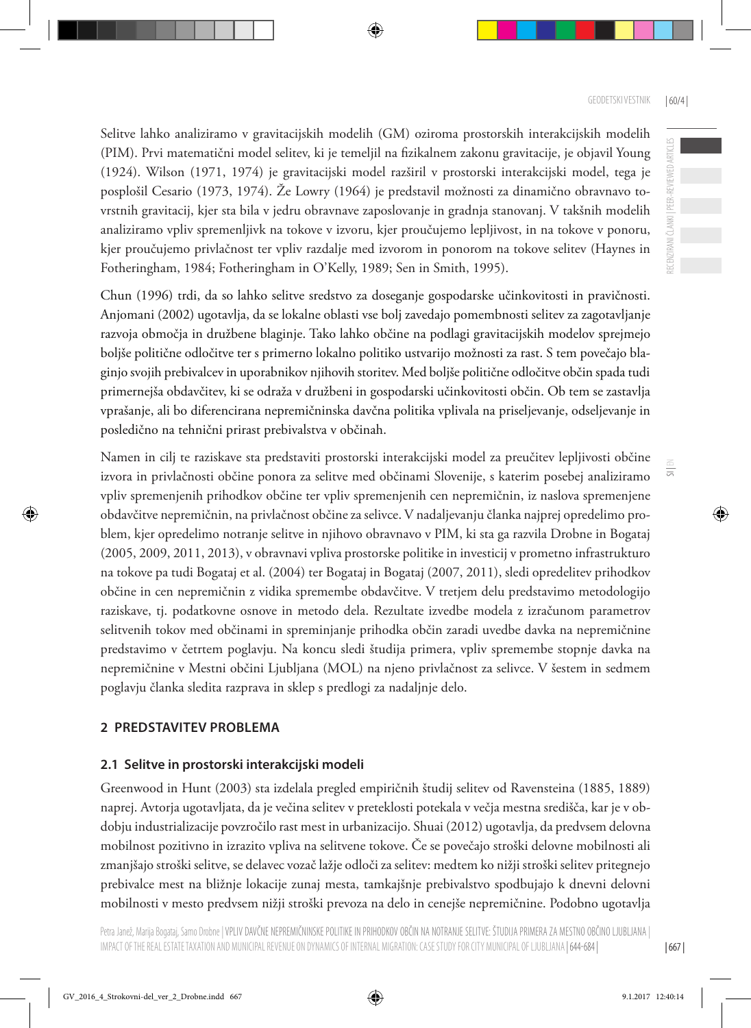ECENZIRANI ČLANKI | PEER-REVIEWED ARTICLES

 $\frac{1}{5}$ 

Selitve lahko analiziramo v gravitacijskih modelih (GM) oziroma prostorskih interakcijskih modelih (PIM). Prvi matematični model selitev, ki je temeljil na fizikalnem zakonu gravitacije, je objavil Young (1924). Wilson (1971, 1974) je gravitacijski model razširil v prostorski interakcijski model, tega je posplošil Cesario (1973, 1974). Že Lowry (1964) je predstavil možnosti za dinamično obravnavo tovrstnih gravitacij, kjer sta bila v jedru obravnave zaposlovanje in gradnja stanovanj. V takšnih modelih analiziramo vpliv spremenljivk na tokove v izvoru, kjer proučujemo lepljivost, in na tokove v ponoru, kjer proučujemo privlačnost ter vpliv razdalje med izvorom in ponorom na tokove selitev (Haynes in Fotheringham, 1984; Fotheringham in O'Kelly, 1989; Sen in Smith, 1995).

Chun (1996) trdi, da so lahko selitve sredstvo za doseganje gospodarske učinkovitosti in pravičnosti. Anjomani (2002) ugotavlja, da se lokalne oblasti vse bolj zavedajo pomembnosti selitev za zagotavljanje razvoja območja in družbene blaginje. Tako lahko občine na podlagi gravitacijskih modelov sprejmejo boljše politične odločitve ter s primerno lokalno politiko ustvarijo možnosti za rast. S tem povečajo blaginjo svojih prebivalcev in uporabnikov njihovih storitev. Med boljše politične odločitve občin spada tudi primernejša obdavčitev, ki se odraža v družbeni in gospodarski učinkovitosti občin. Ob tem se zastavlja vprašanje, ali bo diferencirana nepremičninska davčna politika vplivala na priseljevanje, odseljevanje in posledično na tehnični prirast prebivalstva v občinah.

Namen in cilj te raziskave sta predstaviti prostorski interakcijski model za preučitev lepljivosti občine izvora in privlačnosti občine ponora za selitve med občinami Slovenije, s katerim posebej analiziramo vpliv spremenjenih prihodkov občine ter vpliv spremenjenih cen nepremičnin, iz naslova spremenjene obdavčitve nepremičnin, na privlačnost občine za selivce. V nadaljevanju članka najprej opredelimo problem, kjer opredelimo notranje selitve in njihovo obravnavo v PIM, ki sta ga razvila Drobne in Bogataj (2005, 2009, 2011, 2013), v obravnavi vpliva prostorske politike in investicij v prometno infrastrukturo na tokove pa tudi Bogataj et al. (2004) ter Bogataj in Bogataj (2007, 2011), sledi opredelitev prihodkov občine in cen nepremičnin z vidika spremembe obdavčitve. V tretjem delu predstavimo metodologijo raziskave, tj. podatkovne osnove in metodo dela. Rezultate izvedbe modela z izračunom parametrov selitvenih tokov med občinami in spreminjanje prihodka občin zaradi uvedbe davka na nepremičnine predstavimo v četrtem poglavju. Na koncu sledi študija primera, vpliv spremembe stopnje davka na nepremičnine v Mestni občini Ljubljana (MOL) na njeno privlačnost za selivce. V šestem in sedmem poglavju članka sledita razprava in sklep s predlogi za nadaljnje delo.

### **2 PREDSTAVITEV PROBLEMA**

### **2.1 Selitve in prostorski interakcijski modeli**

Greenwood in Hunt (2003) sta izdelala pregled empiričnih študij selitev od Ravensteina (1885, 1889) naprej. Avtorja ugotavljata, da je večina selitev v preteklosti potekala v večja mestna središča, kar je v obdobju industrializacije povzročilo rast mest in urbanizacijo. Shuai (2012) ugotavlja, da predvsem delovna mobilnost pozitivno in izrazito vpliva na selitvene tokove. Če se povečajo stroški delovne mobilnosti ali zmanjšajo stroški selitve, se delavec vozač lažje odloči za selitev: medtem ko nižji stroški selitev pritegnejo prebivalce mest na bližnje lokacije zunaj mesta, tamkajšnje prebivalstvo spodbujajo k dnevni delovni mobilnosti v mesto predvsem nižji stroški prevoza na delo in cenejše nepremičnine. Podobno ugotavlja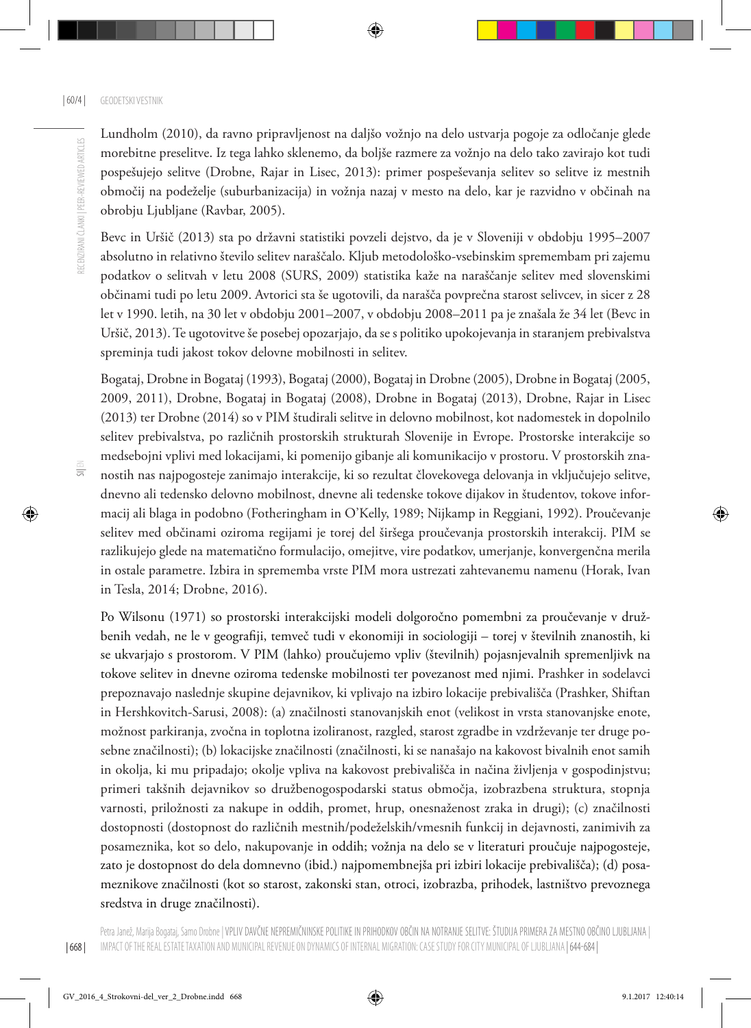Lundholm (2010), da ravno pripravljenost na daljšo vožnjo na delo ustvarja pogoje za odločanje glede morebitne preselitve. Iz tega lahko sklenemo, da boljše razmere za vožnjo na delo tako zavirajo kot tudi pospešujejo selitve (Drobne, Rajar in Lisec, 2013): primer pospeševanja selitev so selitve iz mestnih območij na podeželje (suburbanizacija) in vožnja nazaj v mesto na delo, kar je razvidno v občinah na obrobju Ljubljane (Ravbar, 2005).

Bevc in Uršič (2013) sta po državni statistiki povzeli dejstvo, da je v Sloveniji v obdobju 1995–2007 absolutno in relativno število selitev naraščalo. Kljub metodološko-vsebinskim spremembam pri zajemu podatkov o selitvah v letu 2008 (SURS, 2009) statistika kaže na naraščanje selitev med slovenskimi občinami tudi po letu 2009. Avtorici sta še ugotovili, da narašča povprečna starost selivcev, in sicer z 28 let v 1990. letih, na 30 let v obdobju 2001–2007, v obdobju 2008–2011 pa je znašala že 34 let (Bevc in Uršič, 2013). Te ugotovitve še posebej opozarjajo, da se s politiko upokojevanja in staranjem prebivalstva spreminja tudi jakost tokov delovne mobilnosti in selitev.

Bogataj, Drobne in Bogataj (1993), Bogataj (2000), Bogataj in Drobne (2005), Drobne in Bogataj (2005, 2009, 2011), Drobne, Bogataj in Bogataj (2008), Drobne in Bogataj (2013), Drobne, Rajar in Lisec (2013) ter Drobne (2014) so v PIM študirali selitve in delovno mobilnost, kot nadomestek in dopolnilo selitev prebivalstva, po različnih prostorskih strukturah Slovenije in Evrope. Prostorske interakcije so medsebojni vplivi med lokacijami, ki pomenijo gibanje ali komunikacijo v prostoru. V prostorskih znanostih nas najpogosteje zanimajo interakcije, ki so rezultat človekovega delovanja in vključujejo selitve, dnevno ali tedensko delovno mobilnost, dnevne ali tedenske tokove dijakov in študentov, tokove informacij ali blaga in podobno (Fotheringham in O'Kelly, 1989; Nijkamp in Reggiani, 1992). Proučevanje selitev med občinami oziroma regijami je torej del širšega proučevanja prostorskih interakcij. PIM se razlikujejo glede na matematično formulacijo, omejitve, vire podatkov, umerjanje, konvergenčna merila in ostale parametre. Izbira in sprememba vrste PIM mora ustrezati zahtevanemu namenu (Horak, Ivan in Tesla, 2014; Drobne, 2016).

Po Wilsonu (1971) so prostorski interakcijski modeli dolgoročno pomembni za proučevanje v družbenih vedah, ne le v geografiji, temveč tudi v ekonomiji in sociologiji – torej v številnih znanostih, ki se ukvarjajo s prostorom. V PIM (lahko) proučujemo vpliv (številnih) pojasnjevalnih spremenljivk na tokove selitev in dnevne oziroma tedenske mobilnosti ter povezanost med njimi. Prashker in sodelavci prepoznavajo naslednje skupine dejavnikov, ki vplivajo na izbiro lokacije prebivališča (Prashker, Shiftan in Hershkovitch-Sarusi, 2008): (a) značilnosti stanovanjskih enot (velikost in vrsta stanovanjske enote, možnost parkiranja, zvočna in toplotna izoliranost, razgled, starost zgradbe in vzdrževanje ter druge posebne značilnosti); (b) lokacijske značilnosti (značilnosti, ki se nanašajo na kakovost bivalnih enot samih in okolja, ki mu pripadajo; okolje vpliva na kakovost prebivališča in načina življenja v gospodinjstvu; primeri takšnih dejavnikov so družbenogospodarski status območja, izobrazbena struktura, stopnja varnosti, priložnosti za nakupe in oddih, promet, hrup, onesnaženost zraka in drugi); (c) značilnosti dostopnosti (dostopnost do različnih mestnih/podeželskih/vmesnih funkcij in dejavnosti, zanimivih za posameznika, kot so delo, nakupovanje in oddih; vožnja na delo se v literaturi proučuje najpogosteje, zato je dostopnost do dela domnevno (ibid.) najpomembnejša pri izbiri lokacije prebivališča); (d) posameznikove značilnosti (kot so starost, zakonski stan, otroci, izobrazba, prihodek, lastništvo prevoznega sredstva in druge značilnosti).

| 668 |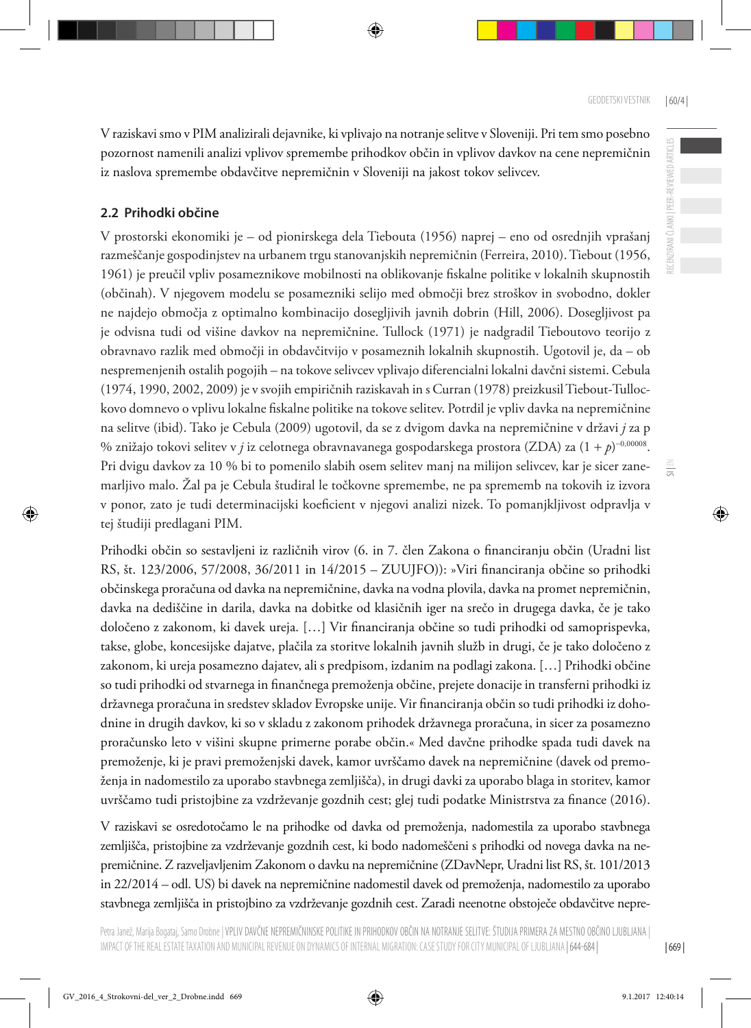RECENZIRANI ČLANKI | PEER-REVIEWED ARTICLES

 $\frac{1}{5}$ 

V raziskavi smo v PIM analizirali dejavnike, ki vplivajo na notranje selitve v Sloveniji. Pri tem smo posebno pozornost namenili analizi vplivov spremembe prihodkov občin in vplivov davkov na cene nepremičnin iz naslova spremembe obdavčitve nepremičnin v Sloveniji na jakost tokov selivcev.

#### **2.2 Prihodki občine**

V prostorski ekonomiki je – od pionirskega dela Tiebouta (1956) naprej – eno od osrednjih vprašanj razmeščanje gospodinjstev na urbanem trgu stanovanjskih nepremičnin (Ferreira, 2010). Tiebout (1956, 1961) je preučil vpliv posameznikove mobilnosti na oblikovanje fiskalne politike v lokalnih skupnostih (občinah). V njegovem modelu se posamezniki selijo med območji brez stroškov in svobodno, dokler ne najdejo območja z optimalno kombinacijo dosegljivih javnih dobrin (Hill, 2006). Dosegljivost pa je odvisna tudi od višine davkov na nepremičnine. Tullock (1971) je nadgradil Tieboutovo teorijo z obravnavo razlik med območji in obdavčitvijo v posameznih lokalnih skupnostih. Ugotovil je, da – ob nespremenjenih ostalih pogojih – na tokove selivcev vplivajo diferencialni lokalni davčni sistemi. Cebula (1974, 1990, 2002, 2009) je v svojih empiričnih raziskavah in s Curran (1978) preizkusil Tiebout-Tullockovo domnevo o vplivu lokalne fiskalne politike na tokove selitev. Potrdil je vpliv davka na nepremičnine na selitve (ibid). Tako je Cebula (2009) ugotovil, da se z dvigom davka na nepremičnine v državi *j* za p % znižajo tokovi selitev v *j* iz celotnega obravnavanega gospodarskega prostora (ZDA) za (1 + *p*) <sup>−</sup>0,00008. Pri dvigu davkov za 10 % bi to pomenilo slabih osem selitev manj na milijon selivcev, kar je sicer zanemarljivo malo. Žal pa je Cebula študiral le točkovne spremembe, ne pa sprememb na tokovih iz izvora v ponor, zato je tudi determinacijski koeficient v njegovi analizi nizek. To pomanjkljivost odpravlja v tej študiji predlagani PIM.

Prihodki občin so sestavljeni iz različnih virov (6. in 7. člen Zakona o financiranju občin (Uradni list RS, št. 123/2006, 57/2008, 36/2011 in 14/2015 – ZUUJFO)): »Viri financiranja občine so prihodki občinskega proračuna od davka na nepremičnine, davka na vodna plovila, davka na promet nepremičnin, davka na dediščine in darila, davka na dobitke od klasičnih iger na srečo in drugega davka, če je tako določeno z zakonom, ki davek ureja. […] Vir financiranja občine so tudi prihodki od samoprispevka, takse, globe, koncesijske dajatve, plačila za storitve lokalnih javnih služb in drugi, če je tako določeno z zakonom, ki ureja posamezno dajatev, ali s predpisom, izdanim na podlagi zakona. […] Prihodki občine so tudi prihodki od stvarnega in finančnega premoženja občine, prejete donacije in transferni prihodki iz državnega proračuna in sredstev skladov Evropske unije. Vir financiranja občin so tudi prihodki iz dohodnine in drugih davkov, ki so v skladu z zakonom prihodek državnega proračuna, in sicer za posamezno proračunsko leto v višini skupne primerne porabe občin.« Med davčne prihodke spada tudi davek na premoženje, ki je pravi premoženjski davek, kamor uvrščamo davek na nepremičnine (davek od premoženja in nadomestilo za uporabo stavbnega zemljišča), in drugi davki za uporabo blaga in storitev, kamor uvrščamo tudi pristojbine za vzdrževanje gozdnih cest; glej tudi podatke Ministrstva za finance (2016).

V raziskavi se osredotočamo le na prihodke od davka od premoženja, nadomestila za uporabo stavbnega zemljišča, pristojbine za vzdrževanje gozdnih cest, ki bodo nadomeščeni s prihodki od novega davka na nepremičnine. Z razveljavljenim Zakonom o davku na nepremičnine (ZDavNepr, Uradni list RS, št. 101/2013 in 22/2014 – odl. US) bi davek na nepremičnine nadomestil davek od premoženja, nadomestilo za uporabo stavbnega zemljišča in pristojbino za vzdrževanje gozdnih cest. Zaradi neenotne obstoječe obdavčitve nepre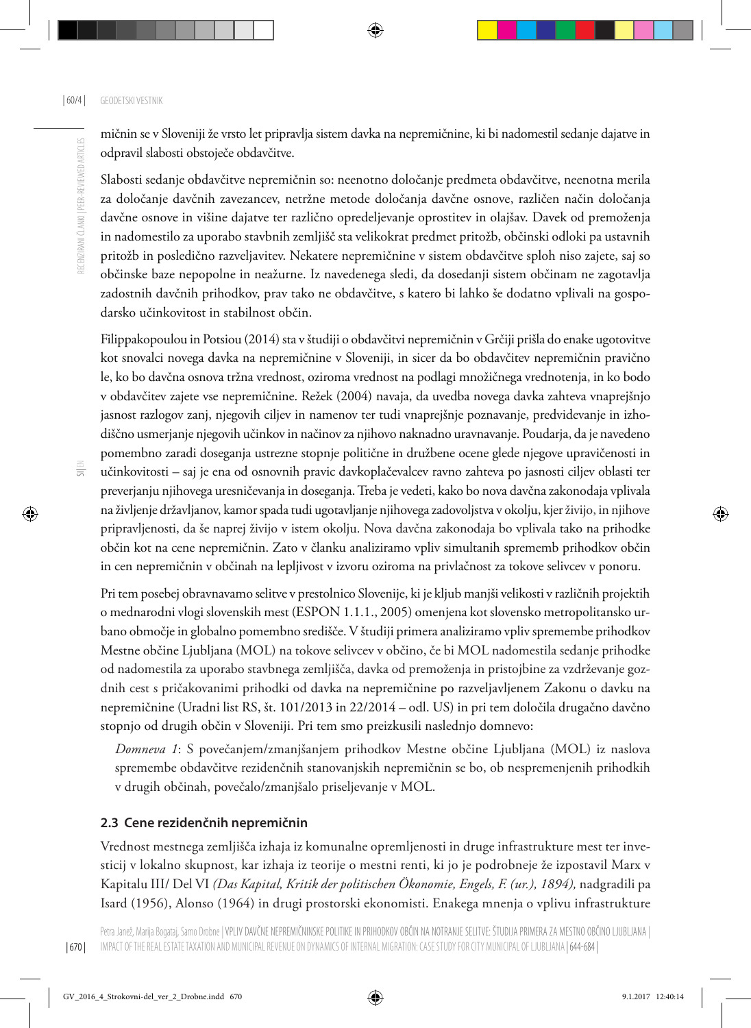mičnin se v Sloveniji že vrsto let pripravlja sistem davka na nepremičnine, ki bi nadomestil sedanje dajatve in odpravil slabosti obstoječe obdavčitve.

Slabosti sedanje obdavčitve nepremičnin so: neenotno določanje predmeta obdavčitve, neenotna merila za določanje davčnih zavezancev, netržne metode določanja davčne osnove, različen način določanja davčne osnove in višine dajatve ter različno opredeljevanje oprostitev in olajšav. Davek od premoženja in nadomestilo za uporabo stavbnih zemljišč sta velikokrat predmet pritožb, občinski odloki pa ustavnih pritožb in posledično razveljavitev. Nekatere nepremičnine v sistem obdavčitve sploh niso zajete, saj so občinske baze nepopolne in neažurne. Iz navedenega sledi, da dosedanji sistem občinam ne zagotavlja zadostnih davčnih prihodkov, prav tako ne obdavčitve, s katero bi lahko še dodatno vplivali na gospodarsko učinkovitost in stabilnost občin.

Filippakopoulou in Potsiou (2014) sta v študiji o obdavčitvi nepremičnin v Grčiji prišla do enake ugotovitve kot snovalci novega davka na nepremičnine v Sloveniji, in sicer da bo obdavčitev nepremičnin pravično le, ko bo davčna osnova tržna vrednost, oziroma vrednost na podlagi množičnega vrednotenja, in ko bodo v obdavčitev zajete vse nepremičnine. Režek (2004) navaja, da uvedba novega davka zahteva vnaprejšnjo jasnost razlogov zanj, njegovih ciljev in namenov ter tudi vnaprejšnje poznavanje, predvidevanje in izhodiščno usmerjanje njegovih učinkov in načinov za njihovo naknadno uravnavanje. Poudarja, da je navedeno pomembno zaradi doseganja ustrezne stopnje politične in družbene ocene glede njegove upravičenosti in učinkovitosti – saj je ena od osnovnih pravic davkoplačevalcev ravno zahteva po jasnosti ciljev oblasti ter preverjanju njihovega uresničevanja in doseganja. Treba je vedeti, kako bo nova davčna zakonodaja vplivala na življenje državljanov, kamor spada tudi ugotavljanje njihovega zadovoljstva v okolju, kjer živijo, in njihove pripravljenosti, da še naprej živijo v istem okolju. Nova davčna zakonodaja bo vplivala tako na prihodke občin kot na cene nepremičnin. Zato v članku analiziramo vpliv simultanih sprememb prihodkov občin in cen nepremičnin v občinah na lepljivost v izvoru oziroma na privlačnost za tokove selivcev v ponoru.

Pri tem posebej obravnavamo selitve v prestolnico Slovenije, ki je kljub manjši velikosti v različnih projektih o mednarodni vlogi slovenskih mest (ESPON 1.1.1., 2005) omenjena kot slovensko metropolitansko urbano območje in globalno pomembno središče. V študiji primera analiziramo vpliv spremembe prihodkov Mestne občine Ljubljana (MOL) na tokove selivcev v občino, če bi MOL nadomestila sedanje prihodke od nadomestila za uporabo stavbnega zemljišča, davka od premoženja in pristojbine za vzdrževanje gozdnih cest s pričakovanimi prihodki od davka na nepremičnine po razveljavljenem Zakonu o davku na nepremičnine (Uradni list RS, št. 101/2013 in 22/2014 – odl. US) in pri tem določila drugačno davčno stopnjo od drugih občin v Sloveniji. Pri tem smo preizkusili naslednjo domnevo:

*Domneva 1*: S povečanjem/zmanjšanjem prihodkov Mestne občine Ljubljana (MOL) iz naslova spremembe obdavčitve rezidenčnih stanovanjskih nepremičnin se bo, ob nespremenjenih prihodkih v drugih občinah, povečalo/zmanjšalo priseljevanje v MOL.

#### **2.3 Cene rezidenčnih nepremičnin**

Vrednost mestnega zemljišča izhaja iz komunalne opremljenosti in druge infrastrukture mest ter investicij v lokalno skupnost, kar izhaja iz teorije o mestni renti, ki jo je podrobneje že izpostavil Marx v Kapitalu III/ Del VI *(Das Kapital, Kritik der politischen Ökonomie, Engels, F. (ur.), 1894),* nadgradili pa Isard (1956), Alonso (1964) in drugi prostorski ekonomisti. Enakega mnenja o vplivu infrastrukture

 $\equiv$ 

RECENZIRANI ČLANKI | PEER-REVIEWED ARTICLES

RECENZIRANI ČLANKI I PEER-REVIEWED ARTICLES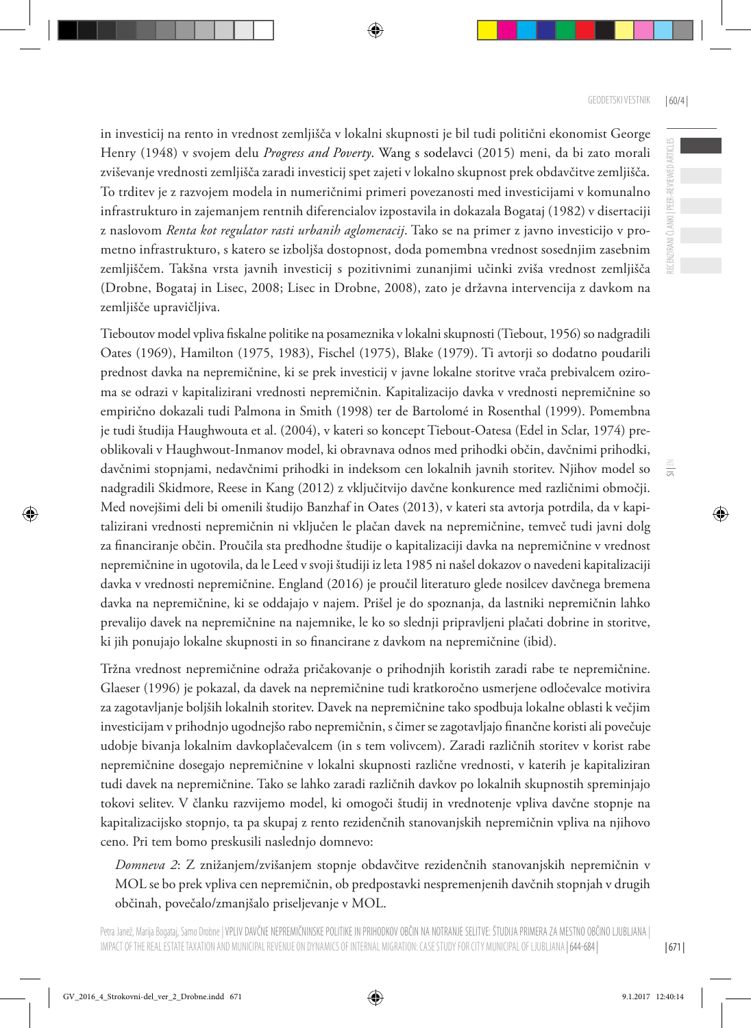RECENZIRANI ČLANKI | PEER-REVIEWED ARTICLES

 $\equiv$ 

in investicij na rento in vrednost zemljišča v lokalni skupnosti je bil tudi politični ekonomist George Henry (1948) v svojem delu *Progress and Poverty*. Wang s sodelavci (2015) meni, da bi zato morali zviševanje vrednosti zemljišča zaradi investicij spet zajeti v lokalno skupnost prek obdavčitve zemljišča. To trditev je z razvojem modela in numeričnimi primeri povezanosti med investicijami v komunalno infrastrukturo in zajemanjem rentnih diferencialov izpostavila in dokazala Bogataj (1982) v disertaciji z naslovom *Renta kot regulator rasti urbanih aglomeracij*. Tako se na primer z javno investicijo v prometno infrastrukturo, s katero se izboljša dostopnost, doda pomembna vrednost sosednjim zasebnim zemljiščem. Takšna vrsta javnih investicij s pozitivnimi zunanjimi učinki zviša vrednost zemljišča (Drobne, Bogataj in Lisec, 2008; Lisec in Drobne, 2008), zato je državna intervencija z davkom na zemljišče upravičljiva.

Tieboutov model vpliva fiskalne politike na posameznika v lokalni skupnosti (Tiebout, 1956) so nadgradili Oates (1969), Hamilton (1975, 1983), Fischel (1975), Blake (1979). Ti avtorji so dodatno poudarili prednost davka na nepremičnine, ki se prek investicij v javne lokalne storitve vrača prebivalcem oziroma se odrazi v kapitalizirani vrednosti nepremičnin. Kapitalizacijo davka v vrednosti nepremičnine so empirično dokazali tudi Palmona in Smith (1998) ter de Bartolomé in Rosenthal (1999). Pomembna je tudi študija Haughwouta et al. (2004), v kateri so koncept Tiebout-Oatesa (Edel in Sclar, 1974) preoblikovali v Haughwout-Inmanov model, ki obravnava odnos med prihodki občin, davčnimi prihodki, davčnimi stopnjami, nedavčnimi prihodki in indeksom cen lokalnih javnih storitev. Njihov model so nadgradili Skidmore, Reese in Kang (2012) z vključitvijo davčne konkurence med različnimi območji. Med novejšimi deli bi omenili študijo Banzhaf in Oates (2013), v kateri sta avtorja potrdila, da v kapitalizirani vrednosti nepremičnin ni vključen le plačan davek na nepremičnine, temveč tudi javni dolg za financiranje občin. Proučila sta predhodne študije o kapitalizaciji davka na nepremičnine v vrednost nepremičnine in ugotovila, da le Leed v svoji študiji iz leta 1985 ni našel dokazov o navedeni kapitalizaciji davka v vrednosti nepremičnine. England (2016) je proučil literaturo glede nosilcev davčnega bremena davka na nepremičnine, ki se oddajajo v najem. Prišel je do spoznanja, da lastniki nepremičnin lahko prevalijo davek na nepremičnine na najemnike, le ko so slednji pripravljeni plačati dobrine in storitve, ki jih ponujajo lokalne skupnosti in so financirane z davkom na nepremičnine (ibid).

Tržna vrednost nepremičnine odraža pričakovanje o prihodnjih koristih zaradi rabe te nepremičnine. Glaeser (1996) je pokazal, da davek na nepremičnine tudi kratkoročno usmerjene odločevalce motivira za zagotavljanje boljših lokalnih storitev. Davek na nepremičnine tako spodbuja lokalne oblasti k večjim investicijam v prihodnjo ugodnejšo rabo nepremičnin, s čimer se zagotavljajo finančne koristi ali povečuje udobje bivanja lokalnim davkoplačevalcem (in s tem volivcem). Zaradi različnih storitev v korist rabe nepremičnine dosegajo nepremičnine v lokalni skupnosti različne vrednosti, v katerih je kapitaliziran tudi davek na nepremičnine. Tako se lahko zaradi različnih davkov po lokalnih skupnostih spreminjajo tokovi selitev. V članku razvijemo model, ki omogoči študij in vrednotenje vpliva davčne stopnje na kapitalizacijsko stopnjo, ta pa skupaj z rento rezidenčnih stanovanjskih nepremičnin vpliva na njihovo ceno. Pri tem bomo preskusili naslednjo domnevo:

*Domneva 2*: Z znižanjem/zvišanjem stopnje obdavčitve rezidenčnih stanovanjskih nepremičnin v MOL se bo prek vpliva cen nepremičnin, ob predpostavki nespremenjenih davčnih stopnjah v drugih občinah, povečalo/zmanjšalo priseljevanje v MOL.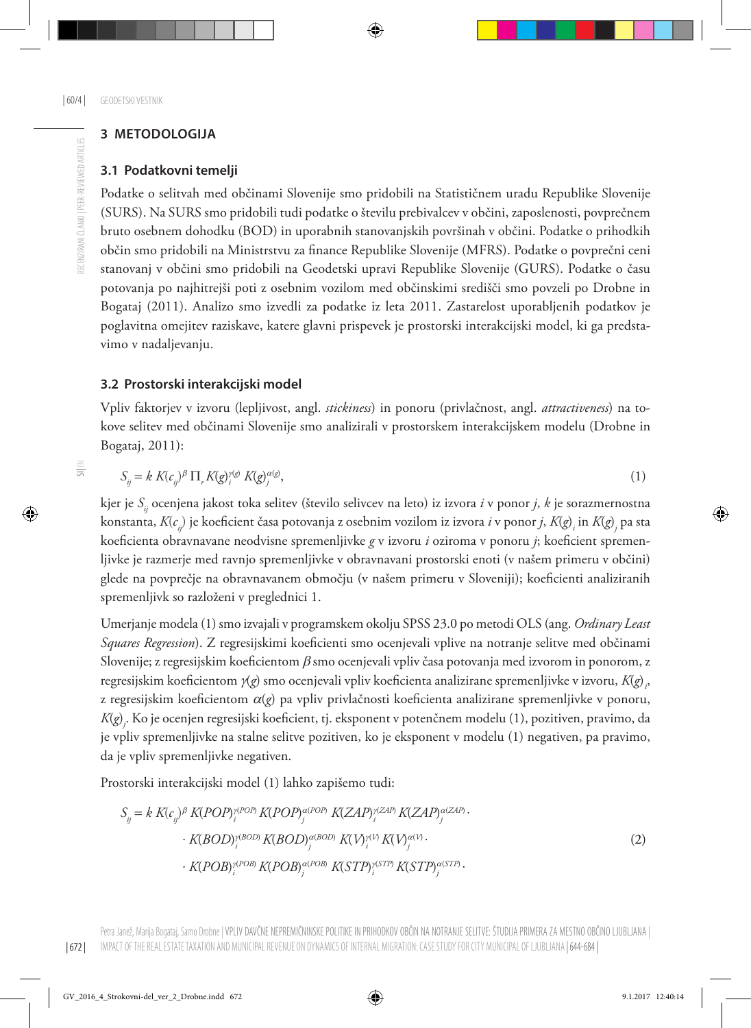### **3 METODOLOGIJA**

#### **3.1 Podatkovni temelji**

Podatke o selitvah med občinami Slovenije smo pridobili na Statističnem uradu Republike Slovenije (SURS). Na SURS smo pridobili tudi podatke o številu prebivalcev v občini, zaposlenosti, povprečnem bruto osebnem dohodku (BOD) in uporabnih stanovanjskih površinah v občini. Podatke o prihodkih občin smo pridobili na Ministrstvu za finance Republike Slovenije (MFRS). Podatke o povprečni ceni stanovanj v občini smo pridobili na Geodetski upravi Republike Slovenije (GURS). Podatke o času potovanja po najhitrejši poti z osebnim vozilom med občinskimi središči smo povzeli po Drobne in Bogataj (2011). Analizo smo izvedli za podatke iz leta 2011. Zastarelost uporabljenih podatkov je poglavitna omejitev raziskave, katere glavni prispevek je prostorski interakcijski model, ki ga predstavimo v nadaljevanju.

#### **3.2 Prostorski interakcijski model**

Vpliv faktorjev v izvoru (lepljivost, angl. *stickiness*) in ponoru (privlačnost, angl. *attractiveness*) na tokove selitev med občinami Slovenije smo analizirali v prostorskem interakcijskem modelu (Drobne in Bogataj, 2011):

$$
S_{ij} = k K(c_{ij})^{\beta} \prod_{r} K(g)_{i}^{\gamma(g)} K(g)_{j}^{\alpha(g)}, \tag{1}
$$

kjer je *Sij* ocenjena jakost toka selitev (število selivcev na leto) iz izvora *i* v ponor *j*, *k* je sorazmernostna konstanta, *K*(*cij*) je koeficient časa potovanja z osebnim vozilom iz izvora *i* v ponor *j*, *K*(*g*) *i* in *K*(*g*) *j* pa sta koeficienta obravnavane neodvisne spremenljivke *g* v izvoru *i* oziroma v ponoru *j*; koeficient spremenljivke je razmerje med ravnjo spremenljivke v obravnavani prostorski enoti (v našem primeru v občini) glede na povprečje na obravnavanem območju (v našem primeru v Sloveniji); koeficienti analiziranih spremenljivk so razloženi v preglednici 1.

Umerjanje modela (1) smo izvajali v programskem okolju SPSS 23.0 po metodi OLS (ang. *Ordinary Least Squares Regression*). Z regresijskimi koeficienti smo ocenjevali vplive na notranje selitve med občinami Slovenije; z regresijskim koeficientom  $\beta$  smo ocenjevali vpliv časa potovanja med izvorom in ponorom, z regresijskim koeficientom γ(*g*) smo ocenjevali vpliv koeficienta analizirane spremenljivke v izvoru, *K*(*g*)<sub>,</sub>, z regresijskim koeficientom a(*g*) pa vpliv privlačnosti koeficienta analizirane spremenljivke v ponoru, *K*(*g*) *j* . Ko je ocenjen regresijski koeficient, tj. eksponent v potenčnem modelu (1), pozitiven, pravimo, da je vpliv spremenljivke na stalne selitve pozitiven, ko je eksponent v modelu (1) negativen, pa pravimo, da je vpliv spremenljivke negativen.

Prostorski interakcijski model (1) lahko zapišemo tudi:

$$
S_{ij} = k K(c_{ij})^{\beta} K(POP)^{\gamma (POP)}_{i} K(POP)^{\alpha (POP)}_{j} K(ZAP)^{\gamma (ZAP)}_{i} K(ZAP)^{\alpha (ZAP)}_{j}.
$$

$$
\cdot K(BOD)^{\gamma (BOD)}_{i} K(BOD)^{\alpha (BOD)}_{j} K(V)^{\gamma V} K(V)^{\alpha V}.
$$

$$
\cdot K(POB)^{\gamma (POB)}_{i} K(POB)^{\alpha (POB)}_{j} K(STP)^{\gamma (STP)}_{i} K(STP)^{\alpha (STP)}_{j}.
$$

$$
(2)
$$

 $\equiv$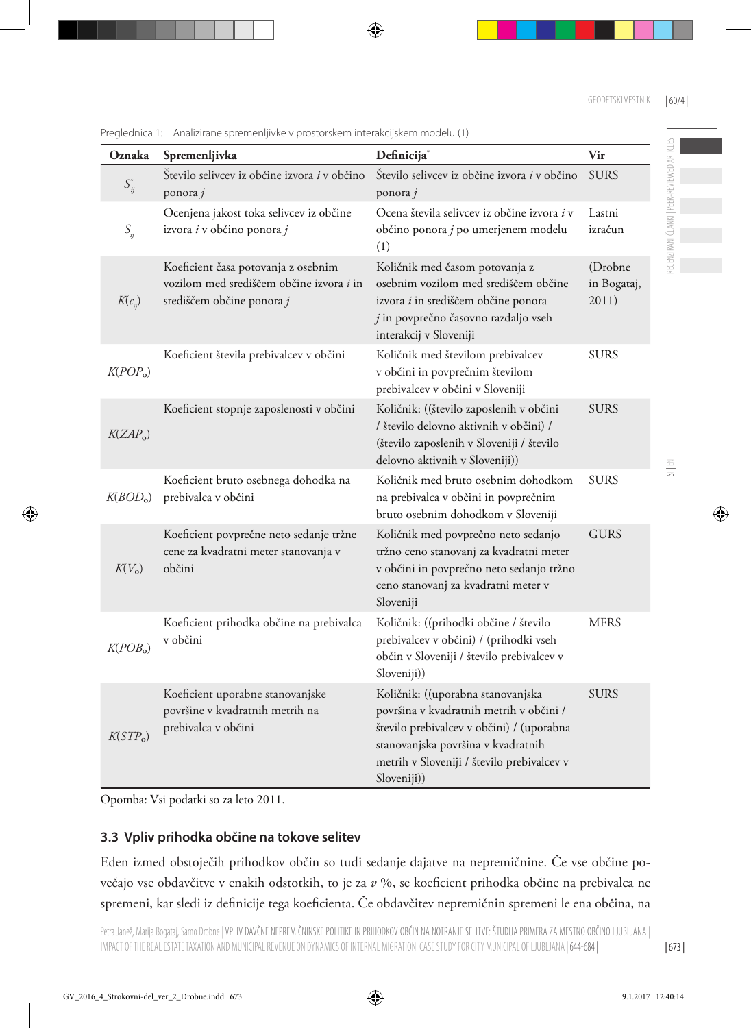| Oznaka                | Spremenljivka                                                                                                | Definicija <sup>*</sup>                                                                                                                                                                                                      | Vir                             |
|-----------------------|--------------------------------------------------------------------------------------------------------------|------------------------------------------------------------------------------------------------------------------------------------------------------------------------------------------------------------------------------|---------------------------------|
| $S_{ij}^*$            | Število selivcev iz občine izvora <i>i</i> v občino<br>ponora j                                              | Število selivcev iz občine izvora i v občino<br>ponora $j$                                                                                                                                                                   | <b>SURS</b>                     |
| $S_{ii}$              | Ocenjena jakost toka selivcev iz občine<br>izvora i v občino ponora j                                        | Ocena števila selivcev iz občine izvora <i>i</i> v<br>občino ponora j po umerjenem modelu<br>(1)                                                                                                                             | Lastni<br>izračun               |
| $K(c_i)$              | Koeficient časa potovanja z osebnim<br>vozilom med središčem občine izvora i in<br>središčem občine ponora j | Količnik med časom potovanja z<br>osebnim vozilom med središčem občine<br>izvora i in središčem občine ponora<br>$j$ in povprečno časovno razdaljo vseh<br>interakcij v Sloveniji                                            | (Drobne<br>in Bogataj,<br>2011) |
| K(POP <sub>o</sub> )  | Koeficient števila prebivalcev v občini                                                                      | Količnik med številom prebivalcev<br>v občini in povprečnim številom<br>prebivalcev v občini v Sloveniji                                                                                                                     | <b>SURS</b>                     |
| K(ZAP <sub>o</sub> )  | Koeficient stopnje zaposlenosti v občini                                                                     | Količnik: ((število zaposlenih v občini<br>/ število delovno aktivnih v občini) /<br>(število zaposlenih v Sloveniji / število<br>delovno aktivnih v Sloveniji))                                                             | <b>SURS</b>                     |
| K( BOD <sub>o</sub> ) | Koeficient bruto osebnega dohodka na<br>prebivalca v občini                                                  | Količnik med bruto osebnim dohodkom<br>na prebivalca v občini in povprečnim<br>bruto osebnim dohodkom v Sloveniji                                                                                                            | <b>SURS</b>                     |
| $K(V_0)$              | Koeficient povprečne neto sedanje tržne<br>cene za kvadratni meter stanovanja v<br>občini                    | Količnik med povprečno neto sedanjo<br>tržno ceno stanovanj za kvadratni meter<br>v občini in povprečno neto sedanjo tržno<br>ceno stanovanj za kvadratni meter v<br>Sloveniji                                               | <b>GURS</b>                     |
| K(POB <sub>o</sub> )  | Koeficient prihodka občine na prebivalca<br>v občini                                                         | Količnik: ((prihodki občine / število<br>prebivalcev v občini) / (prihodki vseh<br>občin v Sloveniji / število prebivalcev v<br>Sloveniji))                                                                                  | <b>MFRS</b>                     |
| K(STP <sub>o</sub> )  | Koeficient uporabne stanovanjske<br>površine v kvadratnih metrih na<br>prebivalca v občini                   | Količnik: ((uporabna stanovanjska<br>površina v kvadratnih metrih v občini /<br>število prebivalcev v občini) / (uporabna<br>stanovanjska površina v kvadratnih<br>metrih v Sloveniji / število prebivalcev v<br>Sloveniji)) | <b>SURS</b>                     |

Preglednica 1: Analizirane spremenljivke v prostorskem interakcijskem modelu (1)

Opomba: Vsi podatki so za leto 2011.

### **3.3 Vpliv prihodka občine na tokove selitev**

Eden izmed obstoječih prihodkov občin so tudi sedanje dajatve na nepremičnine. Če vse občine povečajo vse obdavčitve v enakih odstotkih, to je za *v* %, se koeficient prihodka občine na prebivalca ne spremeni, kar sledi iz definicije tega koeficienta. Če obdavčitev nepremičnin spremeni le ena občina, na RECENZIRANI ČLANKI | PEER-REVIEWED ARTICLES

ECENZIRANI ČLANKI | PEER-REVIEWED ARTICLES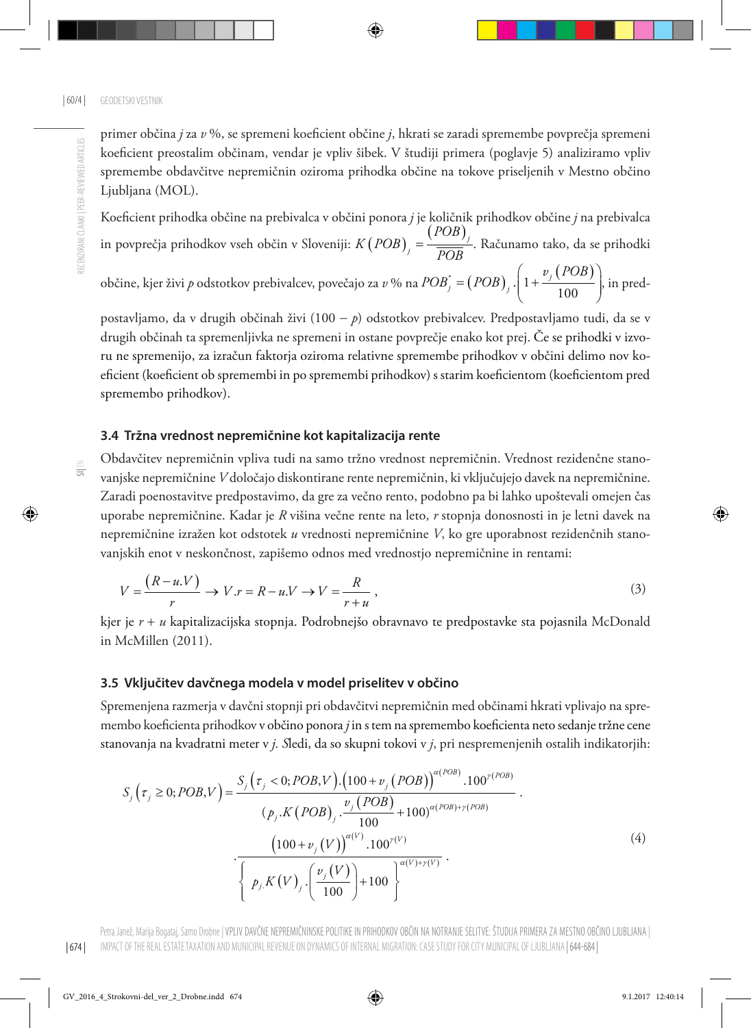primer občina *j* za *v* %, se spremeni koeficient občine *j*, hkrati se zaradi spremembe povprečja spremeni koeficient preostalim občinam, vendar je vpliv šibek. V študiji primera (poglavje 5) analiziramo vpliv spremembe obdavčitve nepremičnin oziroma prihodka občine na tokove priseljenih v Mestno občino Ljubljana (MOL).

Koeficient prihodka občine na prebivalca v občini ponora *j* je količnik prihodkov občine *j* na prebivalca in povprečja prihodkov vseh občin v Sloveniji:  $K(POB)_{j} = \frac{(POB)_{j}}{\overline{POB}}$ *POB*  $K(POB)_{j} = \frac{V}{POB}$ . Računamo tako, da se prihodki

občine, kjer živi *p* odstotkov prebivalcev, povečajo za  $v$  % na  $POB_j^* = (POB)_j \cdot \left( 1 + \frac{v_j(POB)}{100} \right)$  $j = (POB)$ <sub>*j*</sub>  $\cdot$   $\left(1 + \frac{\nu_j}{\nu_j}\right)$  $POB_j^* = (POB)_j \cdot \left(1 + \frac{v_j (POB)_j}{100}\right)$  $=(POB)_{i}$ ,  $\left(1+\frac{v_{j}(POB)}{100}\right)$  $(100)$ , in pred-

postavljamo, da v drugih občinah živi (100 − *p*) odstotkov prebivalcev. Predpostavljamo tudi, da se v drugih občinah ta spremenljivka ne spremeni in ostane povprečje enako kot prej. Če se prihodki v izvoru ne spremenijo, za izračun faktorja oziroma relativne spremembe prihodkov v občini delimo nov koeficient (koeficient ob spremembi in po spremembi prihodkov) s starim koeficientom (koeficientom pred spremembo prihodkov).

#### **3.4 Tržna vrednost nepremičnine kot kapitalizacija rente**

Obdavčitev nepremičnin vpliva tudi na samo tržno vrednost nepremičnin. Vrednost rezidenčne stanovanjske nepremičnine *V* določajo diskontirane rente nepremičnin, ki vključujejo davek na nepremičnine. Zaradi poenostavitve predpostavimo, da gre za večno rento, podobno pa bi lahko upoštevali omejen čas uporabe nepremičnine. Kadar je *R* višina večne rente na leto, *r* stopnja donosnosti in je letni davek na nepremičnine izražen kot odstotek *u* vrednosti nepremičnine *V*, ko gre uporabnost rezidenčnih stanovanjskih enot v neskončnost, zapišemo odnos med vrednostjo nepremičnine in rentami:

$$
V = \frac{(R - u.V)}{r} \to V.r = R - u.V \to V = \frac{R}{r + u},
$$
\n(3)

kjer je *r* + *u* kapitalizacijska stopnja. Podrobnejšo obravnavo te predpostavke sta pojasnila McDonald in McMillen (2011).

#### **3.5 Vključitev davčnega modela v model priselitev v občino**

Spremenjena razmerja v davčni stopnji pri obdavčitvi nepremičnin med občinami hkrati vplivajo na spremembo koeficienta prihodkov v občino ponora *j* in s tem na spremembo koeficienta neto sedanje tržne cene stanovanja na kvadratni meter v *j. S*ledi, da so skupni tokovi v *j*, pri nespremenjenih ostalih indikatorjih:

$$
S_{j}\left(\tau_{j} \ge 0; POB,V\right) = \frac{S_{j}\left(\tau_{j} < 0; POB,V\right) \cdot \left(100 + v_{j}\left(POB\right)\right)^{\alpha\left(POB\right)} \cdot 100^{\gamma\left(POB\right)}}{\left(p_{j}.K\left(POB\right)_{j} \cdot \frac{v_{j}\left(POB\right)}{100} + 100\right)^{\alpha\left(POB\right) + \gamma\left(POB\right)}} \cdot \frac{\left(100 + v_{j}\left(V\right)\right)^{\alpha\left(V\right)} \cdot 100^{\gamma\left(V\right)}}{\left\{p_{j}.K\left(V\right)_{j} \cdot \left(\frac{v_{j}\left(V\right)}{100}\right) + 100\right\}^{\alpha\left(V\right) + \gamma\left(V\right)}} \cdot \tag{4}
$$

 $\frac{1}{5}$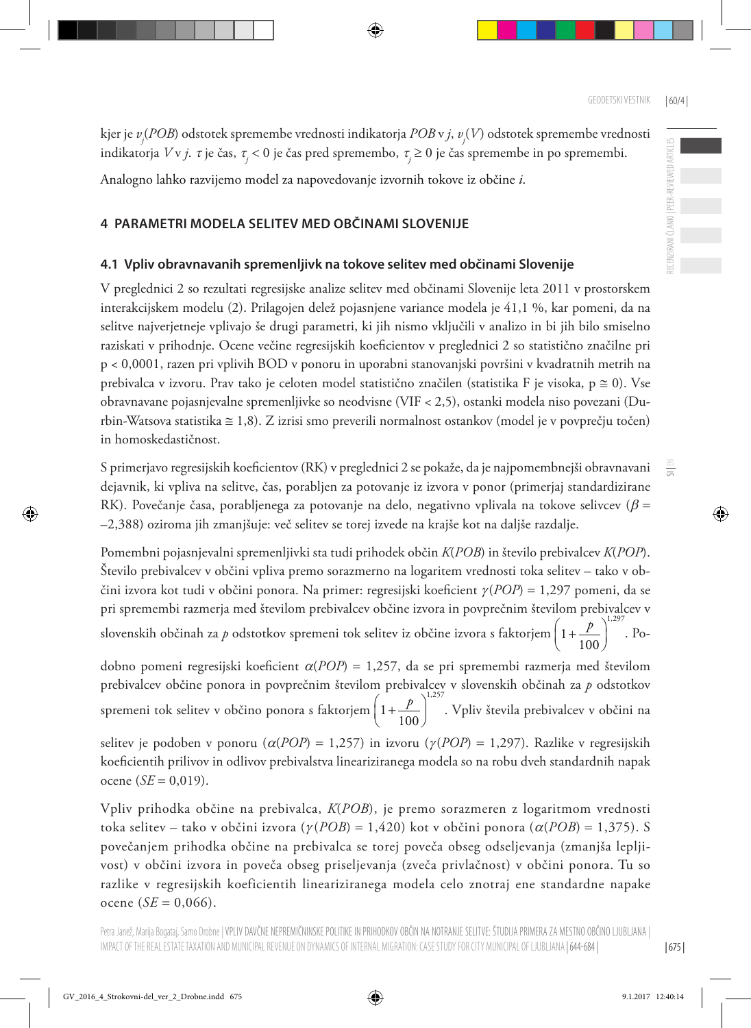$\equiv$ 

kjer je *vj* (*POB*) odstotek spremembe vrednosti indikatorja *POB* v *j*, *vj* (*V*) odstotek spremembe vrednosti indikatorja *V* v *j*. τ je čas, <sup>τ</sup>*<sup>j</sup>* < 0 je čas pred spremembo, <sup>τ</sup>*<sup>j</sup>* ≥ 0 je čas spremembe in po spremembi.

Analogno lahko razvijemo model za napovedovanje izvornih tokove iz občine *i*.

#### **4 PARAMETRI MODELA SELITEV MED OBČINAMI SLOVENIJE**

#### **4.1 Vpliv obravnavanih spremenljivk na tokove selitev med občinami Slovenije**

V preglednici 2 so rezultati regresijske analize selitev med občinami Slovenije leta 2011 v prostorskem interakcijskem modelu (2). Prilagojen delež pojasnjene variance modela je 41,1 %, kar pomeni, da na selitve najverjetneje vplivajo še drugi parametri, ki jih nismo vključili v analizo in bi jih bilo smiselno raziskati v prihodnje. Ocene večine regresijskih koeficientov v preglednici 2 so statistično značilne pri p < 0,0001, razen pri vplivih BOD v ponoru in uporabni stanovanjski površini v kvadratnih metrih na prebivalca v izvoru. Prav tako je celoten model statistično značilen (statistika F je visoka, p ≅ 0). Vse obravnavane pojasnjevalne spremenljivke so neodvisne (VIF < 2,5), ostanki modela niso povezani (Durbin-Watsova statistika ≅ 1,8). Z izrisi smo preverili normalnost ostankov (model je v povprečju točen) in homoskedastičnost.

S primerjavo regresijskih koeficientov (RK) v preglednici 2 se pokaže, da je najpomembnejši obravnavani dejavnik, ki vpliva na selitve, čas, porabljen za potovanje iz izvora v ponor (primerjaj standardizirane RK). Povečanje časa, porabljenega za potovanje na delo, negativno vplivala na tokove selivcev ( $\beta$  = –2,388) oziroma jih zmanjšuje: več selitev se torej izvede na krajše kot na daljše razdalje.

Pomembni pojasnjevalni spremenljivki sta tudi prihodek občin *K*(*POB*) in število prebivalcev *K*(*POP*). Število prebivalcev v občini vpliva premo sorazmerno na logaritem vrednosti toka selitev – tako v občini izvora kot tudi v občini ponora. Na primer: regresijski koeficient <sup>γ</sup> (*POP*) = 1,297 pomeni, da se pri spremembi razmerja med številom prebivalcev občine izvora in povprečnim številom prebivalcev v slovenskih občinah za *p* odstotkov spremeni tok selitev iz občine izvora s faktorjem 1,297  $\left(1+\frac{p}{100}\right)^{1.29}$ . Po-

dobno pomeni regresijski koeficient a(*POP*) = 1,257, da se pri spremembi razmerja med številom prebivalcev občine ponora in povprečnim številom prebivalcev v slovenskih občinah za *p* odstotkov spremeni tok selitev v občino ponora s faktorjem 1,257  $\left(1+\frac{p}{100}\right)^{12.57}$ . Vpliv števila prebivalcev v občini na

selitev je podoben v ponoru ( $\alpha(POP) = 1,257$ ) in izvoru ( $\gamma(POP) = 1,297$ ). Razlike v regresijskih koeficientih prilivov in odlivov prebivalstva lineariziranega modela so na robu dveh standardnih napak  $ocence (SE = 0.019).$ 

Vpliv prihodka občine na prebivalca, *K*(*POB*), je premo sorazmeren z logaritmom vrednosti toka selitev – tako v občini izvora (<sup>γ</sup> (*POB*) = 1,420) kot v občini ponora (a(*POB*) = 1,375). S povečanjem prihodka občine na prebivalca se torej poveča obseg odseljevanja (zmanjša lepljivost) v občini izvora in poveča obseg priseljevanja (zveča privlačnost) v občini ponora. Tu so razlike v regresijskih koeficientih lineariziranega modela celo znotraj ene standardne napake  $o$ cene (*SE* = 0,066).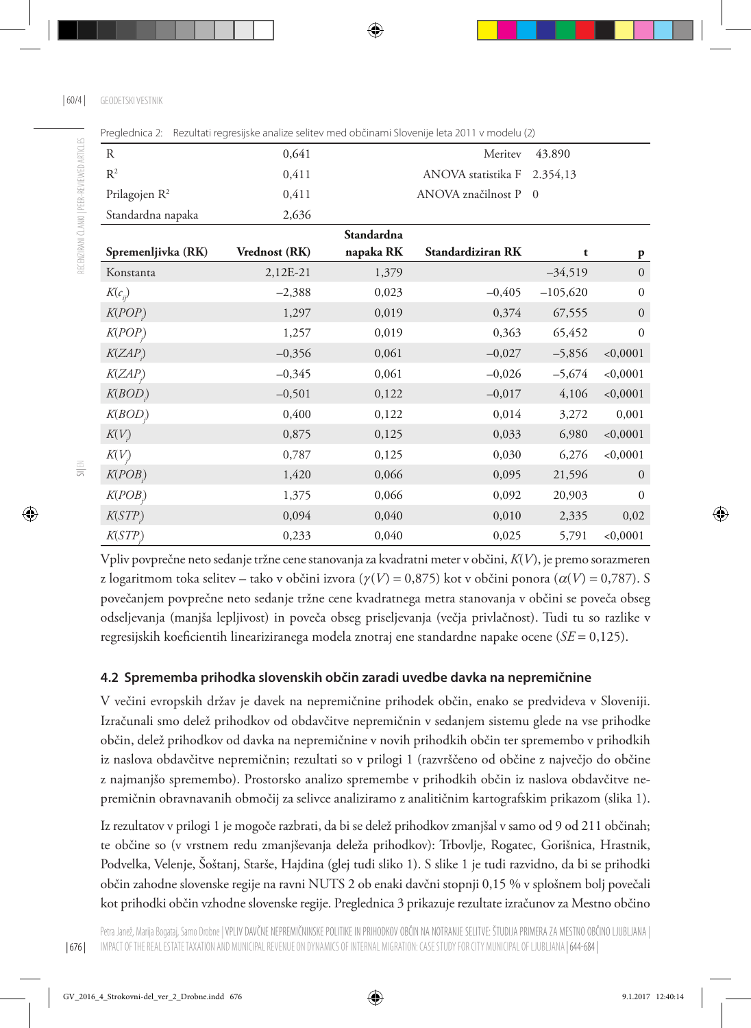| R                         | 0,641                |            | Meritev                     | 43.890         |                  |
|---------------------------|----------------------|------------|-----------------------------|----------------|------------------|
| $R^2$                     | 0,411                |            | ANOVA statistika F 2.354,13 |                |                  |
| Prilagojen R <sup>2</sup> | 0,411                |            | ANOVA značilnost P          | $\overline{0}$ |                  |
| Standardna napaka         | 2,636                |            |                             |                |                  |
|                           |                      | Standardna |                             |                |                  |
| Spremenljivka (RK)        | <b>Vrednost (RK)</b> | napaka RK  | Standardiziran RK           | t              | P                |
| Konstanta                 | 2,12E-21             | 1,379      |                             | $-34,519$      | $\boldsymbol{0}$ |
| $K(c_{ii})$               | $-2,388$             | 0,023      | $-0,405$                    | $-105,620$     | $\boldsymbol{0}$ |
| K(POP)                    | 1,297                | 0,019      | 0,374                       | 67,555         | $\mathbf{0}$     |
| K(POP)                    | 1,257                | 0,019      | 0,363                       | 65,452         | $\boldsymbol{0}$ |
| K(ZAP)                    | $-0,356$             | 0,061      | $-0,027$                    | $-5,856$       | < 0,0001         |
| K(ZAP)                    | $-0,345$             | 0,061      | $-0,026$                    | $-5,674$       | < 0,0001         |
| K(BOD)                    | $-0,501$             | 0,122      | $-0,017$                    | 4,106          | < 0,0001         |
| K(BOD)                    | 0,400                | 0,122      | 0,014                       | 3,272          | 0,001            |
| K(V)                      | 0,875                | 0,125      | 0,033                       | 6,980          | < 0,0001         |
| K(V)                      | 0,787                | 0,125      | 0,030                       | 6,276          | < 0,0001         |
| K(POB)                    | 1,420                | 0,066      | 0,095                       | 21,596         | $\mathbf{0}$     |
| K(POB)                    | 1,375                | 0,066      | 0,092                       | 20,903         | $\boldsymbol{0}$ |
| K(STP)                    | 0,094                | 0,040      | 0,010                       | 2,335          | 0,02             |
| K(STP)                    | 0,233                | 0,040      | 0,025                       | 5,791          | < 0,0001         |

Preglednica 2: Rezultati regresijske analize selitev med občinami Slovenije leta 2011 v modelu (2)

Vpliv povprečne neto sedanje tržne cene stanovanja za kvadratni meter v občini, *K*(*V*), je premo sorazmeren z logaritmom toka selitev – tako v občini izvora  $(\gamma(V) = 0.875)$  kot v občini ponora  $(\alpha(V) = 0.787)$ . S povečanjem povprečne neto sedanje tržne cene kvadratnega metra stanovanja v občini se poveča obseg odseljevanja (manjša lepljivost) in poveča obseg priseljevanja (večja privlačnost). Tudi tu so razlike v regresijskih koeficientih lineariziranega modela znotraj ene standardne napake ocene (*SE* = 0,125).

### **4.2 Sprememba prihodka slovenskih občin zaradi uvedbe davka na nepremičnine**

V večini evropskih držav je davek na nepremičnine prihodek občin, enako se predvideva v Sloveniji. Izračunali smo delež prihodkov od obdavčitve nepremičnin v sedanjem sistemu glede na vse prihodke občin, delež prihodkov od davka na nepremičnine v novih prihodkih občin ter spremembo v prihodkih iz naslova obdavčitve nepremičnin; rezultati so v prilogi 1 (razvrščeno od občine z največjo do občine z najmanjšo spremembo). Prostorsko analizo spremembe v prihodkih občin iz naslova obdavčitve nepremičnin obravnavanih območij za selivce analiziramo z analitičnim kartografskim prikazom (slika 1).

Iz rezultatov v prilogi 1 je mogoče razbrati, da bi se delež prihodkov zmanjšal v samo od 9 od 211 občinah; te občine so (v vrstnem redu zmanjševanja deleža prihodkov): Trbovlje, Rogatec, Gorišnica, Hrastnik, Podvelka, Velenje, Šoštanj, Starše, Hajdina (glej tudi sliko 1). S slike 1 je tudi razvidno, da bi se prihodki občin zahodne slovenske regije na ravni NUTS 2 ob enaki davčni stopnji 0,15 % v splošnem bolj povečali kot prihodki občin vzhodne slovenske regije. Preglednica 3 prikazuje rezultate izračunov za Mestno občino

| 676 |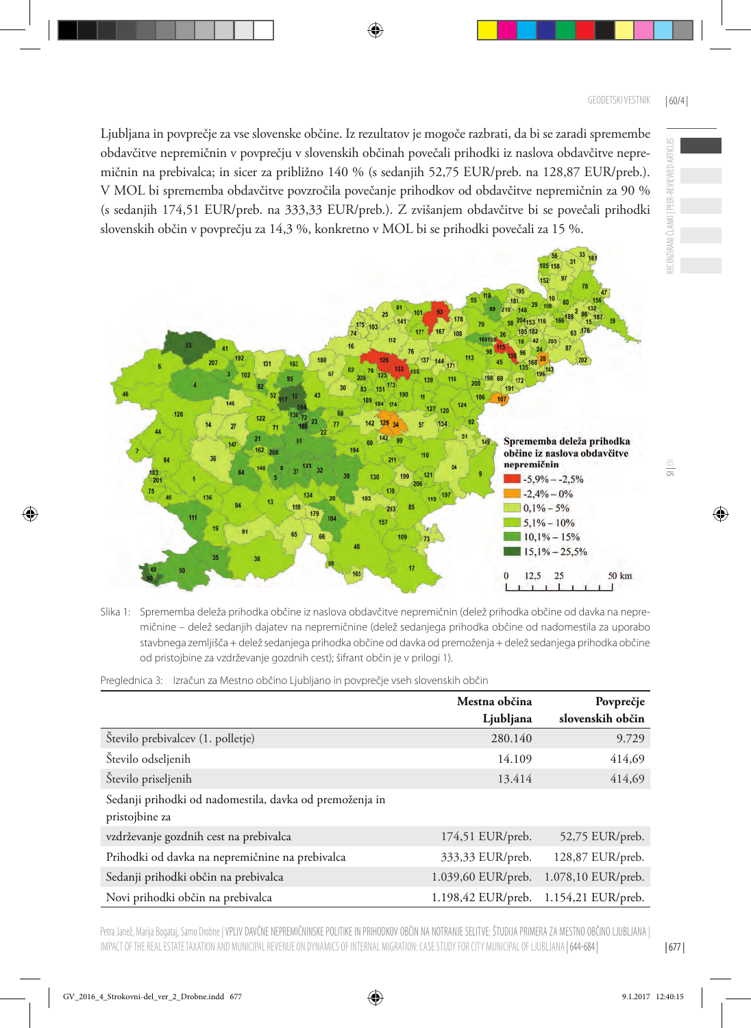Ljubljana in povprečje za vse slovenske občine. Iz rezultatov je mogoče razbrati, da bi se zaradi spremembe obdavčitve nepremičnin v povprečju v slovenskih občinah povečali prihodki iz naslova obdavčitve nepremičnin na prebivalca; in sicer za približno 140 % (s sedanjih 52,75 EUR/preb. na 128,87 EUR/preb.). V MOL bi sprememba obdavčitve povzročila povečanje prihodkov od obdavčitve nepremičnin za 90 % (s sedanjih 174,51 EUR/preb. na 333,33 EUR/preb.). Z zvišanjem obdavčitve bi se povečali prihodki slovenskih občin v povprečju za 14,3 %, konkretno v MOL bi se prihodki povečali za 15 %.



Slika 1: Sprememba deleža prihodka občine iz naslova obdavčitve nepremičnin (delež prihodka občine od davka na nepremičnine – delež sedanjih dajatev na nepremičnine (delež sedanjega prihodka občine od nadomestila za uporabo stavbnega zemljišča + delež sedanjega prihodka občine od davka od premoženja + delež sedanjega prihodka občine od pristojbine za vzdrževanje gozdnih cest); šifrant občin je v prilogi 1).

Preglednica 3: Izračun za Mestno občino Ljubljano in povprečje vseh slovenskih občin

|                                                                           | Mestna občina      | Povprečje          |
|---------------------------------------------------------------------------|--------------------|--------------------|
|                                                                           | Ljubljana          | slovenskih občin   |
| Število prebivalcev (1. polletje)                                         | 280.140            | 9.729              |
| Število odseljenih                                                        | 14.109             | 414,69             |
| Število priseljenih                                                       | 13.414             | 414,69             |
| Sedanji prihodki od nadomestila, davka od premoženja in<br>pristojbine za |                    |                    |
| vzdrževanje gozdnih cest na prebivalca                                    | 174,51 EUR/preb.   | 52,75 EUR/preb.    |
| Prihodki od davka na nepremičnine na prebivalca                           | 333,33 EUR/preb.   | 128,87 EUR/preb.   |
| Sedanji prihodki občin na prebivalca                                      | 1.039,60 EUR/preb. | 1.078,10 EUR/preb. |
| Novi prihodki občin na prebivalca                                         | 1.198,42 EUR/preb. | 1.154,21 EUR/preb. |

RECENZIRANI ČLANKI | PEER-REVIEWED ARTICLES

ECENZIRANI ČLANKI | PEER-REVIEWED ARTICLES

Petra Janež, Marija Bogataj, Samo Drobne | VPLIV DAVČNE NEPREMIČNINSKE POLITIKE IN PRIHODKOV OBČIN NA NOTRANJE SELITVE: ŠTUDIJA PRIMERA ZA MESTNO OBČINO LJUBLJANA | IMPACT OF THE REAL ESTATE TAXATION AND MUNICIPAL REVENUE ON DYNAMICS OF INTERNAL MIGRATION: CASE STUDY FOR CITY MUNICIPAL OF LJUBLJANA | 644-684 |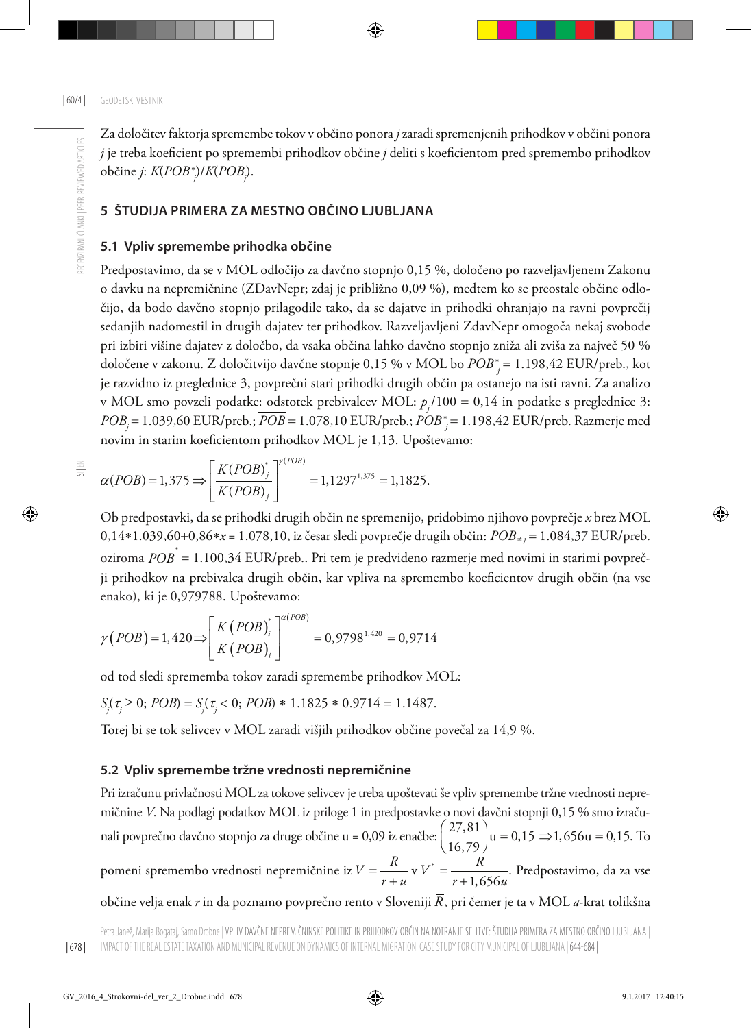Za določitev faktorja spremembe tokov v občino ponora *j* zaradi spremenjenih prihodkov v občini ponora *j* je treba koeficient po spremembi prihodkov občine *j* deliti s koeficientom pred spremembo prihodkov občine *j*: *K*(*POB*<sup>∗</sup> *j* )/*K*(*POBj* ).

#### **5 ŠTUDIJA PRIMERA ZA MESTNO OBČINO LJUBLJANA**

#### **5.1 Vpliv spremembe prihodka občine**

Predpostavimo, da se v MOL odločijo za davčno stopnjo 0,15 %, določeno po razveljavljenem Zakonu o davku na nepremičnine (ZDavNepr; zdaj je približno 0,09 %), medtem ko se preostale občine odločijo, da bodo davčno stopnjo prilagodile tako, da se dajatve in prihodki ohranjajo na ravni povprečij sedanjih nadomestil in drugih dajatev ter prihodkov. Razveljavljeni ZdavNepr omogoča nekaj svobode pri izbiri višine dajatev z določbo, da vsaka občina lahko davčno stopnjo zniža ali zviša za največ 50 % določene v zakonu. Z določitvijo davčne stopnje 0,15 % v MOL bo *POB*<sup>∗</sup> *<sup>j</sup>* = 1.198,42 EUR/preb., kot je razvidno iz preglednice 3, povprečni stari prihodki drugih občin pa ostanejo na isti ravni. Za analizo v MOL smo povzeli podatke: odstotek prebivalcev MOL: *pj* /100 = 0,14 in podatke s preglednice 3: *POBj* = 1.039,60 EUR/preb.; *POB* = 1.078,10 EUR/preb.; *POB*<sup>∗</sup> *<sup>j</sup>* = 1.198,42 EUR/preb. Razmerje med novim in starim koeficientom prihodkov MOL je 1,13. Upoštevamo:

$$
\alpha(POB) = 1,375 \Longrightarrow \left[\frac{K(POB)^{*}}{K(POB)}\right]^{r(POB)} = 1,1297^{1,375} = 1,1825.
$$

Ob predpostavki, da se prihodki drugih občin ne spremenijo, pridobimo njihovo povprečje *x* brez MOL 0,14∗1.039,60+0,86∗*x* = 1.078,10, iz česar sledi povprečje drugih občin: *POB*<sup>≠</sup> *<sup>j</sup>* = 1.084,37 EUR/preb. oziroma  $\overline{POB}^*=1.100,\!34$  EUR/preb.. Pri tem je predvideno razmerje med novimi in starimi povprečji prihodkov na prebivalca drugih občin, kar vpliva na spremembo koeficientov drugih občin (na vse enako), ki je 0,979788. Upoštevamo:

$$
\gamma (POB) = 1,420 \Longrightarrow \left[ \frac{K (POB)^{*}}{K (POB)_{i}} \right]^{a (POB)} = 0,9798^{1,420} = 0,9714
$$

od tod sledi sprememba tokov zaradi spremembe prihodkov MOL:

$$
S_j(\tau_j \ge 0; POB) = S_j(\tau_j < 0; POB) * 1.1825 * 0.9714 = 1.1487.
$$

Torej bi se tok selivcev v MOL zaradi višjih prihodkov občine povečal za 14,9 %.

#### **5.2 Vpliv spremembe tržne vrednosti nepremičnine**

Pri izračunu privlačnosti MOL za tokove selivcev je treba upoštevati še vpliv spremembe tržne vrednosti nepremičnine *V*. Na podlagi podatkov MOL iz priloge 1 in predpostavke o novi davčni stopnji 0,15 % smo izračunali povprečno davčno stopnjo za druge občine u = 0,09 iz enačbe:  $\left(\frac{27,81}{16,79}\right)$ u = 0,15  $\Rightarrow$ 1,656u = 0,15. To pomeni spremembo vrednosti nepremičnine iz  $V = \frac{R}{r+u}$  v  $V^* = \frac{R}{r+1,656u}$ . Predpostavimo, da za vse občine velja enak *r* in da poznamo povprečno rento v Sloveniji *R*, pri čemer je ta v MOL *a*-krat tolikšna

 $\frac{1}{5}$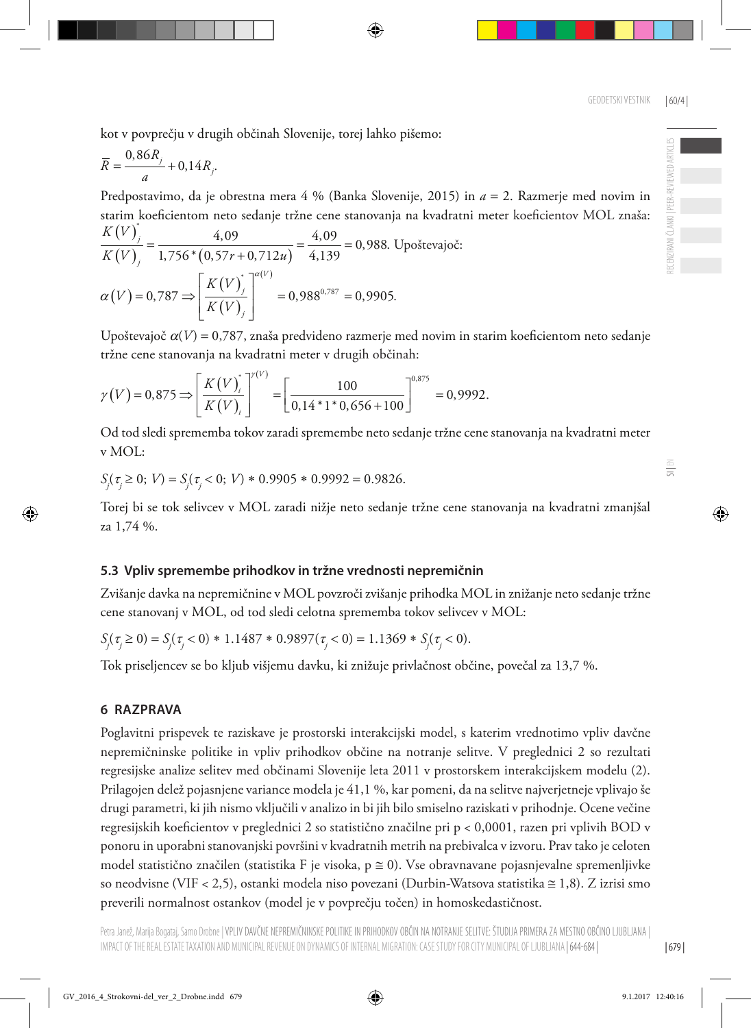$\equiv$ 

kot v povprečju v drugih občinah Slovenije, torej lahko pišemo:

$$
\overline{R} = \frac{0,86R_j}{a} + 0,14R_j.
$$

Predpostavimo, da je obrestna mera 4 % (Banka Slovenije, 2015) in *a* = 2. Razmerje med novim in starim koeficientom neto sedanje tržne cene stanovanja na kvadratni meter koeficientov MOL znaša: \*

$$
\frac{K(V)}{K(V)}_j = \frac{4,09}{1,756*(0,57r+0,712u)} = \frac{4,09}{4,139} = 0,988.
$$
 Upoštevajoč:  

$$
\alpha(V) = 0,787 \Rightarrow \left[\frac{K(V)}{K(V)}\right]^{a(V)} = 0,988^{0,787} = 0,9905.
$$

Upoštevajoč α(*V*) = 0,787, znaša predvideno razmerje med novim in starim koeficientom neto sedanje tržne cene stanovanja na kvadratni meter v drugih občinah:

$$
\gamma(V) = 0.875 \Longrightarrow \left[\frac{K(V)}{K(V)}\right]^{V(V)} = \left[\frac{100}{0.14 \times 1 \times 0.656 + 100}\right]^{0.875} = 0.9992.
$$

Od tod sledi sprememba tokov zaradi spremembe neto sedanje tržne cene stanovanja na kvadratni meter v MOL:

$$
S_j(\tau_j \ge 0; V) = S_j(\tau_j < 0; V) \cdot 0.9905 \cdot 0.9992 = 0.9826.
$$

Torej bi se tok selivcev v MOL zaradi nižje neto sedanje tržne cene stanovanja na kvadratni zmanjšal za 1,74 %.

### **5.3 Vpliv spremembe prihodkov in tržne vrednosti nepremičnin**

Zvišanje davka na nepremičnine v MOL povzroči zvišanje prihodka MOL in znižanje neto sedanje tržne cene stanovanj v MOL, od tod sledi celotna sprememba tokov selivcev v MOL:

$$
S_j(\tau_j \ge 0) = S_j(\tau_j < 0) * 1.1487 * 0.9897(\tau_j < 0) = 1.1369 * S_j(\tau_j < 0).
$$

Tok priseljencev se bo kljub višjemu davku, ki znižuje privlačnost občine, povečal za 13,7 %.

### **6 RAZPRAVA**

Poglavitni prispevek te raziskave je prostorski interakcijski model, s katerim vrednotimo vpliv davčne nepremičninske politike in vpliv prihodkov občine na notranje selitve. V preglednici 2 so rezultati regresijske analize selitev med občinami Slovenije leta 2011 v prostorskem interakcijskem modelu (2). Prilagojen delež pojasnjene variance modela je 41,1 %, kar pomeni, da na selitve najverjetneje vplivajo še drugi parametri, ki jih nismo vključili v analizo in bi jih bilo smiselno raziskati v prihodnje. Ocene večine regresijskih koeficientov v preglednici 2 so statistično značilne pri p < 0,0001, razen pri vplivih BOD v ponoru in uporabni stanovanjski površini v kvadratnih metrih na prebivalca v izvoru. Prav tako je celoten model statistično značilen (statistika F je visoka,  $p \approx 0$ ). Vse obravnavane pojasnjevalne spremenljivke so neodvisne (VIF < 2,5), ostanki modela niso povezani (Durbin-Watsova statistika ≅ 1,8). Z izrisi smo preverili normalnost ostankov (model je v povprečju točen) in homoskedastičnost.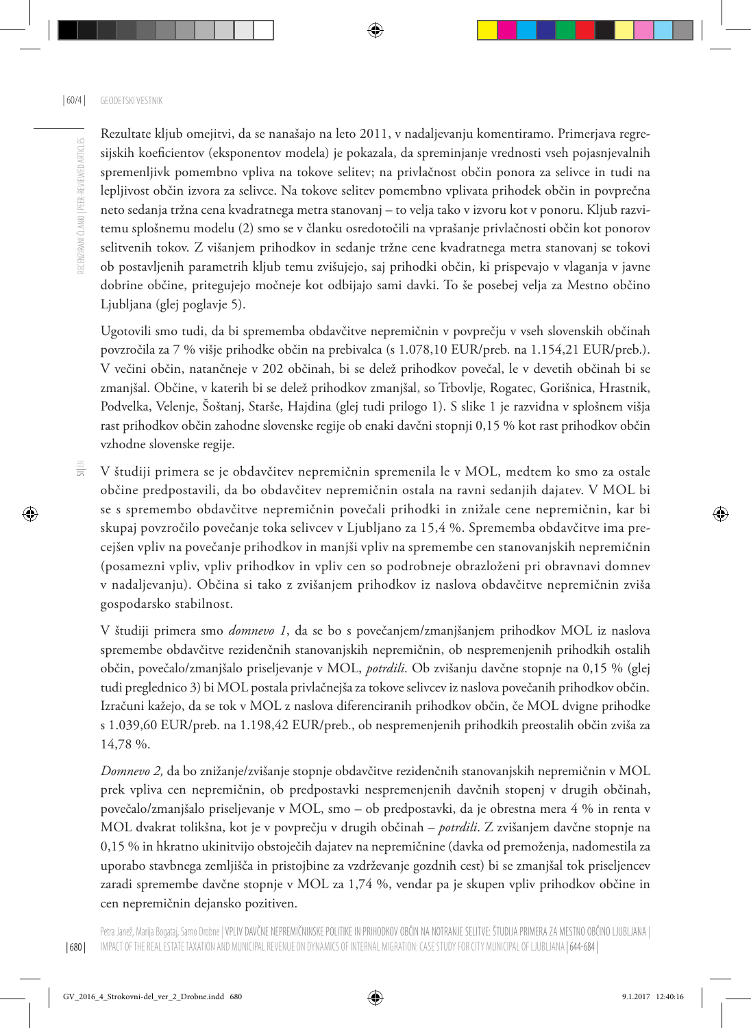Rezultate kljub omejitvi, da se nanašajo na leto 2011, v nadaljevanju komentiramo. Primerjava regresijskih koeficientov (eksponentov modela) je pokazala, da spreminjanje vrednosti vseh pojasnjevalnih spremenljivk pomembno vpliva na tokove selitev; na privlačnost občin ponora za selivce in tudi na lepljivost občin izvora za selivce. Na tokove selitev pomembno vplivata prihodek občin in povprečna neto sedanja tržna cena kvadratnega metra stanovanj – to velja tako v izvoru kot v ponoru. Kljub razvitemu splošnemu modelu (2) smo se v članku osredotočili na vprašanje privlačnosti občin kot ponorov selitvenih tokov. Z višanjem prihodkov in sedanje tržne cene kvadratnega metra stanovanj se tokovi ob postavljenih parametrih kljub temu zvišujejo, saj prihodki občin, ki prispevajo v vlaganja v javne dobrine občine, pritegujejo močneje kot odbijajo sami davki. To še posebej velja za Mestno občino Ljubljana (glej poglavje 5).

Ugotovili smo tudi, da bi sprememba obdavčitve nepremičnin v povprečju v vseh slovenskih občinah povzročila za 7 % višje prihodke občin na prebivalca (s 1.078,10 EUR/preb. na 1.154,21 EUR/preb.). V večini občin, natančneje v 202 občinah, bi se delež prihodkov povečal, le v devetih občinah bi se zmanjšal. Občine, v katerih bi se delež prihodkov zmanjšal, so Trbovlje, Rogatec, Gorišnica, Hrastnik, Podvelka, Velenje, Šoštanj, Starše, Hajdina (glej tudi prilogo 1). S slike 1 je razvidna v splošnem višja rast prihodkov občin zahodne slovenske regije ob enaki davčni stopnji 0,15 % kot rast prihodkov občin vzhodne slovenske regije.

 $\equiv$ V študiji primera se je obdavčitev nepremičnin spremenila le v MOL, medtem ko smo za ostale občine predpostavili, da bo obdavčitev nepremičnin ostala na ravni sedanjih dajatev. V MOL bi se s spremembo obdavčitve nepremičnin povečali prihodki in znižale cene nepremičnin, kar bi skupaj povzročilo povečanje toka selivcev v Ljubljano za 15,4 %. Sprememba obdavčitve ima precejšen vpliv na povečanje prihodkov in manjši vpliv na spremembe cen stanovanjskih nepremičnin (posamezni vpliv, vpliv prihodkov in vpliv cen so podrobneje obrazloženi pri obravnavi domnev v nadaljevanju). Občina si tako z zvišanjem prihodkov iz naslova obdavčitve nepremičnin zviša gospodarsko stabilnost.

V študiji primera smo *domnevo 1*, da se bo s povečanjem/zmanjšanjem prihodkov MOL iz naslova spremembe obdavčitve rezidenčnih stanovanjskih nepremičnin, ob nespremenjenih prihodkih ostalih občin, povečalo/zmanjšalo priseljevanje v MOL, *potrdili*. Ob zvišanju davčne stopnje na 0,15 % (glej tudi preglednico 3) bi MOL postala privlačnejša za tokove selivcev iz naslova povečanih prihodkov občin. Izračuni kažejo, da se tok v MOL z naslova diferenciranih prihodkov občin, če MOL dvigne prihodke s 1.039,60 EUR/preb. na 1.198,42 EUR/preb., ob nespremenjenih prihodkih preostalih občin zviša za 14,78 %.

*Domnevo 2,* da bo znižanje/zvišanje stopnje obdavčitve rezidenčnih stanovanjskih nepremičnin v MOL prek vpliva cen nepremičnin, ob predpostavki nespremenjenih davčnih stopenj v drugih občinah, povečalo/zmanjšalo priseljevanje v MOL, smo – ob predpostavki, da je obrestna mera 4 % in renta v MOL dvakrat tolikšna, kot je v povprečju v drugih občinah – *potrdili*. Z zvišanjem davčne stopnje na 0,15 % in hkratno ukinitvijo obstoječih dajatev na nepremičnine (davka od premoženja, nadomestila za uporabo stavbnega zemljišča in pristojbine za vzdrževanje gozdnih cest) bi se zmanjšal tok priseljencev zaradi spremembe davčne stopnje v MOL za 1,74 %, vendar pa je skupen vpliv prihodkov občine in cen nepremičnin dejansko pozitiven.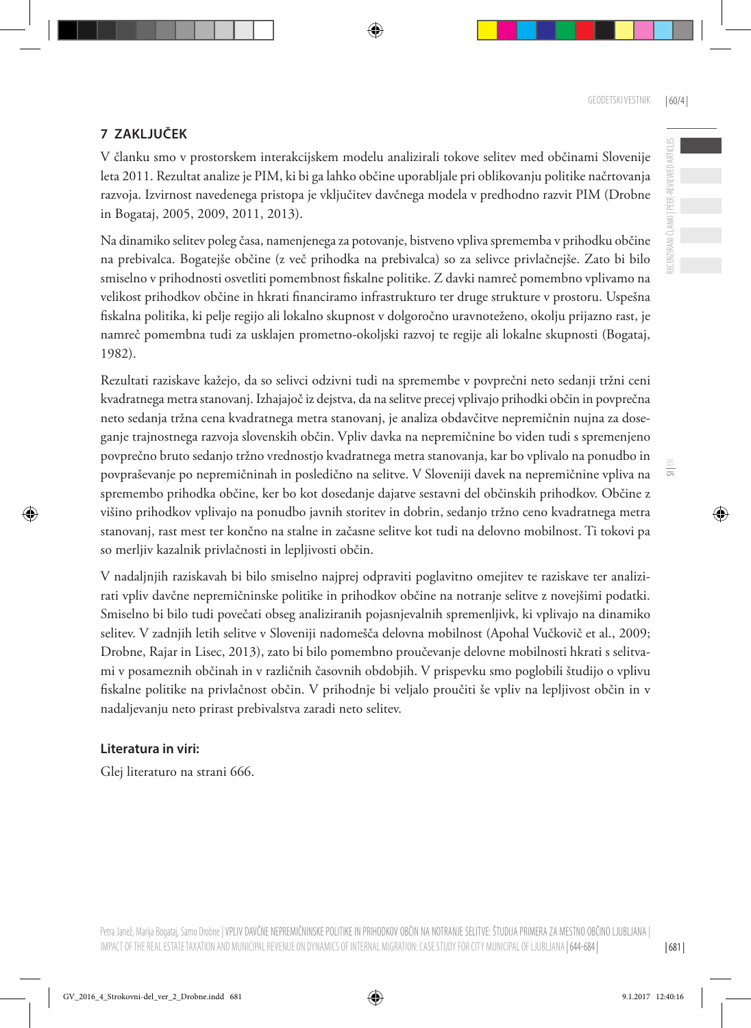ECENZIRANI ČLANKI | PEER-REVIEWED ARTICLES

 $\overline{5}$ 

#### **7 ZAKLJUČEK**

V članku smo v prostorskem interakcijskem modelu analizirali tokove selitev med občinami Slovenije leta 2011. Rezultat analize je PIM, ki bi ga lahko občine uporabljale pri oblikovanju politike načrtovanja razvoja. Izvirnost navedenega pristopa je vključitev davčnega modela v predhodno razvit PIM (Drobne in Bogataj, 2005, 2009, 2011, 2013).

Na dinamiko selitev poleg časa, namenjenega za potovanje, bistveno vpliva sprememba v prihodku občine na prebivalca. Bogatejše občine (z več prihodka na prebivalca) so za selivce privlačnejše. Zato bi bilo smiselno v prihodnosti osvetliti pomembnost fiskalne politike. Z davki namreč pomembno vplivamo na velikost prihodkov občine in hkrati financiramo infrastrukturo ter druge strukture v prostoru. Uspešna fiskalna politika, ki pelje regijo ali lokalno skupnost v dolgoročno uravnoteženo, okolju prijazno rast, je namreč pomembna tudi za usklajen prometno-okoljski razvoj te regije ali lokalne skupnosti (Bogataj, 1982).

Rezultati raziskave kažejo, da so selivci odzivni tudi na spremembe v povprečni neto sedanji tržni ceni kvadratnega metra stanovanj. Izhajajoč iz dejstva, da na selitve precej vplivajo prihodki občin in povprečna neto sedanja tržna cena kvadratnega metra stanovanj, je analiza obdavčitve nepremičnin nujna za doseganje trajnostnega razvoja slovenskih občin. Vpliv davka na nepremičnine bo viden tudi s spremenjeno povprečno bruto sedanjo tržno vrednostjo kvadratnega metra stanovanja, kar bo vplivalo na ponudbo in povpraševanje po nepremičninah in posledično na selitve. V Sloveniji davek na nepremičnine vpliva na spremembo prihodka občine, ker bo kot dosedanje dajatve sestavni del občinskih prihodkov. Občine z višino prihodkov vplivajo na ponudbo javnih storitev in dobrin, sedanjo tržno ceno kvadratnega metra stanovanj, rast mest ter končno na stalne in začasne selitve kot tudi na delovno mobilnost. Ti tokovi pa so merljiv kazalnik privlačnosti in lepljivosti občin.

V nadaljnjih raziskavah bi bilo smiselno najprej odpraviti poglavitno omejitev te raziskave ter analizirati vpliv davčne nepremičninske politike in prihodkov občine na notranje selitve z novejšimi podatki. Smiselno bi bilo tudi povečati obseg analiziranih pojasnjevalnih spremenljivk, ki vplivajo na dinamiko selitev. V zadnjih letih selitve v Sloveniji nadomešča delovna mobilnost (Apohal Vučkovič et al., 2009; Drobne, Rajar in Lisec, 2013), zato bi bilo pomembno proučevanje delovne mobilnosti hkrati s selitvami v posameznih občinah in v različnih časovnih obdobjih. V prispevku smo poglobili študijo o vplivu fiskalne politike na privlačnost občin. V prihodnje bi veljalo proučiti še vpliv na lepljivost občin in v nadaljevanju neto prirast prebivalstva zaradi neto selitev.

#### **Literatura in viri:**

Glej literaturo na strani 666.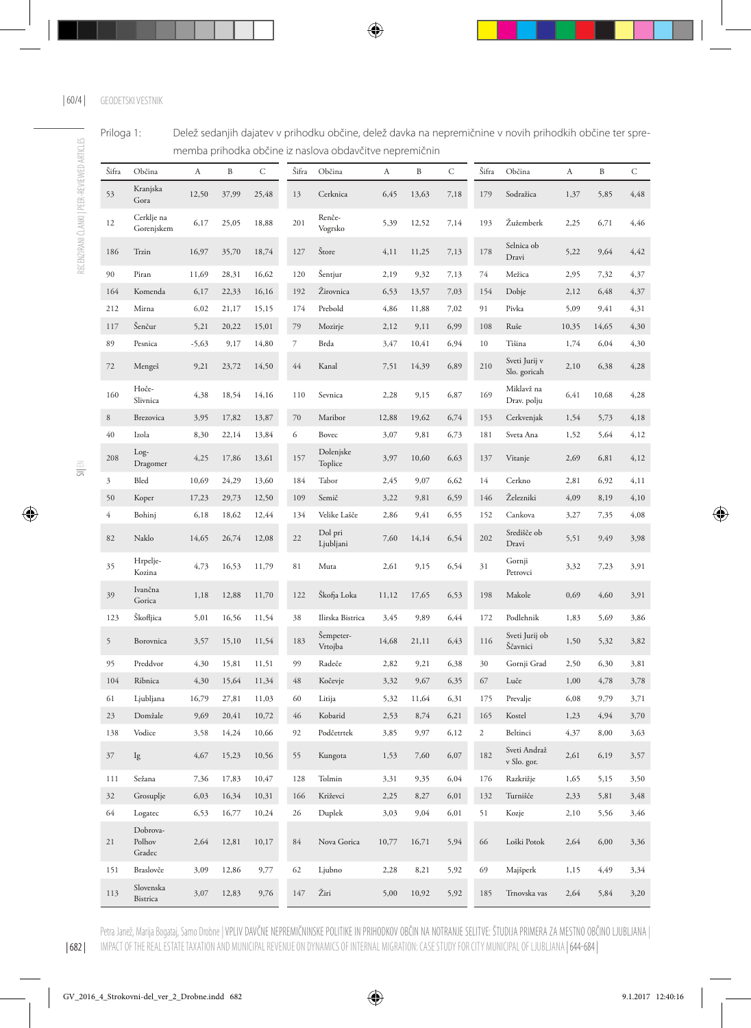| Priloga 1: | Delež sedanjih dajatev v prihodku občine, delež davka na nepremičnine v novih prihodkih občine ter spre- |
|------------|----------------------------------------------------------------------------------------------------------|
|            | memba prihodka občine iz naslova obdavčitve nepremičnin                                                  |

| Šifra          | Občina                       | A       | B     | С     | Šifra  | Občina               | A     | B     | C    | Šifra          | Občina                        | A     | B     | С    |
|----------------|------------------------------|---------|-------|-------|--------|----------------------|-------|-------|------|----------------|-------------------------------|-------|-------|------|
| 53             | Kranjska<br>Gora             | 12,50   | 37,99 | 25,48 | 13     | Cerknica             | 6,45  | 13,63 | 7,18 | 179            | Sodražica                     | 1,37  | 5,85  | 4,48 |
| 12             | Cerklje na<br>Gorenjskem     | 6,17    | 25,05 | 18,88 | 201    | Renče-<br>Vogrsko    | 5,39  | 12,52 | 7,14 | 193            | Žužemberk                     | 2,25  | 6,71  | 4,46 |
| 186            | Trzin                        | 16,97   | 35,70 | 18,74 | 127    | Štore                | 4,11  | 11,25 | 7,13 | 178            | Selnica ob<br>Dravi           | 5,22  | 9,64  | 4,42 |
| 90             | Piran                        | 11,69   | 28,31 | 16,62 | 120    | Šentjur              | 2,19  | 9,32  | 7,13 | 74             | Mežica                        | 2,95  | 7,32  | 4,37 |
| 164            | Komenda                      | 6,17    | 22,33 | 16,16 | 192    | Žirovnica            | 6,53  | 13,57 | 7,03 | 154            | Dobje                         | 2,12  | 6,48  | 4,37 |
| 212            | Mirna                        | 6,02    | 21,17 | 15,15 | 174    | Prebold              | 4,86  | 11,88 | 7,02 | 91             | Pivka                         | 5,09  | 9,41  | 4,31 |
| 117            | Šenčur                       | 5,21    | 20,22 | 15,01 | 79     | Mozirje              | 2,12  | 9,11  | 6,99 | 108            | Ruše                          | 10,35 | 14,65 | 4,30 |
| 89             | Pesnica                      | $-5,63$ | 9,17  | 14,80 | 7      | Brda                 | 3,47  | 10,41 | 6,94 | $10\,$         | Tišina                        | 1,74  | 6,04  | 4,30 |
| 72             | Mengeš                       | 9,21    | 23,72 | 14,50 | $44\,$ | Kanal                | 7,51  | 14,39 | 6,89 | 210            | Sveti Jurij v<br>Slo. goricah | 2,10  | 6,38  | 4,28 |
| 160            | Hoče-<br>Slivnica            | 4,38    | 18,54 | 14,16 | 110    | Sevnica              | 2,28  | 9,15  | 6,87 | 169            | Miklavž na<br>Drav. polju     | 6,41  | 10,68 | 4,28 |
| 8              | Brezovica                    | 3,95    | 17,82 | 13,87 | $70\,$ | Maribor              | 12,88 | 19,62 | 6,74 | 153            | Cerkvenjak                    | 1,54  | 5,73  | 4,18 |
| 40             | Izola                        | 8,30    | 22,14 | 13,84 | 6      | Bovec                | 3,07  | 9,81  | 6,73 | 181            | Sveta Ana                     | 1,52  | 5,64  | 4,12 |
| 208            | Log-<br>Dragomer             | 4,25    | 17,86 | 13,61 | 157    | Dolenjske<br>Toplice | 3,97  | 10,60 | 6,63 | 137            | Vitanje                       | 2,69  | 6,81  | 4,12 |
| 3              | Bled                         | 10,69   | 24,29 | 13,60 | 184    | Tabor                | 2,45  | 9,07  | 6,62 | 14             | Cerkno                        | 2,81  | 6,92  | 4,11 |
| 50             | Koper                        | 17,23   | 29,73 | 12,50 | 109    | Semič                | 3,22  | 9,81  | 6,59 | 146            | Železniki                     | 4,09  | 8,19  | 4,10 |
| $\overline{4}$ | Bohinj                       | 6,18    | 18,62 | 12,44 | 134    | Velike Lašče         | 2,86  | 9,41  | 6,55 | 152            | Cankova                       | 3,27  | 7,35  | 4,08 |
| 82             | Naklo                        | 14,65   | 26,74 | 12,08 | 22     | Dol pri<br>Ljubljani | 7,60  | 14,14 | 6,54 | 202            | Središče ob<br>Dravi          | 5,51  | 9,49  | 3,98 |
| 35             | Hrpelje-<br>Kozina           | 4,73    | 16,53 | 11,79 | 81     | Muta                 | 2,61  | 9,15  | 6,54 | 31             | Gornji<br>Petrovci            | 3,32  | 7,23  | 3,91 |
| 39             | Ivančna<br>Gorica            | 1,18    | 12,88 | 11,70 | 122    | Škofja Loka          | 11,12 | 17,65 | 6,53 | 198            | Makole                        | 0,69  | 4,60  | 3,91 |
| 123            | Škofljica                    | 5,01    | 16,56 | 11,54 | 38     | Ilirska Bistrica     | 3,45  | 9,89  | 6,44 | 172            | Podlehnik                     | 1,83  | 5,69  | 3,86 |
| 5              | Borovnica                    | 3,57    | 15,10 | 11,54 | 183    | Šempeter-<br>Vrtojba | 14,68 | 21,11 | 6,43 | 116            | Sveti Jurij ob<br>Ščavnici    | 1,50  | 5,32  | 3,82 |
| 95             | Preddvor                     | 4,30    | 15,81 | 11,51 | 99     | Radeče               | 2,82  | 9,21  | 6,38 | 30             | Gornji Grad                   | 2,50  | 6,30  | 3,81 |
| 104            | Ribnica                      | 4,30    | 15,64 | 11,34 | 48     | Kočevje              | 3,32  | 9,67  | 6,35 | 67             | Luče                          | 1,00  | 4,78  | 3,78 |
| 61             | Ljubljana                    | 16,79   | 27,81 | 11,03 | 60     | Litija               | 5,32  | 11,64 | 6,31 | 175            | Prevalje                      | 6,08  | 9,79  | 3,71 |
| 23             | Domžale                      | 9,69    | 20,41 | 10,72 | 46     | Kobarid              | 2,53  | 8,74  | 6,21 | 165            | Kostel                        | 1,23  | 4,94  | 3,70 |
| 138            | Vodice                       | 3,58    | 14,24 | 10,66 | 92     | Podčetrtek           | 3,85  | 9,97  | 6,12 | $\overline{c}$ | Beltinci                      | 4,37  | 8,00  | 3,63 |
| 37             | Ig                           | 4,67    | 15,23 | 10,56 | 55     | Kungota              | 1,53  | 7,60  | 6,07 | 182            | Sveti Andraž<br>v Slo. gor.   | 2,61  | 6,19  | 3,57 |
| 111            | Sežana                       | 7,36    | 17,83 | 10,47 | 128    | Tolmin               | 3,31  | 9,35  | 6,04 | 176            | Razkrižje                     | 1,65  | 5,15  | 3,50 |
| 32             | Grosuplje                    | 6,03    | 16,34 | 10,31 | 166    | Križevci             | 2,25  | 8,27  | 6,01 | 132            | Turnišče                      | 2,33  | 5,81  | 3,48 |
| 64             | Logatec                      | 6,53    | 16,77 | 10,24 | 26     | Duplek               | 3,03  | 9,04  | 6,01 | 51             | Kozje                         | 2,10  | 5,56  | 3,46 |
| 21             | Dobrova-<br>Polhov<br>Gradec | 2,64    | 12,81 | 10,17 | $84\,$ | Nova Gorica          | 10,77 | 16,71 | 5,94 | 66             | Loški Potok                   | 2,64  | 6,00  | 3,36 |
| 151            | Braslovče                    | 3,09    | 12,86 | 9,77  | 62     | Ljubno               | 2,28  | 8,21  | 5,92 | 69             | Majšperk                      | 1,15  | 4,49  | 3,34 |
| 113            | Slovenska<br>Bistrica        | 3,07    | 12,83 | 9,76  | 147    | Žiri                 | 5,00  | 10,92 | 5,92 | 185            | Trnovska vas                  | 2,64  | 5,84  | 3,20 |

Petra Janež, Marija Bogataj, Samo Drobne | VPLIV DAVČNE NEPREMIČNINSKE POLITIKE IN PRIHODKOV OBČIN NA NOTRANJE SELITVE: STUDIJA PRIMERA ZA MESTNO OBČINO LJUBLJANA | IMPACT OF THE REAL ESTATE TAXATION AND MUNICIPAL REVENUE ON DYNAMICS OF INTERNAL MIGRATION: CASE STUDY FOR CITY MUNICIPAL OF LJUBLJANA | 644-684 |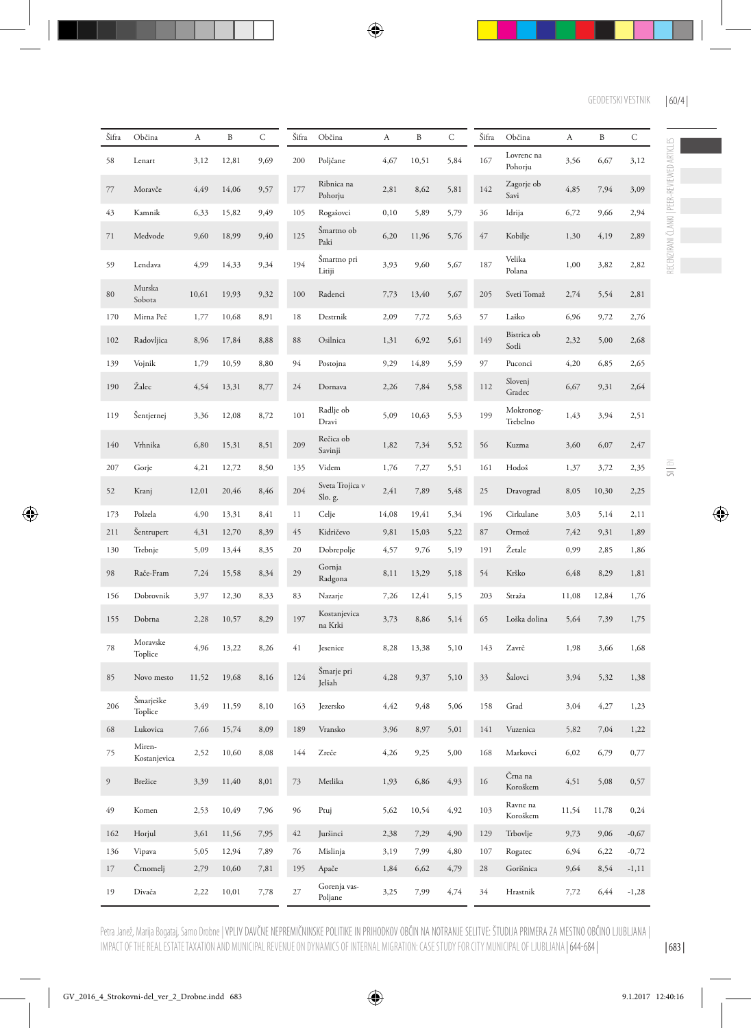| Šifra            | Občina                 | A     | B     | $\mathsf{C}$ | Šifra  | Občina                     | A     | $\, {\bf B}$ | C    | Šifra | Občina                | $\boldsymbol{A}$ | B     | C        |
|------------------|------------------------|-------|-------|--------------|--------|----------------------------|-------|--------------|------|-------|-----------------------|------------------|-------|----------|
| 58               | Lenart                 | 3,12  | 12,81 | 9,69         | 200    | Poljčane                   | 4,67  | 10,51        | 5,84 | 167   | Lovrenc na<br>Pohorju | 3,56             | 6,67  | 3,12     |
| 77               | Moravče                | 4,49  | 14,06 | 9,57         | 177    | Ribnica na<br>Pohorju      | 2,81  | 8,62         | 5,81 | 142   | Zagorje ob<br>Savi    | 4,85             | 7,94  | 3,09     |
| 43               | Kamnik                 | 6,33  | 15,82 | 9,49         | 105    | Rogašovci                  | 0, 10 | 5,89         | 5,79 | 36    | Idrija                | 6,72             | 9,66  | 2,94     |
| 71               | Medvode                | 9,60  | 18,99 | 9,40         | 125    | Šmartno ob<br>Paki         | 6,20  | 11,96        | 5,76 | 47    | Kobilje               | 1,30             | 4,19  | 2,89     |
| 59               | Lendava                | 4,99  | 14,33 | 9,34         | 194    | Šmartno pri<br>Litiji      | 3,93  | 9,60         | 5,67 | 187   | Velika<br>Polana      | 1,00             | 3,82  | 2,82     |
| $80\,$           | Murska<br>Sobota       | 10,61 | 19,93 | 9,32         | 100    | Radenci                    | 7,73  | 13,40        | 5,67 | 205   | Sveti Tomaž           | 2,74             | 5,54  | 2,81     |
| 170              | Mirna Peč              | 1,77  | 10,68 | 8,91         | $18\,$ | Destrnik                   | 2,09  | 7,72         | 5,63 | 57    | Laško                 | 6,96             | 9,72  | 2,76     |
| 102              | Radovljica             | 8,96  | 17,84 | 8,88         | 88     | Osilnica                   | 1,31  | 6,92         | 5,61 | 149   | Bistrica ob<br>Sotli  | 2,32             | 5,00  | 2,68     |
| 139              | Vojnik                 | 1,79  | 10,59 | 8,80         | 94     | Postojna                   | 9,29  | 14,89        | 5,59 | 97    | Puconci               | 4,20             | 6,85  | 2,65     |
| 190              | Žalec                  | 4,54  | 13,31 | 8,77         | 24     | Dornava                    | 2,26  | 7,84         | 5,58 | 112   | Slovenj<br>Gradec     | 6,67             | 9,31  | 2,64     |
| 119              | Šentjernej             | 3,36  | 12,08 | 8,72         | 101    | Radlje ob<br>Dravi         | 5,09  | 10,63        | 5,53 | 199   | Mokronog-<br>Trebelno | 1,43             | 3,94  | 2,51     |
| 140              | Vrhnika                | 6,80  | 15,31 | 8,51         | 209    | Rečica ob<br>Savinji       | 1,82  | 7,34         | 5,52 | 56    | Kuzma                 | 3,60             | 6,07  | 2,47     |
| 207              | Gorje                  | 4,21  | 12,72 | 8,50         | 135    | Videm                      | 1,76  | 7,27         | 5,51 | 161   | Hodoš                 | 1,37             | 3,72  | 2,35     |
| 52               | Kranj                  | 12,01 | 20,46 | 8,46         | 204    | Sveta Trojica v<br>Slo. g. | 2,41  | 7,89         | 5,48 | 25    | Dravograd             | 8,05             | 10,30 | 2,25     |
| 173              | Polzela                | 4,90  | 13,31 | 8,41         | 11     | Celje                      | 14,08 | 19,41        | 5,34 | 196   | Cirkulane             | 3,03             | 5,14  | 2,11     |
| 211              | Sentrupert             | 4,31  | 12,70 | 8,39         | 45     | Kidričevo                  | 9,81  | 15,03        | 5,22 | 87    | Ormož                 | 7,42             | 9,31  | 1,89     |
| 130              | Trebnje                | 5,09  | 13,44 | 8,35         | 20     | Dobrepolje                 | 4,57  | 9,76         | 5,19 | 191   | Žetale                | 0,99             | 2,85  | 1,86     |
| 98               | Rače-Fram              | 7,24  | 15,58 | 8,34         | 29     | Gornja<br>Radgona          | 8,11  | 13,29        | 5,18 | 54    | Krško                 | 6,48             | 8,29  | 1,81     |
| 156              | Dobrovnik              | 3,97  | 12,30 | 8,33         | 83     | Nazarje                    | 7,26  | 12,41        | 5,15 | 203   | Straža                | 11,08            | 12,84 | 1,76     |
| 155              | Dobrna                 | 2,28  | 10,57 | 8,29         | 197    | Kostanjevica<br>na Krki    | 3,73  | 8,86         | 5,14 | 65    | Loška dolina          | 5,64             | 7,39  | 1,75     |
| 78               | Moravske<br>Toplice    | 4,96  | 13,22 | 8,26         | 41     | Jesenice                   | 8,28  | 13,38        | 5,10 | 143   | Zavrč                 | 1,98             | 3,66  | 1,68     |
| 85               | Novo mesto             | 11,52 | 19,68 | 8,16         | 124    | Šmarje pri<br>Jelšah       | 4,28  | 9,37         | 5,10 | 33    | Šalovci               | 3,94             | 5,32  | 1,38     |
| 206              | Šmarješke<br>Toplice   | 3,49  | 11,59 | 8,10         | 163    | Jezersko                   | 4,42  | 9,48         | 5,06 | 158   | Grad                  | 3,04             | 4,27  | 1,23     |
| 68               | Lukovica               | 7,66  | 15,74 | 8,09         | 189    | Vransko                    | 3,96  | 8,97         | 5,01 | 141   | Vuzenica              | 5,82             | 7,04  | 1,22     |
| 75               | Miren-<br>Kostanjevica | 2,52  | 10,60 | 8,08         | 144    | Zreče                      | 4,26  | 9,25         | 5,00 | 168   | Markovci              | 6,02             | 6,79  | 0,77     |
| $\boldsymbol{9}$ | Brežice                | 3,39  | 11,40 | 8,01         | 73     | Metlika                    | 1,93  | 6,86         | 4,93 | 16    | Črna na<br>Koroškem   | 4,51             | 5,08  | 0,57     |
| 49               | Komen                  | 2,53  | 10,49 | 7,96         | 96     | Ptuj                       | 5,62  | 10,54        | 4,92 | 103   | Ravne na<br>Koroškem  | 11,54            | 11,78 | 0,24     |
| 162              | Horjul                 | 3,61  | 11,56 | 7,95         | 42     | Juršinci                   | 2,38  | 7,29         | 4,90 | 129   | Trbovlje              | 9,73             | 9,06  | $-0,67$  |
| 136              | Vipava                 | 5,05  | 12,94 | 7,89         | 76     | Mislinja                   | 3,19  | 7,99         | 4,80 | 107   | Rogatec               | 6,94             | 6,22  | $-0,72$  |
| 17               | Črnomelj               | 2,79  | 10,60 | 7,81         | 195    | Apače                      | 1,84  | 6,62         | 4,79 | 28    | Gorišnica             | 9,64             | 8,54  | $-1, 11$ |
| 19               | Divača                 | 2,22  | 10,01 | 7,78         | $27\,$ | Gorenja vas-<br>Poljane    | 3,25  | 7,99         | 4,74 | 34    | Hrastnik              | 7,72             | 6,44  | $-1,28$  |

Petra Janež, Marija Bogataj, Samo Drobne | VPLIV DAVČNE NEPREMIČNINSKE POLITIKE IN PRIHODKOV OBČIN NA NOTRANJE SELITVE: STUDIJA PRIMERA ZA MESTNO OBČINO LJUBLJANA | IMPACT OF THE REAL ESTATE TAXATION AND MUNICIPAL REVENUE ON DYNAMICS OF INTERNAL MIGRATION: CASE STUDY FOR CITY MUNICIPAL OF LJUBLJANA | 644-684 |